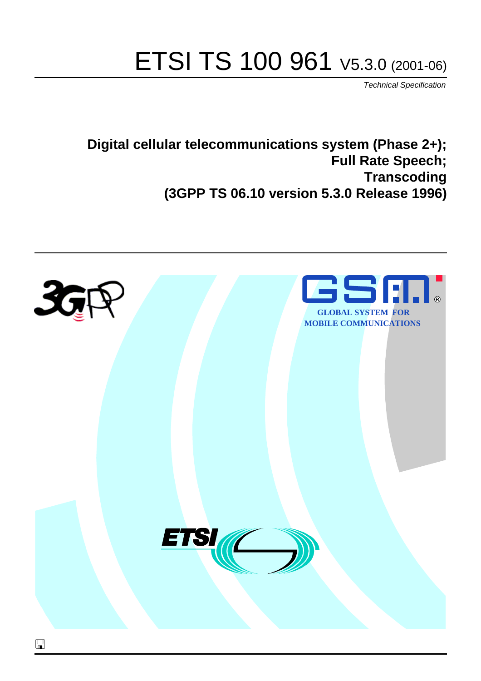# ETSI TS 100 961 V5.3.0 (2001-06)

Technical Specification

**Digital cellular telecommunications system (Phase 2+); Full Rate Speech; Transcoding (3GPP TS 06.10 version 5.3.0 Release 1996)**

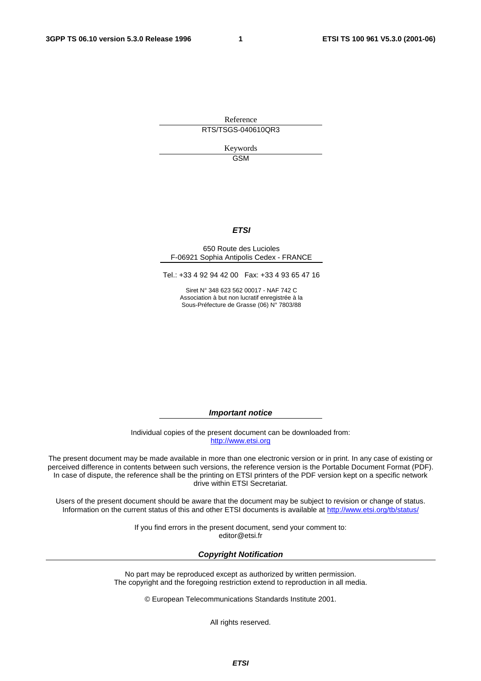**1** 

Reference RTS/TSGS-040610QR3

> Keywords GSM

#### **ETSI**

#### 650 Route des Lucioles F-06921 Sophia Antipolis Cedex - FRANCE

Tel.: +33 4 92 94 42 00 Fax: +33 4 93 65 47 16

Siret N° 348 623 562 00017 - NAF 742 C Association à but non lucratif enregistrée à la Sous-Préfecture de Grasse (06) N° 7803/88

**Important notice** 

Individual copies of the present document can be downloaded from: [http://www.etsi.org](http://www.etsi.org/)

The present document may be made available in more than one electronic version or in print. In any case of existing or perceived difference in contents between such versions, the reference version is the Portable Document Format (PDF). In case of dispute, the reference shall be the printing on ETSI printers of the PDF version kept on a specific network drive within ETSI Secretariat.

Users of the present document should be aware that the document may be subject to revision or change of status. Information on the current status of this and other ETSI documents is available a[t http://www.etsi.org/tb/status](http://www.etsi.org/tb/status)/

> If you find errors in the present document, send your comment to: <editor@etsi.fr>

#### **Copyright Notification**

No part may be reproduced except as authorized by written permission. The copyright and the foregoing restriction extend to reproduction in all media.

© European Telecommunications Standards Institute 2001.

All rights reserved.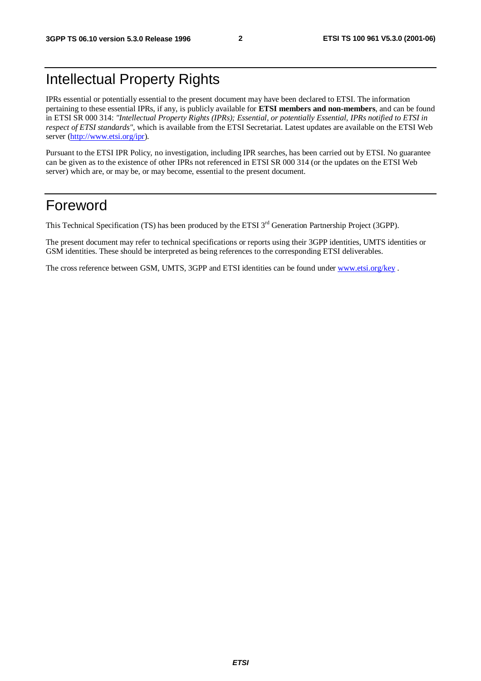## Intellectual Property Rights

IPRs essential or potentially essential to the present document may have been declared to ETSI. The information pertaining to these essential IPRs, if any, is publicly available for **ETSI members and non-members**, and can be found in ETSI SR 000 314: *"Intellectual Property Rights (IPRs); Essential, or potentially Essential, IPRs notified to ETSI in respect of ETSI standards"*, which is available from the ETSI Secretariat. Latest updates are available on the ETSI Web server [\(http://www.etsi.org/ipr\)](http://www.etsi.org/ipr).

Pursuant to the ETSI IPR Policy, no investigation, including IPR searches, has been carried out by ETSI. No guarantee can be given as to the existence of other IPRs not referenced in ETSI SR 000 314 (or the updates on the ETSI Web server) which are, or may be, or may become, essential to the present document.

## Foreword

This Technical Specification (TS) has been produced by the ETSI 3<sup>rd</sup> Generation Partnership Project (3GPP).

The present document may refer to technical specifications or reports using their 3GPP identities, UMTS identities or GSM identities. These should be interpreted as being references to the corresponding ETSI deliverables.

The cross reference between GSM, UMTS, 3GPP and ETSI identities can be found under [www.etsi.org/key](http://www.etsi.org/key) .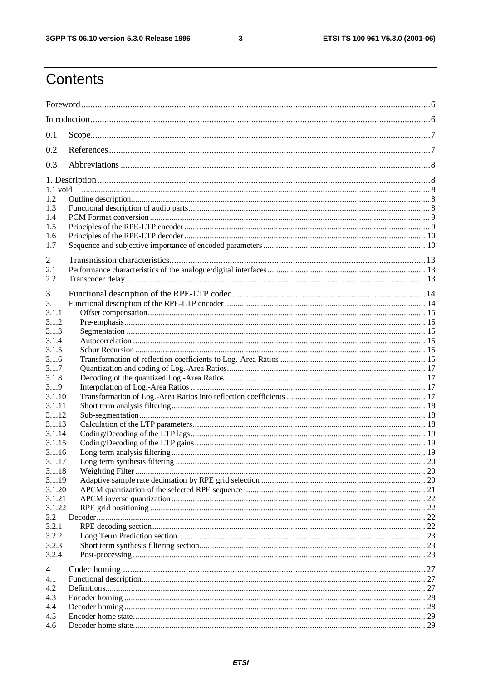$\mathbf{3}$ 

## Contents

| 0.1              |  |  |  |  |
|------------------|--|--|--|--|
| 0.2              |  |  |  |  |
| 0.3              |  |  |  |  |
|                  |  |  |  |  |
| 1.2              |  |  |  |  |
| 1.3              |  |  |  |  |
| 1.4              |  |  |  |  |
| 1.5              |  |  |  |  |
| 1.6              |  |  |  |  |
| 1.7              |  |  |  |  |
|                  |  |  |  |  |
| 2<br>2.1         |  |  |  |  |
| 2.2              |  |  |  |  |
|                  |  |  |  |  |
| 3                |  |  |  |  |
| 3.1              |  |  |  |  |
| 3.1.1            |  |  |  |  |
| 3.1.2            |  |  |  |  |
| 3.1.3            |  |  |  |  |
| 3.1.4            |  |  |  |  |
| 3.1.5            |  |  |  |  |
| 3.1.6            |  |  |  |  |
| 3.1.7            |  |  |  |  |
| 3.1.8            |  |  |  |  |
| 3.1.9            |  |  |  |  |
| 3.1.10<br>3.1.11 |  |  |  |  |
| 3.1.12           |  |  |  |  |
| 3.1.13           |  |  |  |  |
| 3.1.14           |  |  |  |  |
| 3.1.15           |  |  |  |  |
| 3.1.16           |  |  |  |  |
| 3.1.17           |  |  |  |  |
| 3.1.18           |  |  |  |  |
| 3.1.19           |  |  |  |  |
| 3.1.20           |  |  |  |  |
| 3.1.21           |  |  |  |  |
| 3.1.22           |  |  |  |  |
| 3.2              |  |  |  |  |
| 3.2.1            |  |  |  |  |
| 3.2.2            |  |  |  |  |
| 3.2.3            |  |  |  |  |
| 3.2.4            |  |  |  |  |
| 4                |  |  |  |  |
| 4.1              |  |  |  |  |
| 4.2              |  |  |  |  |
| 4.3              |  |  |  |  |
| 4.4              |  |  |  |  |
| 4.5              |  |  |  |  |
| 4.6              |  |  |  |  |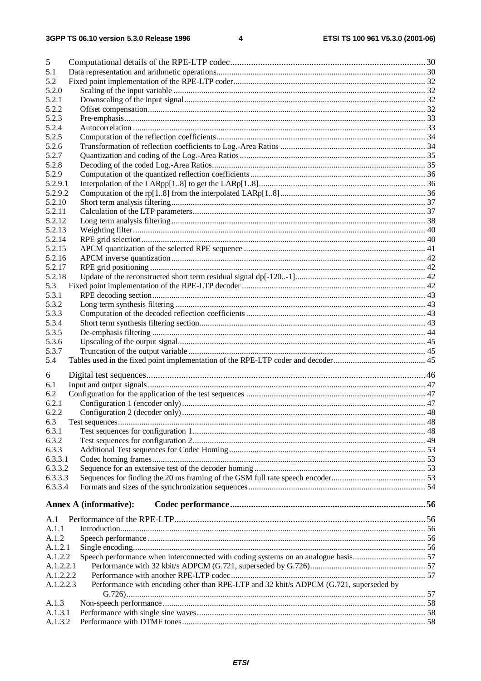| 5         |                                                                                        |  |
|-----------|----------------------------------------------------------------------------------------|--|
| 5.1       |                                                                                        |  |
| 5.2       |                                                                                        |  |
| 5.2.0     |                                                                                        |  |
| 5.2.1     |                                                                                        |  |
| 5.2.2     |                                                                                        |  |
| 5.2.3     |                                                                                        |  |
| 5.2.4     |                                                                                        |  |
| 5.2.5     |                                                                                        |  |
| 5.2.6     |                                                                                        |  |
| 5.2.7     |                                                                                        |  |
| 5.2.8     |                                                                                        |  |
| 5.2.9     |                                                                                        |  |
| 5.2.9.1   |                                                                                        |  |
| 5.2.9.2   |                                                                                        |  |
| 5.2.10    |                                                                                        |  |
| 5.2.11    |                                                                                        |  |
| 5.2.12    |                                                                                        |  |
| 5.2.13    |                                                                                        |  |
| 5.2.14    |                                                                                        |  |
| 5.2.15    |                                                                                        |  |
| 5.2.16    |                                                                                        |  |
| 5.2.17    |                                                                                        |  |
| 5.2.18    |                                                                                        |  |
| 5.3       |                                                                                        |  |
| 5.3.1     |                                                                                        |  |
| 5.3.2     |                                                                                        |  |
| 5.3.3     |                                                                                        |  |
| 5.3.4     |                                                                                        |  |
| 5.3.5     |                                                                                        |  |
| 5.3.6     |                                                                                        |  |
| 5.3.7     |                                                                                        |  |
| 5.4       |                                                                                        |  |
|           |                                                                                        |  |
| 6         |                                                                                        |  |
| 6.1       |                                                                                        |  |
| 6.2       |                                                                                        |  |
| 6.2.1     |                                                                                        |  |
| 6.2.2     |                                                                                        |  |
| 6.3       |                                                                                        |  |
| 6.3.1     |                                                                                        |  |
| 6.3.2     |                                                                                        |  |
| 6.3.3     |                                                                                        |  |
| 6.3.3.1   |                                                                                        |  |
| 6.3.3.2   |                                                                                        |  |
| 6.3.3.3   |                                                                                        |  |
| 6.3.3.4   |                                                                                        |  |
|           |                                                                                        |  |
|           | Annex A (informative):                                                                 |  |
| A.1       |                                                                                        |  |
| A.1.1     |                                                                                        |  |
| A.1.2     |                                                                                        |  |
| A.1.2.1   |                                                                                        |  |
|           |                                                                                        |  |
| A.1.2.2   |                                                                                        |  |
| A.1.2.2.1 |                                                                                        |  |
| A.1.2.2.2 |                                                                                        |  |
| A.1.2.2.3 | Performance with encoding other than RPE-LTP and 32 kbit/s ADPCM (G.721, superseded by |  |
|           |                                                                                        |  |
| A.1.3     |                                                                                        |  |
| A.1.3.1   |                                                                                        |  |
| A.1.3.2   |                                                                                        |  |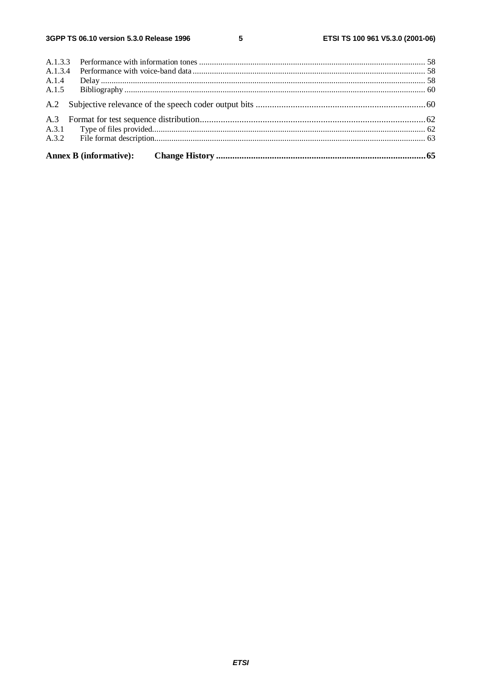${\bf 5}$ 

| A.1.4 |  |  |  |  |  |
|-------|--|--|--|--|--|
|       |  |  |  |  |  |
|       |  |  |  |  |  |
|       |  |  |  |  |  |
|       |  |  |  |  |  |
|       |  |  |  |  |  |
|       |  |  |  |  |  |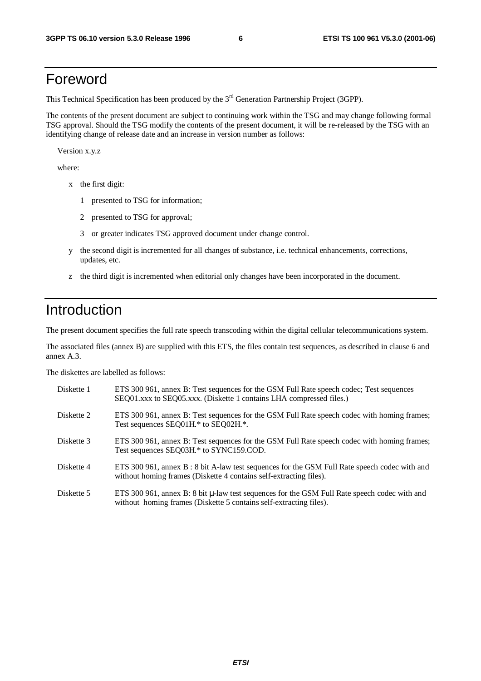## Foreword

This Technical Specification has been produced by the 3<sup>rd</sup> Generation Partnership Project (3GPP).

The contents of the present document are subject to continuing work within the TSG and may change following formal TSG approval. Should the TSG modify the contents of the present document, it will be re-released by the TSG with an identifying change of release date and an increase in version number as follows:

Version x.y.z

where:

- x the first digit:
	- 1 presented to TSG for information;
	- 2 presented to TSG for approval;
	- 3 or greater indicates TSG approved document under change control.
- y the second digit is incremented for all changes of substance, i.e. technical enhancements, corrections, updates, etc.
- z the third digit is incremented when editorial only changes have been incorporated in the document.

## Introduction

The present document specifies the full rate speech transcoding within the digital cellular telecommunications system.

The associated files (annex B) are supplied with this ETS, the files contain test sequences, as described in clause 6 and annex A.3.

The diskettes are labelled as follows:

| Diskette 1 | ETS 300 961, annex B: Test sequences for the GSM Full Rate speech codec; Test sequences<br>SEQ01.xxx to SEQ05.xxx. (Diskette 1 contains LHA compressed files.)          |
|------------|-------------------------------------------------------------------------------------------------------------------------------------------------------------------------|
| Diskette 2 | ETS 300 961, annex B: Test sequences for the GSM Full Rate speech codec with homing frames;<br>Test sequences SEQ01H.* to SEQ02H.*.                                     |
| Diskette 3 | ETS 300 961, annex B: Test sequences for the GSM Full Rate speech codec with homing frames;<br>Test sequences SEQ03H.* to SYNC159.COD.                                  |
| Diskette 4 | ETS 300 961, annex B : 8 bit A-law test sequences for the GSM Full Rate speech codec with and<br>without homing frames (Diskette 4 contains self-extracting files).     |
| Diskette 5 | ETS 300 961, annex B: 8 bit $\mu$ -law test sequences for the GSM Full Rate speech codec with and<br>without homing frames (Diskette 5 contains self-extracting files). |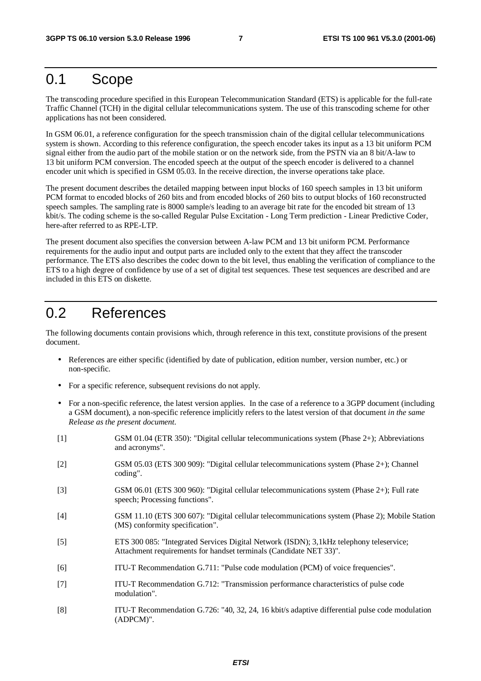## 0.1 Scope

The transcoding procedure specified in this European Telecommunication Standard (ETS) is applicable for the full-rate Traffic Channel (TCH) in the digital cellular telecommunications system. The use of this transcoding scheme for other applications has not been considered.

In GSM 06.01, a reference configuration for the speech transmission chain of the digital cellular telecommunications system is shown. According to this reference configuration, the speech encoder takes its input as a 13 bit uniform PCM signal either from the audio part of the mobile station or on the network side, from the PSTN via an 8 bit/A-law to 13 bit uniform PCM conversion. The encoded speech at the output of the speech encoder is delivered to a channel encoder unit which is specified in GSM 05.03. In the receive direction, the inverse operations take place.

The present document describes the detailed mapping between input blocks of 160 speech samples in 13 bit uniform PCM format to encoded blocks of 260 bits and from encoded blocks of 260 bits to output blocks of 160 reconstructed speech samples. The sampling rate is 8000 sample/s leading to an average bit rate for the encoded bit stream of 13 kbit/s. The coding scheme is the so-called Regular Pulse Excitation - Long Term prediction - Linear Predictive Coder, here-after referred to as RPE-LTP.

The present document also specifies the conversion between A-law PCM and 13 bit uniform PCM. Performance requirements for the audio input and output parts are included only to the extent that they affect the transcoder performance. The ETS also describes the codec down to the bit level, thus enabling the verification of compliance to the ETS to a high degree of confidence by use of a set of digital test sequences. These test sequences are described and are included in this ETS on diskette.

## 0.2 References

The following documents contain provisions which, through reference in this text, constitute provisions of the present document.

- References are either specific (identified by date of publication, edition number, version number, etc.) or non-specific.
- For a specific reference, subsequent revisions do not apply.
- For a non-specific reference, the latest version applies. In the case of a reference to a 3GPP document (including a GSM document), a non-specific reference implicitly refers to the latest version of that document *in the same Release as the present document*.

| $[1]$ | GSM 01.04 (ETR 350): "Digital cellular telecommunications system (Phase 2+); Abbreviations<br>and acronyms".                                                  |
|-------|---------------------------------------------------------------------------------------------------------------------------------------------------------------|
| $[2]$ | GSM 05.03 (ETS 300 909): "Digital cellular telecommunications system (Phase 2+); Channel<br>coding".                                                          |
| $[3]$ | GSM 06.01 (ETS 300 960): "Digital cellular telecommunications system (Phase 2+); Full rate<br>speech; Processing functions".                                  |
| $[4]$ | GSM 11.10 (ETS 300 607): "Digital cellular telecommunications system (Phase 2); Mobile Station<br>(MS) conformity specification".                             |
| $[5]$ | ETS 300 085: "Integrated Services Digital Network (ISDN); 3,1kHz telephony teleservice;<br>Attachment requirements for handset terminals (Candidate NET 33)". |
| [6]   | ITU-T Recommendation G.711: "Pulse code modulation (PCM) of voice frequencies".                                                                               |
| $[7]$ | ITU-T Recommendation G.712: "Transmission performance characteristics of pulse code<br>modulation".                                                           |
| [8]   | ITU-T Recommendation G.726: "40, 32, 24, 16 kbit/s adaptive differential pulse code modulation<br>(ADPCM)".                                                   |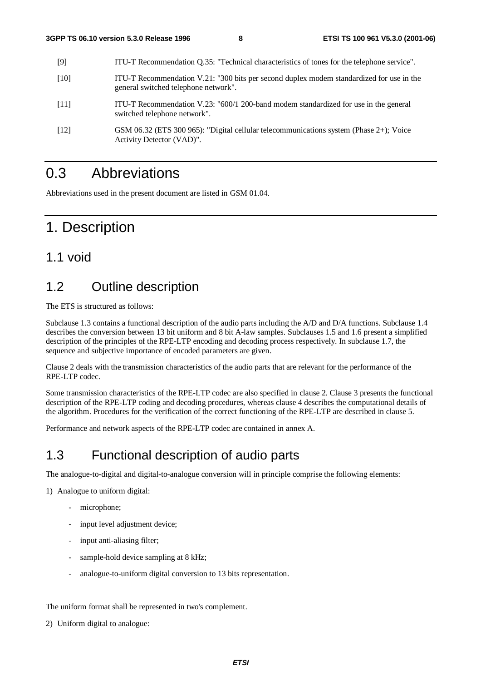| [9]                | ITU-T Recommendation Q.35: "Technical characteristics of tones for the telephone service".                                       |
|--------------------|----------------------------------------------------------------------------------------------------------------------------------|
| [10]               | ITU-T Recommendation V.21: "300 bits per second duplex modem standardized for use in the<br>general switched telephone network". |
| [11]               | ITU-T Recommendation V.23: "600/1 200-band modem standardized for use in the general<br>switched telephone network".             |
| $\lceil 12 \rceil$ | GSM 06.32 (ETS 300 965): "Digital cellular telecommunications system (Phase 2+); Voice<br>Activity Detector (VAD)".              |

## 0.3 Abbreviations

Abbreviations used in the present document are listed in GSM 01.04.

## 1. Description

## 1.1 void

## 1.2 Outline description

The ETS is structured as follows:

Subclause 1.3 contains a functional description of the audio parts including the A/D and D/A functions. Subclause 1.4 describes the conversion between 13 bit uniform and 8 bit A-law samples. Subclauses 1.5 and 1.6 present a simplified description of the principles of the RPE-LTP encoding and decoding process respectively. In subclause 1.7, the sequence and subjective importance of encoded parameters are given.

Clause 2 deals with the transmission characteristics of the audio parts that are relevant for the performance of the RPE-LTP codec.

Some transmission characteristics of the RPE-LTP codec are also specified in clause 2. Clause 3 presents the functional description of the RPE-LTP coding and decoding procedures, whereas clause 4 describes the computational details of the algorithm. Procedures for the verification of the correct functioning of the RPE-LTP are described in clause 5.

Performance and network aspects of the RPE-LTP codec are contained in annex A.

## 1.3 Functional description of audio parts

The analogue-to-digital and digital-to-analogue conversion will in principle comprise the following elements:

1) Analogue to uniform digital:

- microphone;
- input level adjustment device;
- input anti-aliasing filter;
- sample-hold device sampling at 8 kHz;
- analogue-to-uniform digital conversion to 13 bits representation.

The uniform format shall be represented in two's complement.

2) Uniform digital to analogue: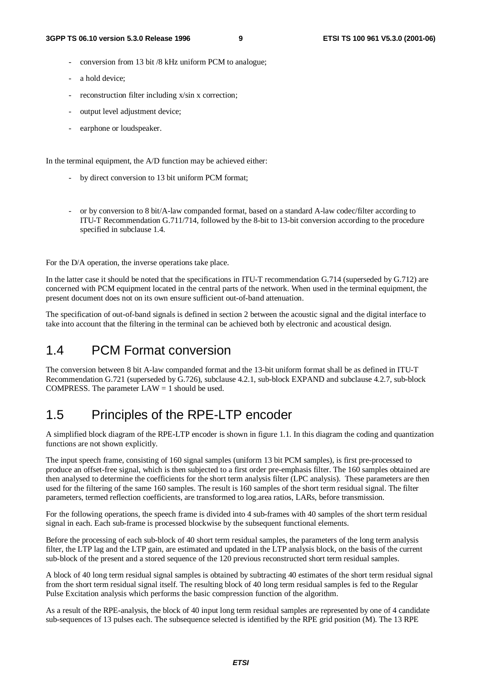- conversion from 13 bit /8 kHz uniform PCM to analogue;
- a hold device;
- reconstruction filter including x/sin x correction;
- output level adjustment device:
- earphone or loudspeaker.

In the terminal equipment, the A/D function may be achieved either:

- by direct conversion to 13 bit uniform PCM format;
- or by conversion to 8 bit/A-law companded format, based on a standard A-law codec/filter according to ITU-T Recommendation G.711/714, followed by the 8-bit to 13-bit conversion according to the procedure specified in subclause 1.4.

For the D/A operation, the inverse operations take place.

In the latter case it should be noted that the specifications in ITU-T recommendation G.714 (superseded by G.712) are concerned with PCM equipment located in the central parts of the network. When used in the terminal equipment, the present document does not on its own ensure sufficient out-of-band attenuation.

The specification of out-of-band signals is defined in section 2 between the acoustic signal and the digital interface to take into account that the filtering in the terminal can be achieved both by electronic and acoustical design.

## 1.4 PCM Format conversion

The conversion between 8 bit A-law companded format and the 13-bit uniform format shall be as defined in ITU-T Recommendation G.721 (superseded by G.726), subclause 4.2.1, sub-block EXPAND and subclause 4.2.7, sub-block COMPRESS. The parameter  $LAW = 1$  should be used.

## 1.5 Principles of the RPE-LTP encoder

A simplified block diagram of the RPE-LTP encoder is shown in figure 1.1. In this diagram the coding and quantization functions are not shown explicitly.

The input speech frame, consisting of 160 signal samples (uniform 13 bit PCM samples), is first pre-processed to produce an offset-free signal, which is then subjected to a first order pre-emphasis filter. The 160 samples obtained are then analysed to determine the coefficients for the short term analysis filter (LPC analysis). These parameters are then used for the filtering of the same 160 samples. The result is 160 samples of the short term residual signal. The filter parameters, termed reflection coefficients, are transformed to log.area ratios, LARs, before transmission.

For the following operations, the speech frame is divided into 4 sub-frames with 40 samples of the short term residual signal in each. Each sub-frame is processed blockwise by the subsequent functional elements.

Before the processing of each sub-block of 40 short term residual samples, the parameters of the long term analysis filter, the LTP lag and the LTP gain, are estimated and updated in the LTP analysis block, on the basis of the current sub-block of the present and a stored sequence of the 120 previous reconstructed short term residual samples.

A block of 40 long term residual signal samples is obtained by subtracting 40 estimates of the short term residual signal from the short term residual signal itself. The resulting block of 40 long term residual samples is fed to the Regular Pulse Excitation analysis which performs the basic compression function of the algorithm.

As a result of the RPE-analysis, the block of 40 input long term residual samples are represented by one of 4 candidate sub-sequences of 13 pulses each. The subsequence selected is identified by the RPE grid position (M). The 13 RPE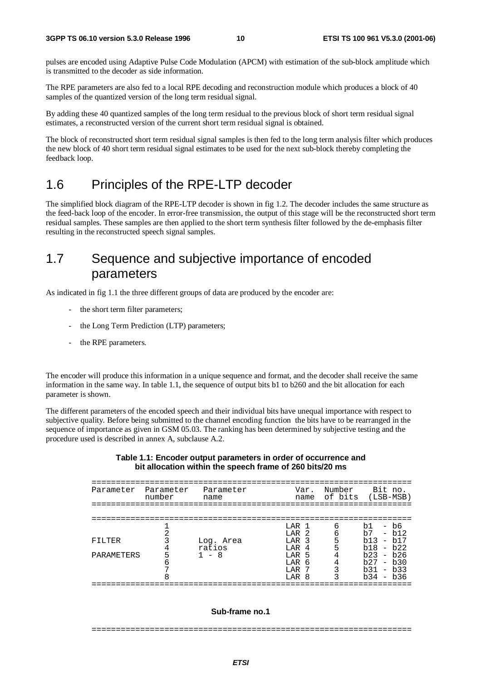pulses are encoded using Adaptive Pulse Code Modulation (APCM) with estimation of the sub-block amplitude which is transmitted to the decoder as side information.

The RPE parameters are also fed to a local RPE decoding and reconstruction module which produces a block of 40 samples of the quantized version of the long term residual signal.

By adding these 40 quantized samples of the long term residual to the previous block of short term residual signal estimates, a reconstructed version of the current short term residual signal is obtained.

The block of reconstructed short term residual signal samples is then fed to the long term analysis filter which produces the new block of 40 short term residual signal estimates to be used for the next sub-block thereby completing the feedback loop.

## 1.6 Principles of the RPE-LTP decoder

The simplified block diagram of the RPE-LTP decoder is shown in fig 1.2. The decoder includes the same structure as the feed-back loop of the encoder. In error-free transmission, the output of this stage will be the reconstructed short term residual samples. These samples are then applied to the short term synthesis filter followed by the de-emphasis filter resulting in the reconstructed speech signal samples.

## 1.7 Sequence and subjective importance of encoded parameters

As indicated in fig 1.1 the three different groups of data are produced by the encoder are:

- the short term filter parameters;
- the Long Term Prediction (LTP) parameters;
- the RPE parameters.

The encoder will produce this information in a unique sequence and format, and the decoder shall receive the same information in the same way. In table 1.1, the sequence of output bits b1 to b260 and the bit allocation for each parameter is shown.

The different parameters of the encoded speech and their individual bits have unequal importance with respect to subjective quality. Before being submitted to the channel encoding function the bits have to be rearranged in the sequence of importance as given in GSM 05.03. The ranking has been determined by subjective testing and the procedure used is described in annex A, subclause A.2.

#### **Table 1.1: Encoder output parameters in order of occurrence and bit allocation within the speech frame of 260 bits/20 ms**

| Parameter  | Parameter<br>number | Parameter<br>name   | Var.<br>name                                   | Number | Bit no.<br>of bits (LSB-MSB)                                   |
|------------|---------------------|---------------------|------------------------------------------------|--------|----------------------------------------------------------------|
|            |                     |                     |                                                |        |                                                                |
|            |                     |                     | LAR 1<br>$T.AR$ 2                              | 6<br>б | - b6<br>b1<br>b7<br>$- b12$                                    |
| FILTER     |                     | Log. Area<br>ratios | LAR <sub>3</sub><br>T.AR<br>4                  | 5      | $h13 - h17$<br>$- h22$<br>b18                                  |
| PARAMETERS |                     | - 8                 | LAR <sub>5</sub><br>T.AR<br>-6<br>LAR<br>LAR 8 |        | $h23 - h26$<br>b27<br>$- b30$<br>b31<br>$- b33$<br>$b34 - b36$ |
|            |                     |                     |                                                |        |                                                                |

#### **Sub-frame no.1**

==================================================================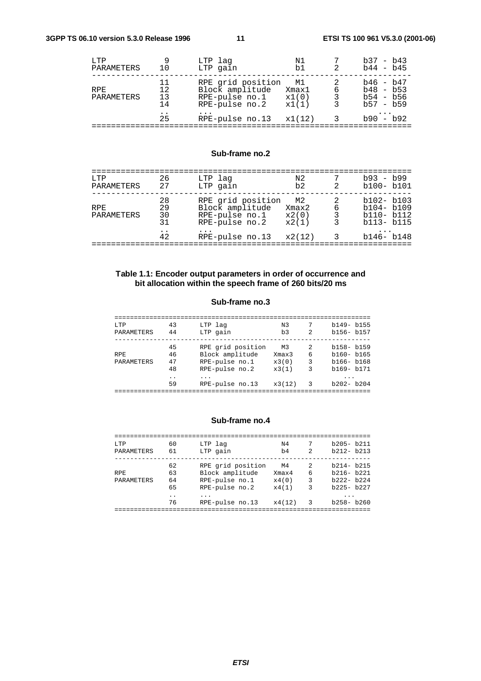| RPE grid position<br>Block amplitude<br>RPE-pulse no.1<br>RPE-pulse no.2 | M1<br>Xmax1<br>x1(0)<br>x1(1) | 6<br>3<br>3 | $b46 - b47$<br>$b48 - b53$<br>$b54 - b56$<br>$b57 - b59$ |
|--------------------------------------------------------------------------|-------------------------------|-------------|----------------------------------------------------------|
| RPE-pulse no.13                                                          |                               | 3           | $b90 - b92$                                              |
|                                                                          |                               | x1(12)      |                                                          |

#### **Sub-frame no.2**

| T.TP<br>PARAMETERS | 26<br>27             | LTP lag<br>LTP gain                                                      | N2<br>b2                      | $\mathcal{L}$  | $b93 - b99$<br>$b100 - b101$                                  |
|--------------------|----------------------|--------------------------------------------------------------------------|-------------------------------|----------------|---------------------------------------------------------------|
| RPF.<br>PARAMETERS | 28<br>29<br>30<br>31 | RPE grid position<br>Block amplitude<br>RPE-pulse no.1<br>RPE-pulse no.2 | M2<br>Xmax2<br>x2(0)<br>x2(1) | 6<br>3         | $b102 - b103$<br>$b104 - b109$<br>$b110 - b112$<br>b113- b115 |
|                    | 42                   | RPE-pulse no.13                                                          | x2(12)                        | $\overline{3}$ | $b146 - b148$                                                 |
|                    |                      |                                                                          |                               |                |                                                               |

#### **Table 1.1: Encoder output parameters in order of occurrence and bit allocation within the speech frame of 260 bits/20 ms**

#### **Sub-frame no.3**

| T.TP              | 43                   | LTP lag           | N <sub>3</sub> |               | $b149 - b155$ |
|-------------------|----------------------|-------------------|----------------|---------------|---------------|
| PARAMETERS        | 44                   | LTP gain          | b <sub>3</sub> | 2             | $b156 - b157$ |
|                   |                      |                   |                |               |               |
|                   | 45                   | RPE grid position | M3             | $\mathcal{L}$ | $b158 - b159$ |
| <b>RPE</b>        | 46                   | Block amplitude   | Xmax3          | 6             | $b160 - b165$ |
| <b>PARAMETERS</b> | 47                   | RPE-pulse no.1    | x3(0)          | 3             | $b166 - b168$ |
|                   | 48                   | RPE-pulse no.2    | x3(1)          | 3             | b169- b171    |
|                   | $\ddot{\phantom{a}}$ | .                 |                |               | .             |
|                   | 59                   | RPE-pulse no.13   | x3(12)         | 3             | $b202 - b204$ |
|                   |                      |                   |                |               |               |

#### **Sub-frame no.4**

| LTP               | 60                   | LTP lag           | N4     |               | $b205 - b211$ |
|-------------------|----------------------|-------------------|--------|---------------|---------------|
| PARAMETERS        | 61                   | LTP gain          | b4     | $\mathcal{L}$ | $b212 - b213$ |
|                   | 62                   | RPE grid position | M4     | $\mathcal{L}$ | $b214 - b215$ |
| <b>RPE</b>        | 63                   | Block amplitude   | Xmax4  | 6             | $b216 - b221$ |
| <b>PARAMETERS</b> | 64                   | RPE-pulse no.1    | x4(0)  | 3             | $b222 - b224$ |
|                   | 65                   | RPE-pulse no.2    | x4(1)  | 3             | $b225 - b227$ |
|                   | $\ddot{\phantom{0}}$ | .                 |        |               |               |
|                   | 76                   | RPE-pulse no.13   | x4(12) | 3             | $b258 - b260$ |
|                   |                      |                   |        |               |               |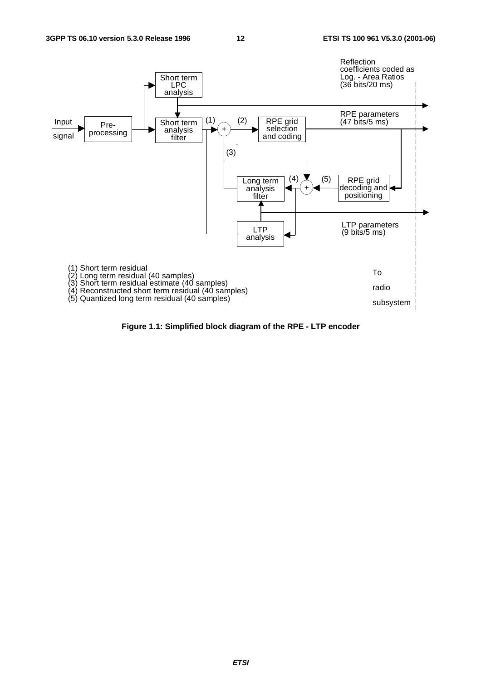

**Figure 1.1: Simplified block diagram of the RPE - LTP encoder**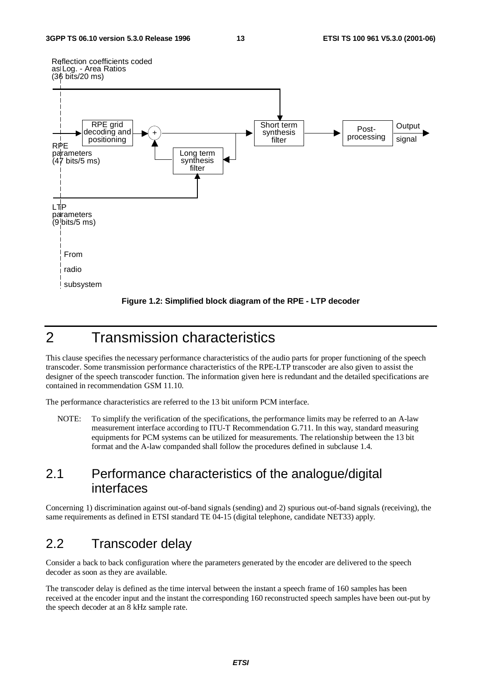



## 2 Transmission characteristics

This clause specifies the necessary performance characteristics of the audio parts for proper functioning of the speech transcoder. Some transmission performance characteristics of the RPE-LTP transcoder are also given to assist the designer of the speech transcoder function. The information given here is redundant and the detailed specifications are contained in recommendation GSM 11.10.

The performance characteristics are referred to the 13 bit uniform PCM interface.

NOTE: To simplify the verification of the specifications, the performance limits may be referred to an A-law measurement interface according to ITU-T Recommendation G.711. In this way, standard measuring equipments for PCM systems can be utilized for measurements. The relationship between the 13 bit format and the A-law companded shall follow the procedures defined in subclause 1.4.

## 2.1 Performance characteristics of the analogue/digital interfaces

Concerning 1) discrimination against out-of-band signals (sending) and 2) spurious out-of-band signals (receiving), the same requirements as defined in ETSI standard TE 04-15 (digital telephone, candidate NET33) apply.

## 2.2 Transcoder delay

Consider a back to back configuration where the parameters generated by the encoder are delivered to the speech decoder as soon as they are available.

The transcoder delay is defined as the time interval between the instant a speech frame of 160 samples has been received at the encoder input and the instant the corresponding 160 reconstructed speech samples have been out-put by the speech decoder at an 8 kHz sample rate.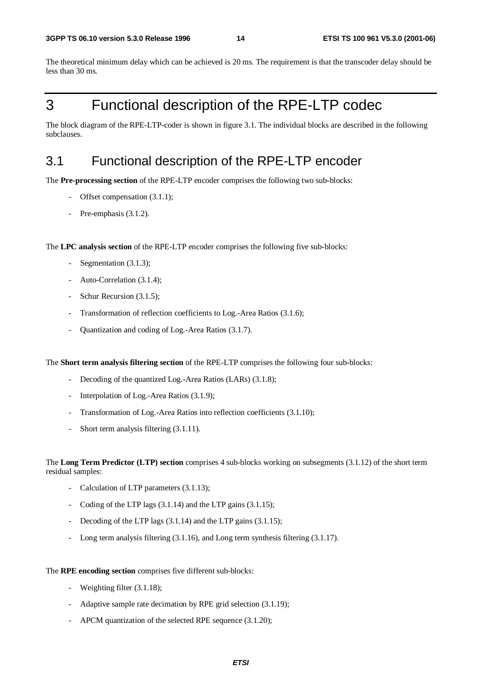The theoretical minimum delay which can be achieved is 20 ms. The requirement is that the transcoder delay should be less than 30 ms.

## 3 Functional description of the RPE-LTP codec

The block diagram of the RPE-LTP-coder is shown in figure 3.1. The individual blocks are described in the following subclauses.

## 3.1 Functional description of the RPE-LTP encoder

The **Pre-processing section** of the RPE-LTP encoder comprises the following two sub-blocks:

- Offset compensation (3.1.1);
- Pre-emphasis  $(3.1.2)$ .

The **LPC analysis section** of the RPE-LTP encoder comprises the following five sub-blocks:

- Segmentation (3.1.3);
- Auto-Correlation (3.1.4);
- Schur Recursion (3.1.5);
- Transformation of reflection coefficients to Log.-Area Ratios (3.1.6);
- Quantization and coding of Log.-Area Ratios (3.1.7).

The **Short term analysis filtering section** of the RPE-LTP comprises the following four sub-blocks:

- Decoding of the quantized Log.-Area Ratios (LARs) (3.1.8);
- Interpolation of Log.-Area Ratios (3.1.9);
- Transformation of Log.-Area Ratios into reflection coefficients (3.1.10);
- Short term analysis filtering (3.1.11).

The **Long Term Predictor (LTP) section** comprises 4 sub-blocks working on subsegments (3.1.12) of the short term residual samples:

- Calculation of LTP parameters (3.1.13);
- Coding of the LTP lags (3.1.14) and the LTP gains (3.1.15);
- Decoding of the LTP lags (3.1.14) and the LTP gains (3.1.15);
- Long term analysis filtering (3.1.16), and Long term synthesis filtering (3.1.17).

#### The **RPE encoding section** comprises five different sub-blocks:

- Weighting filter  $(3.1.18)$ ;
- Adaptive sample rate decimation by RPE grid selection (3.1.19);
- APCM quantization of the selected RPE sequence (3.1.20);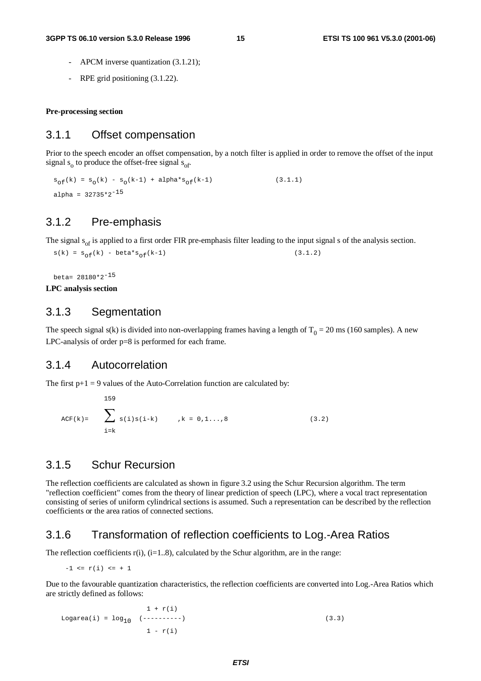- APCM inverse quantization  $(3.1.21)$ ;
- RPE grid positioning (3.1.22).

**Pre-processing section**

### 3.1.1 Offset compensation

Prior to the speech encoder an offset compensation, by a notch filter is applied in order to remove the offset of the input signal  $s_0$  to produce the offset-free signal  $s_{\text{of}}$ .

 $s_{\rm of}(k) \; = \; s_{\rm o}(k) \; - \; s_{\rm o}(k\mbox{-}1) \; + \; {\rm alpha}^\star s_{\rm of}(k\mbox{-}1) \eqno{(3.1.1)}$ alpha =  $32735*2^{-15}$ 

## 3.1.2 Pre-emphasis

The signal  $s_{\text{of}}$  is applied to a first order FIR pre-emphasis filter leading to the input signal s of the analysis section.

```
s(k) = s_{of}(k) - beta * s_{of}(k-1) (3.1.2)
```
beta= 28180\*2-15 **LPC analysis section**

### 3.1.3 Segmentation

The speech signal s(k) is divided into non-overlapping frames having a length of  $T_0 = 20$  ms (160 samples). A new LPC-analysis of order p=8 is performed for each frame.

#### 3.1.4 Autocorrelation

The first  $p+1 = 9$  values of the Auto-Correlation function are calculated by:

```
159
ACF(k)= \angle s(i)s(i-k) ,k = 0,1...,8 (3.2)<br>i=k
```
## 3.1.5 Schur Recursion

The reflection coefficients are calculated as shown in figure 3.2 using the Schur Recursion algorithm. The term "reflection coefficient" comes from the theory of linear prediction of speech (LPC), where a vocal tract representation consisting of series of uniform cylindrical sections is assumed. Such a representation can be described by the reflection coefficients or the area ratios of connected sections.

### 3.1.6 Transformation of reflection coefficients to Log.-Area Ratios

The reflection coefficients  $r(i)$ ,  $(i=1..8)$ , calculated by the Schur algorithm, are in the range:

 $-1 \le r(i) \le +1$ 

Due to the favourable quantization characteristics, the reflection coefficients are converted into Log.-Area Ratios which are strictly defined as follows:

```
1 + r(i)
Logarea(i) = log_{10} (--------) (3.3)
             1 - r(i)
```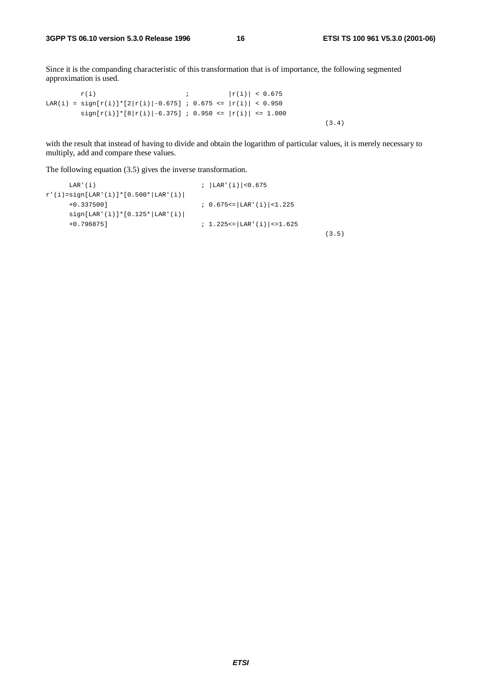Since it is the companding characteristic of this transformation that is of importance, the following segmented approximation is used.

```
r(i) ; |r(i)| < 0.675LAR(i) = sign[r(i)]*[2|r(i)]-0.675] ; 0.675 <= |r(i)| < 0.950sign[r(i)]*[8|r(i)|-6.375] ; 0.950 <= |r(i)| <= 1.000
                                                           (3.4)
```
with the result that instead of having to divide and obtain the logarithm of particular values, it is merely necessary to multiply, add and compare these values.

The following equation (3.5) gives the inverse transformation.

```
LAR'(i) ; |LAR'(i)|<0.675
r'(i) = sign[ LAR'(i)] * [0.500 * | LAR'(i)]+0.337500] ; 0.675<=|LAR'(i)|<1.225
    sign[LAR'(i)]*[0.125*|LAR'(i)|
    +0.796875] ; 1.225<=|LAR'(i)|<=1.625
                                                     (3.5)
```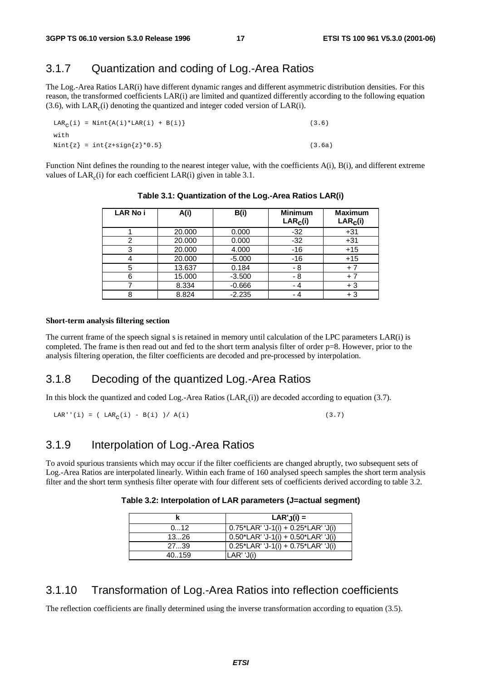## 3.1.7 Quantization and coding of Log.-Area Ratios

The Log.-Area Ratios LAR(i) have different dynamic ranges and different asymmetric distribution densities. For this reason, the transformed coefficients LAR(i) are limited and quantized differently according to the following equation  $(3.6)$ , with LAR<sub>c</sub> $(i)$  denoting the quantized and integer coded version of LAR $(i)$ .

 $\text{LAR}_{\alpha}(i) = \text{Nint}\{\text{A}(i)*\text{LAR}(i) + \text{B}(i)\}\$  (3.6) with  $Nint{z} = int{z+sign{z} * 0.5}$  (3.6a)

Function Nint defines the rounding to the nearest integer value, with the coefficients A(i), B(i), and different extreme values of  $LAR_c(i)$  for each coefficient  $LAR(i)$  given in table 3.1.

| <b>LAR No i</b> | A(i)   | B(i)     | <b>Minimum</b><br>LAR <sub>c</sub> (i) | <b>Maximum</b><br>$LAR_C(i)$ |
|-----------------|--------|----------|----------------------------------------|------------------------------|
|                 | 20.000 | 0.000    | $-32$                                  | $+31$                        |
| 2               | 20.000 | 0.000    | $-32$                                  | $+31$                        |
| 3               | 20.000 | 4.000    | $-16$                                  | $+15$                        |
|                 | 20.000 | $-5.000$ | $-16$                                  | $+15$                        |
| 5               | 13.637 | 0.184    | - 8                                    | $+7$                         |
| 6               | 15.000 | $-3.500$ | - 8                                    | $+7$                         |
|                 | 8.334  | $-0.666$ | - 4                                    | $+3$                         |
| 8               | 8.824  | $-2.235$ | - 4                                    | $+3$                         |

**Table 3.1: Quantization of the Log.-Area Ratios LAR(i)**

#### **Short-term analysis filtering section**

The current frame of the speech signal s is retained in memory until calculation of the LPC parameters LAR(i) is completed. The frame is then read out and fed to the short term analysis filter of order p=8. However, prior to the analysis filtering operation, the filter coefficients are decoded and pre-processed by interpolation.

### 3.1.8 Decoding of the quantized Log.-Area Ratios

In this block the quantized and coded Log.-Area Ratios  $(LAR<sub>c</sub>(i))$  are decoded according to equation (3.7).

LAR''(i) = ( LAR<sub>c</sub>(i) - B(i) )/ A(i) (3.7)

## 3.1.9 Interpolation of Log.-Area Ratios

To avoid spurious transients which may occur if the filter coefficients are changed abruptly, two subsequent sets of Log.-Area Ratios are interpolated linearly. Within each frame of 160 analysed speech samples the short term analysis filter and the short term synthesis filter operate with four different sets of coefficients derived according to table 3.2.

**Table 3.2: Interpolation of LAR parameters (J=actual segment)**

|        | $LAR'.J(i) =$                             |
|--------|-------------------------------------------|
| 012    | $0.75$ *LAR' 'J-1(i) + $0.25$ *LAR' 'J(i) |
| 1326   | $0.50*$ LAR' 'J-1(i) + $0.50*$ LAR' 'J(i) |
| 2739   | $0.25$ *LAR' 'J-1(i) + 0.75*LAR' 'J(i)    |
| 40.159 | $LAR'$ 'J(i)                              |

### 3.1.10 Transformation of Log.-Area Ratios into reflection coefficients

The reflection coefficients are finally determined using the inverse transformation according to equation (3.5).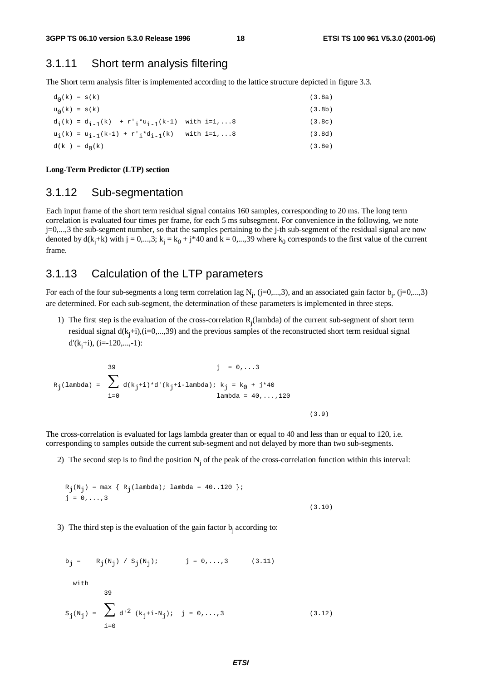### 3.1.11 Short term analysis filtering

The Short term analysis filter is implemented according to the lattice structure depicted in figure 3.3.

```
d_0(k) = s(k) (3.8a)
u_0(k) = s(k) (3.8b)
d_i(k) = d_{i-1}(k) + r'_{i} * u_{i-1}(k-1) with i=1,...8 (3.8c)
u_i(k) = u_{i-1}(k-1) + r'_{i} * d_{i-1}(k) with i=1,...8 (3.8d)
d(k) = d<sub>g</sub>(k) (3.8e)
```
**Long-Term Predictor (LTP) section**

### 3.1.12 Sub-segmentation

Each input frame of the short term residual signal contains 160 samples, corresponding to 20 ms. The long term correlation is evaluated four times per frame, for each 5 ms subsegment. For convenience in the following, we note j=0,...,3 the sub-segment number, so that the samples pertaining to the j-th sub-segment of the residual signal are now denoted by  $d(k_j+k)$  with  $j = 0,...,3$ ;  $k_j = k_0 + j*40$  and  $k = 0,...,39$  where  $k_0$  corresponds to the first value of the current frame.

### 3.1.13 Calculation of the LTP parameters

For each of the four sub-segments a long term correlation lag  $N_j$ , (j=0,...,3), and an associated gain factor  $b_j$ , (j=0,...,3) are determined. For each sub-segment, the determination of these parameters is implemented in three steps.

1) The first step is the evaluation of the cross-correlation  $R_j$  (lambda) of the current sub-segment of short term residual signal  $d(k_j+i)$ , (i=0,...,39) and the previous samples of the reconstructed short term residual signal d'(kj +i), (i=-120,...,-1):

$$
R_{j}(lambda) = \sum_{i=0}^{39} d(k_{j}+i)*d'(k_{j}+i-lambda)k_{j} = k_{0} + j*40
$$
  
lambda = 40,...,120  
lambda = 40,...,120  
(3.9)

The cross-correlation is evaluated for lags lambda greater than or equal to 40 and less than or equal to 120, i.e. corresponding to samples outside the current sub-segment and not delayed by more than two sub-segments.

2) The second step is to find the position  $N_i$  of the peak of the cross-correlation function within this interval:

$$
R_j(N_j) = \max \{ R_j(\text{lambda}) : \text{lambda} = 40..120 \};
$$
  

$$
j = 0, ..., 3
$$
 (3.10)

3) The third step is the evaluation of the gain factor  $b_i$  according to:

$$
b_{j} = R_{j}(N_{j}) / S_{j}(N_{j}); \t j = 0,...,3 \t (3.11)
$$
  
with  

$$
39
$$
  

$$
S_{j}(N_{j}) = \sum_{i=0}^{3} d^{i2} (k_{j} + i - N_{j}); j = 0,...,3 \t (3.12)
$$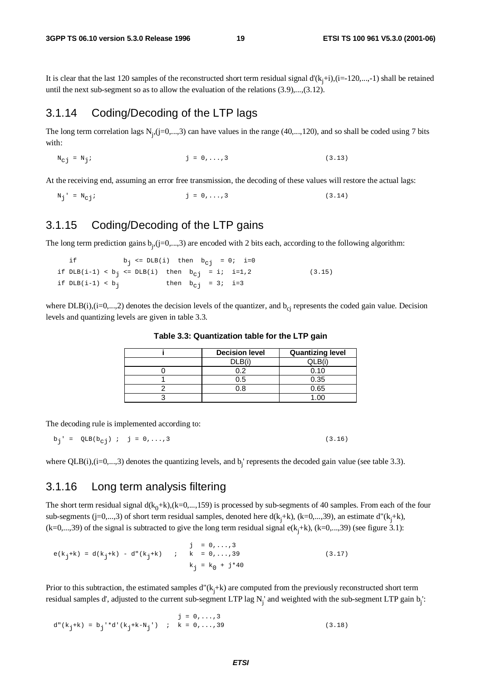It is clear that the last 120 samples of the reconstructed short term residual signal d'(k<sub>j</sub>+i),(i=-120,...,-1) shall be retained until the next sub-segment so as to allow the evaluation of the relations (3.9),...,(3.12).

## 3.1.14 Coding/Decoding of the LTP lags

The long term correlation lags  $N_j$ ,  $(j=0,...,3)$  can have values in the range (40,..., 120), and so shall be coded using 7 bits with:

 $N_{Cj} = N_j;$  (3.13)

At the receiving end, assuming an error free transmission, the decoding of these values will restore the actual lags:

 $N_j' = N_{c,j};$  (3.14)

## 3.1.15 Coding/Decoding of the LTP gains

The long term prediction gains  $b_j$ ,  $(j=0,...,3)$  are encoded with 2 bits each, according to the following algorithm:

if  $b_j \leq DLB(i)$  then  $b_{cj} = 0; i=0$ if  $DLB(i-1) < b_j \leq DLB(i)$  then  $b_{cj} = i; i=1,2$  (3.15) if  $DLB(i-1) < b_j$  then  $b_{c,j} = 3; i=3$ 

where  $DLB(i),(i=0,...,2)$  denotes the decision levels of the quantizer, and  $b_{ci}$  represents the coded gain value. Decision levels and quantizing levels are given in table 3.3.

| <b>Decision level</b> | <b>Quantizing level</b> |
|-----------------------|-------------------------|
| N R                   | ור.<br>אור              |
|                       | 0.10                    |
| ט.נ                   | 0.35                    |
|                       | 0.65                    |
|                       | 1 በር                    |

**Table 3.3: Quantization table for the LTP gain**

The decoding rule is implemented according to:

 $b_j' = QLB(b_{c,j})$ ; j = 0,...,3 (3.16)

where  $QLB(i),(i=0,...,3)$  denotes the quantizing levels, and  $b_j$  represents the decoded gain value (see table 3.3).

### 3.1.16 Long term analysis filtering

The short term residual signal  $d(k_0+k)$ ,  $(k=0,...,159)$  is processed by sub-segments of 40 samples. From each of the four sub-segments (j=0,...,3) of short term residual samples, denoted here  $d(k_j+k)$ , (k=0,...,39), an estimate  $d''(k_j+k)$ ,  $(k=0,...,39)$  of the signal is subtracted to give the long term residual signal  $e(k_j+k)$ ,  $(k=0,...,39)$  (see figure 3.1):

 $j = 0, \ldots, 3$  $e(k_j+k) = d(k_j+k) - d''(k_j+k)$  ; k = 0,...,39 (3.17)  $k_{i} = k_{0} + j*40$ 

Prior to this subtraction, the estimated samples d"(k<sub>j</sub>+k) are computed from the previously reconstructed short term residual samples d', adjusted to the current sub-segment LTP lag  $N_j$  and weighted with the sub-segment LTP gain b<sub>j</sub>:

$$
j = 0, ..., 3
$$
  
d" (k<sub>j</sub>+k) = b<sub>j</sub> "d" (k<sub>j</sub>+k-N<sub>j</sub>") ; k = 0, ..., 39 (3.18)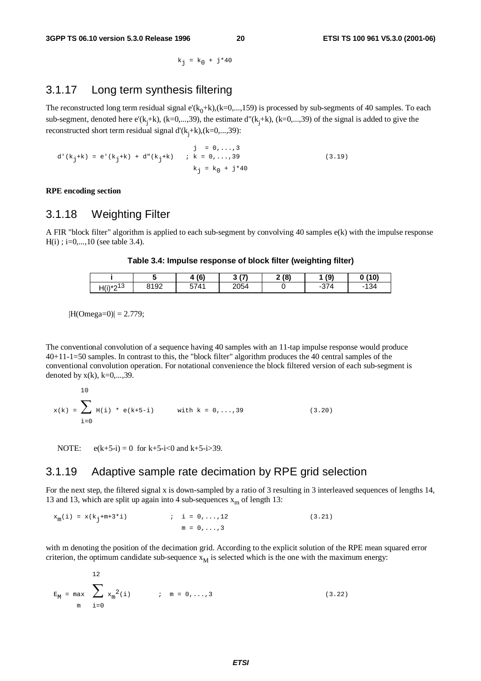$k_i = k_0 + j*40$ 

### 3.1.17 Long term synthesis filtering

The reconstructed long term residual signal e'( $k_0+k$ ),( $k=0,...,159$ ) is processed by sub-segments of 40 samples. To each sub-segment, denoted here  $e'(k_j+k)$ ,  $(k=0,...,39)$ , the estimate  $d''(k_j+k)$ ,  $(k=0,...,39)$  of the signal is added to give the reconstructed short term residual signal  $d'(k_j+k)$ ,  $(k=0,...,39)$ :

 $j = 0, \ldots, 3$ d'(k<sub>j</sub>+k) = e'(k<sub>j</sub>+k) + d"(k<sub>j</sub>+k) ; k = 0,...,39 (3.19)  $k_j = k_0 + j*40$ 

**RPE encoding section**

### 3.1.18 Weighting Filter

A FIR "block filter" algorithm is applied to each sub-segment by convolving 40 samples e(k) with the impulse response  $H(i)$ ; i=0,...,10 (see table 3.4).

#### **Table 3.4: Impulse response of block filter (weighting filter)**

|               |      | (6)  | (7)<br>$\ddot{\phantom{1}}$ | 2(8) | (9)        | 0(10)    |
|---------------|------|------|-----------------------------|------|------------|----------|
| $H(i)*2^{13}$ | 8192 | 5741 | 2054                        |      | 374<br>- - | 134<br>- |

 $|H(Omega=0)| = 2.779;$ 

The conventional convolution of a sequence having 40 samples with an 11-tap impulse response would produce 40+11-1=50 samples. In contrast to this, the "block filter" algorithm produces the 40 central samples of the conventional convolution operation. For notational convenience the block filtered version of each sub-segment is denoted by  $x(k)$ ,  $k=0,\ldots,39$ .

$$
x(k) = \sum_{i=0}^{10} H(i) * e(k+5-i) \qquad \text{with } k = 0,...,39
$$
 (3.20)

NOTE:  $e(k+5-i) = 0$  for  $k+5-i<0$  and  $k+5-i>39$ .

### 3.1.19 Adaptive sample rate decimation by RPE grid selection

For the next step, the filtered signal x is down-sampled by a ratio of 3 resulting in 3 interleaved sequences of lengths 14, 13 and 13, which are split up again into 4 sub-sequences  $x<sub>m</sub>$  of length 13:

 $x_m(i) = x(k_i+m+3*i)$  ; i = 0,...,12 (3.21)  $m = 0, \ldots, 3$ 

with m denoting the position of the decimation grid. According to the explicit solution of the RPE mean squared error criterion, the optimum candidate sub-sequence  $x_M$  is selected which is the one with the maximum energy:

$$
E_M = \max_{m} \sum_{i=0}^{12} x_m^2(i) \qquad ; \quad m = 0, ..., 3
$$
 (3.22)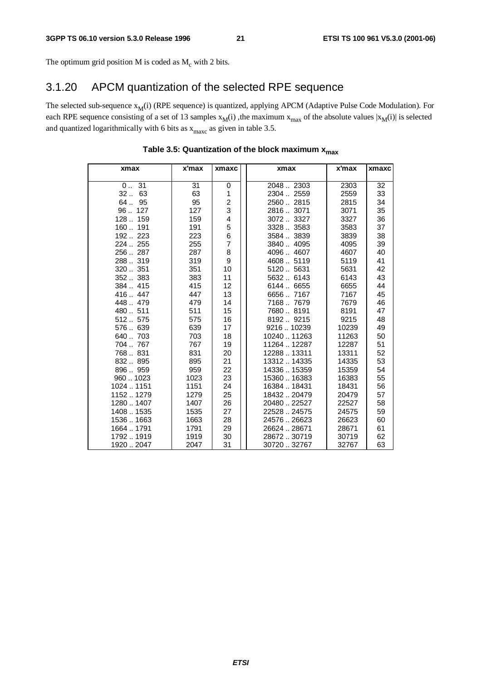The optimum grid position M is coded as  $M_c$  with 2 bits.

## 3.1.20 APCM quantization of the selected RPE sequence

The selected sub-sequence  $x_M(i)$  (RPE sequence) is quantized, applying APCM (Adaptive Pulse Code Modulation). For each RPE sequence consisting of a set of 13 samples  $x_M(i)$ , the maximum  $x_{max}$  of the absolute values  $|x_M(i)|$  is selected and quantized logarithmically with 6 bits as  $x_{\text{max}}$  as given in table 3.5.

| xmax       | x'max | xmaxc                   | xmax         | x'max | xmaxc |
|------------|-------|-------------------------|--------------|-------|-------|
| 031        | 31    | 0                       | 20482303     | 2303  | 32    |
| 63<br>32   | 63    | 1                       | 2304  2559   | 2559  | 33    |
| 64<br>95   | 95    | $\overline{\mathbf{c}}$ | 25602815     | 2815  | 34    |
| 96127      | 127   | 3                       | 28163071     | 3071  | 35    |
| 128 159    | 159   | 4                       | 30723327     | 3327  | 36    |
| 160 191    | 191   | 5                       | 33283583     | 3583  | 37    |
| 192 223    | 223   | 6                       | 35843839     | 3839  | 38    |
| 224  255   | 255   | $\overline{7}$          | 38404095     | 4095  | 39    |
| 256287     | 287   | 8                       | 40964607     | 4607  | 40    |
| 288319     | 319   | 9                       | 46085119     | 5119  | 41    |
| 320351     | 351   | 10                      | 51205631     | 5631  | 42    |
| 352383     | 383   | 11                      | 5632 6143    | 6143  | 43    |
| 384415     | 415   | 12                      | 6144  6655   | 6655  | 44    |
| 416447     | 447   | 13                      | 66567167     | 7167  | 45    |
| 448479     | 479   | 14                      | 71687679     | 7679  | 46    |
| 480511     | 511   | 15                      | 76808191     | 8191  | 47    |
| 512575     | 575   | 16                      | 81929215     | 9215  | 48    |
| 576 639    | 639   | 17                      | 921610239    | 10239 | 49    |
| 640 703    | 703   | 18                      | 10240  11263 | 11263 | 50    |
| 704767     | 767   | 19                      | 11264  12287 | 12287 | 51    |
| 768831     | 831   | 20                      | 12288  13311 | 13311 | 52    |
| 832895     | 895   | 21                      | 1331214335   | 14335 | 53    |
| 896959     | 959   | 22                      | 1433615359   | 15359 | 54    |
| 9601023    | 1023  | 23                      | 15360  16383 | 16383 | 55    |
| 1024  1151 | 1151  | 24                      | 16384  18431 | 18431 | 56    |
| 11521279   | 1279  | 25                      | 1843220479   | 20479 | 57    |
| 12801407   | 1407  | 26                      | 20480  22527 | 22527 | 58    |
| 14081535   | 1535  | 27                      | 22528  24575 | 24575 | 59    |
| 15361663   | 1663  | 28                      | 2457626623   | 26623 | 60    |
| 1664  1791 | 1791  | 29                      | 26624  28671 | 28671 | 61    |
| 17921919   | 1919  | 30                      | 28672.30719  | 30719 | 62    |
| 19202047   | 2047  | 31                      | 30720 32767  | 32767 | 63    |

#### Table 3.5: Quantization of the block maximum x<sub>max</sub>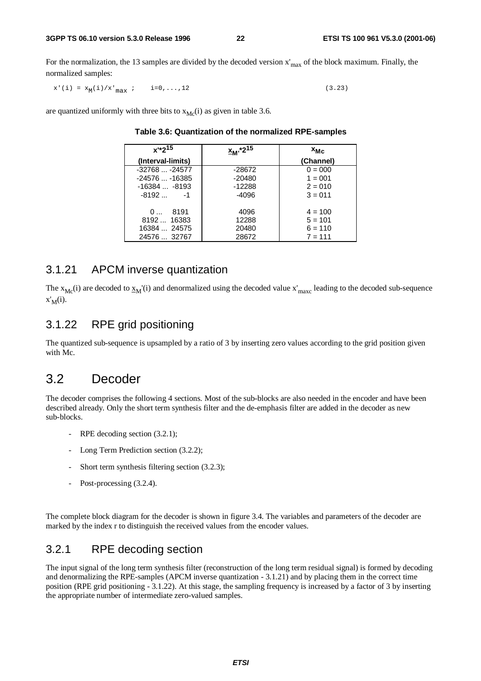For the normalization, the 13 samples are divided by the decoded version  $x'_{max}$  of the block maximum. Finally, the normalized samples:

 $x'(i) = x_M(i)/x'_{max}$  ;  $i=0,...,12$  (3.23)

are quantized uniformly with three bits to  $x_{Mc}(i)$  as given in table 3.6.

| $x^{\frac{1}{2}}2^{15}$ | <sub>2M'</sub> *2 <sup>15</sup> | $x_{MC}$  |
|-------------------------|---------------------------------|-----------|
| (Interval-limits)       |                                 | (Channel) |
| $-32768 -24577$         | -28672                          | $0 = 000$ |
| $-24576 -16385$         | $-20480$                        | $1 = 001$ |
| $-16384 -8193$          | $-12288$                        | $2 = 010$ |
| $-8192 -1$              | -4096                           | $3 = 011$ |
| - 8191<br>0             | 4096                            | $4 = 100$ |
| 8192 16383              | 12288                           | $5 = 101$ |
| 16384  24575            | 20480                           | $6 = 110$ |
| 24576  32767            | 28672                           | $7 = 111$ |

**Table 3.6: Quantization of the normalized RPE-samples**

### 3.1.21 APCM inverse quantization

The  $x_{Mc}(i)$  are decoded to  $x_M'(i)$  and denormalized using the decoded value  $x'_{max}$  leading to the decoded sub-sequence  $x'_M(i)$ .

### 3.1.22 RPE grid positioning

The quantized sub-sequence is upsampled by a ratio of 3 by inserting zero values according to the grid position given with Mc.

## 3.2 Decoder

The decoder comprises the following 4 sections. Most of the sub-blocks are also needed in the encoder and have been described already. Only the short term synthesis filter and the de-emphasis filter are added in the decoder as new sub-blocks.

- RPE decoding section  $(3.2.1)$ ;
- Long Term Prediction section (3.2.2);
- Short term synthesis filtering section (3.2.3);
- Post-processing (3.2.4).

The complete block diagram for the decoder is shown in figure 3.4. The variables and parameters of the decoder are marked by the index r to distinguish the received values from the encoder values.

## 3.2.1 RPE decoding section

The input signal of the long term synthesis filter (reconstruction of the long term residual signal) is formed by decoding and denormalizing the RPE-samples (APCM inverse quantization - 3.1.21) and by placing them in the correct time position (RPE grid positioning - 3.1.22). At this stage, the sampling frequency is increased by a factor of 3 by inserting the appropriate number of intermediate zero-valued samples.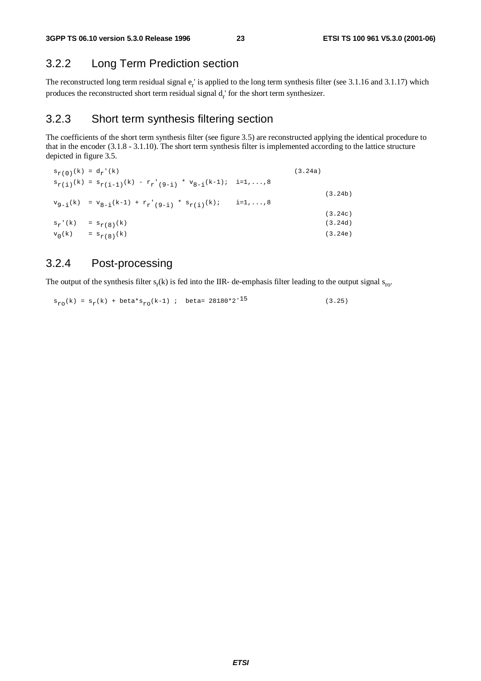## 3.2.2 Long Term Prediction section

The reconstructed long term residual signal  $e_r$  is applied to the long term synthesis filter (see 3.1.16 and 3.1.17) which produces the reconstructed short term residual signal  $d_r$  for the short term synthesizer.

### 3.2.3 Short term synthesis filtering section

The coefficients of the short term synthesis filter (see figure 3.5) are reconstructed applying the identical procedure to that in the encoder (3.1.8 - 3.1.10). The short term synthesis filter is implemented according to the lattice structure depicted in figure 3.5.

|           | $s_{r(0)}(k) = d_r'(k)$                                                                                                       |                    | (3.24a) |
|-----------|-------------------------------------------------------------------------------------------------------------------------------|--------------------|---------|
|           | $s_{r(i)}(k) = s_{r(i-1)}(k) - r_{r'(9-i)} * v_{8-i}(k-1); i = 1,,8$                                                          |                    |         |
|           |                                                                                                                               |                    | (3.24b) |
|           | ${\tt v}_{9-i}(k) \ \ = \ {\tt v}_{8-i}(k-1) \ + \ {\tt r}_r \ \! \cdot \ \! \cdot \ (9-i) \ \ ^* \ \ {\tt s}_{r(i)}(k) \, ;$ | $i = 1, \ldots, 8$ |         |
|           |                                                                                                                               |                    | (3.24c) |
| $s_r'(k)$ | $= s_{r(8)}(k)$                                                                                                               |                    | (3.24d) |
| $v_0(k)$  | $= s_{r(8)}(k)$                                                                                                               |                    | (3.24e) |

## 3.2.4 Post-processing

The output of the synthesis filter  $s_r(k)$  is fed into the IIR- de-emphasis filter leading to the output signal  $s_{\text{ro}}$ .

 $s_{r0}(k) = s_r(k) + \text{beta} s_{r0}(k-1)$ ; beta= 28180\*2<sup>-15</sup> (3.25)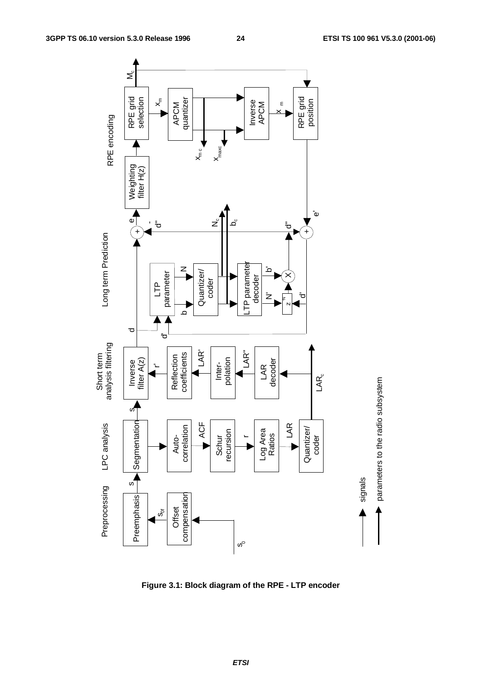

**Figure 3.1: Block diagram of the RPE - LTP encoder**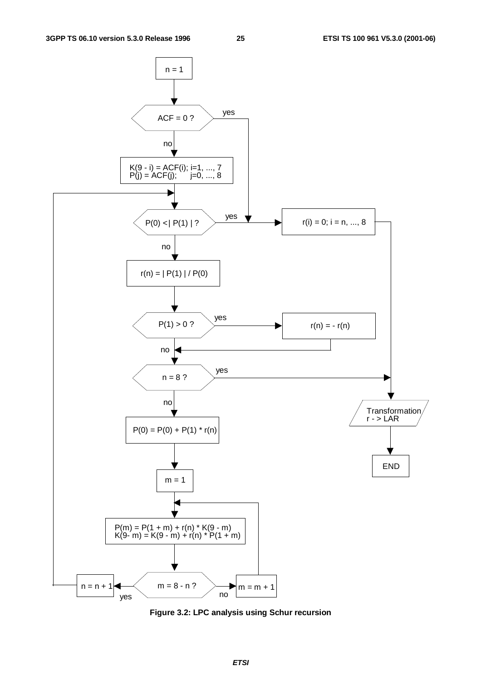

**Figure 3.2: LPC analysis using Schur recursion**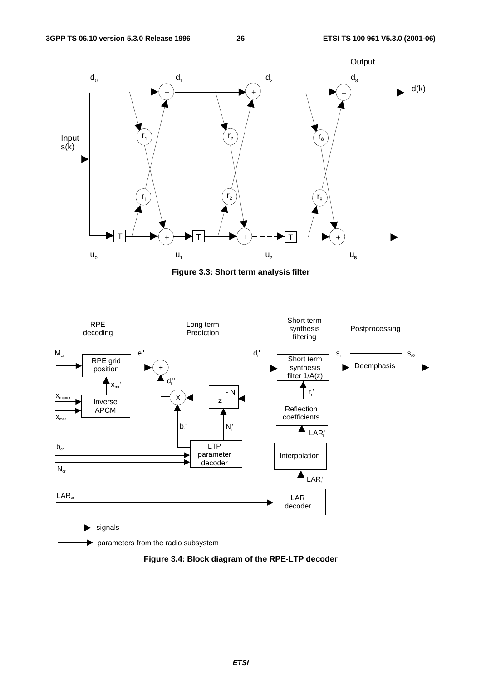

**Figure 3.3: Short term analysis filter**



parameters from the radio subsystem

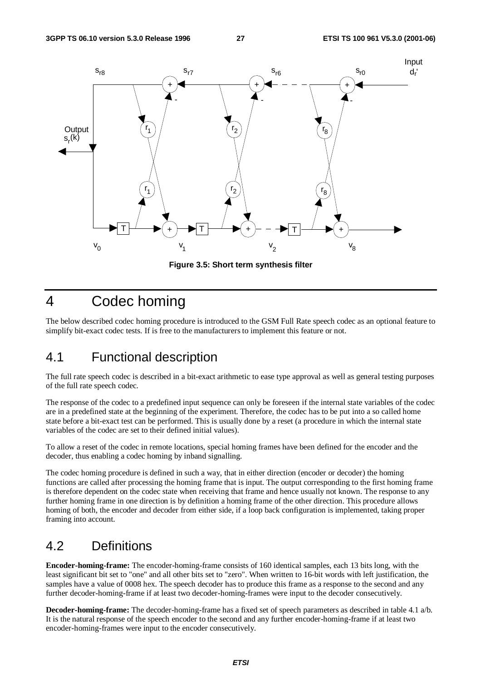

**Figure 3.5: Short term synthesis filter**

## 4 Codec homing

The below described codec homing procedure is introduced to the GSM Full Rate speech codec as an optional feature to simplify bit-exact codec tests. If is free to the manufacturers to implement this feature or not.

## 4.1 Functional description

The full rate speech codec is described in a bit-exact arithmetic to ease type approval as well as general testing purposes of the full rate speech codec.

The response of the codec to a predefined input sequence can only be foreseen if the internal state variables of the codec are in a predefined state at the beginning of the experiment. Therefore, the codec has to be put into a so called home state before a bit-exact test can be performed. This is usually done by a reset (a procedure in which the internal state variables of the codec are set to their defined initial values).

To allow a reset of the codec in remote locations, special homing frames have been defined for the encoder and the decoder, thus enabling a codec homing by inband signalling.

The codec homing procedure is defined in such a way, that in either direction (encoder or decoder) the homing functions are called after processing the homing frame that is input. The output corresponding to the first homing frame is therefore dependent on the codec state when receiving that frame and hence usually not known. The response to any further homing frame in one direction is by definition a homing frame of the other direction. This procedure allows homing of both, the encoder and decoder from either side, if a loop back configuration is implemented, taking proper framing into account.

## 4.2 Definitions

**Encoder-homing-frame:** The encoder-homing-frame consists of 160 identical samples, each 13 bits long, with the least significant bit set to "one" and all other bits set to "zero". When written to 16-bit words with left justification, the samples have a value of 0008 hex. The speech decoder has to produce this frame as a response to the second and any further decoder-homing-frame if at least two decoder-homing-frames were input to the decoder consecutively.

**Decoder-homing-frame:** The decoder-homing-frame has a fixed set of speech parameters as described in table 4.1 a/b. It is the natural response of the speech encoder to the second and any further encoder-homing-frame if at least two encoder-homing-frames were input to the encoder consecutively.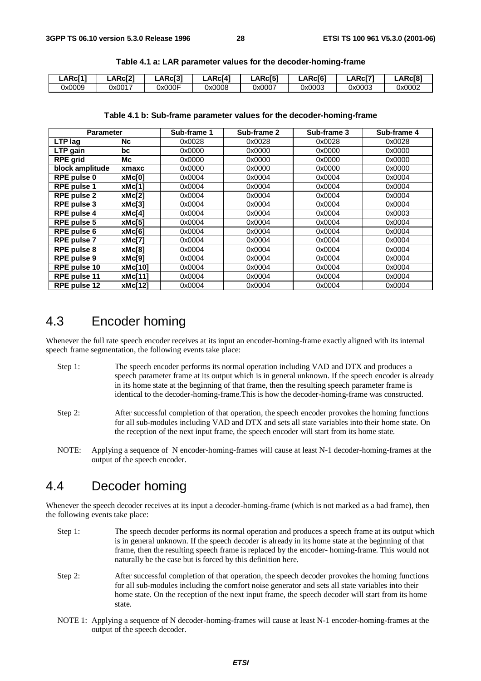| <b>LARci1'</b> | LARc <sub>[2]</sub> | <b>LARci31</b> | LARc <sub>[4]</sub> | LARc[5] | <b>LARc</b> [6] | LARc <sup>[7</sup> | _ARcl8' |
|----------------|---------------------|----------------|---------------------|---------|-----------------|--------------------|---------|
| 0x0009         | 0x0017              | 0x000F         | 0x0008              | 0x0007  | 0x0003          | 0x0003             | 0x0002  |

| Table 4.1 a: LAR parameter values for the decoder-homing-frame |  |  |  |  |  |
|----------------------------------------------------------------|--|--|--|--|--|
|----------------------------------------------------------------|--|--|--|--|--|

#### **Table 4.1 b: Sub-frame parameter values for the decoder-homing-frame**

| <b>Parameter</b>   |                | Sub-frame 1 | Sub-frame 2 | Sub-frame 3 | Sub-frame 4 |
|--------------------|----------------|-------------|-------------|-------------|-------------|
| LTP lag            | <b>Nc</b>      | 0x0028      | 0x0028      | 0x0028      | 0x0028      |
| LTP gain           | bc             | 0x0000      | 0x0000      | 0x0000      | 0x0000      |
| <b>RPE grid</b>    | Мc             | 0x0000      | 0x0000      | 0x0000      | 0x0000      |
| block amplitude    | xmaxc          | 0x0000      | 0x0000      | 0x0000      | 0x0000      |
| <b>RPE pulse 0</b> | xMc[0]         | 0x0004      | 0x0004      | 0x0004      | 0x0004      |
| RPE pulse 1        | xMc[1]         | 0x0004      | 0x0004      | 0x0004      | 0x0004      |
| <b>RPE pulse 2</b> | xMc[2]         | 0x0004      | 0x0004      | 0x0004      | 0x0004      |
| <b>RPE pulse 3</b> | xMc[3]         | 0x0004      | 0x0004      | 0x0004      | 0x0004      |
| <b>RPE pulse 4</b> | xMc[4]         | 0x0004      | 0x0004      | 0x0004      | 0x0003      |
| RPE pulse 5        | xMc[5]         | 0x0004      | 0x0004      | 0x0004      | 0x0004      |
| RPE pulse 6        | xMc[6]         | 0x0004      | 0x0004      | 0x0004      | 0x0004      |
| <b>RPE pulse 7</b> | xMc[7]         | 0x0004      | 0x0004      | 0x0004      | 0x0004      |
| <b>RPE pulse 8</b> | xMc[8]         | 0x0004      | 0x0004      | 0x0004      | 0x0004      |
| <b>RPE pulse 9</b> | xMc[9]         | 0x0004      | 0x0004      | 0x0004      | 0x0004      |
| RPE pulse 10       | <b>xMc[10]</b> | 0x0004      | 0x0004      | 0x0004      | 0x0004      |
| RPE pulse 11       | xMc[11]        | 0x0004      | 0x0004      | 0x0004      | 0x0004      |
| RPE pulse 12       | xMc[12]        | 0x0004      | 0x0004      | 0x0004      | 0x0004      |

## 4.3 Encoder homing

Whenever the full rate speech encoder receives at its input an encoder-homing-frame exactly aligned with its internal speech frame segmentation, the following events take place:

- Step 1: The speech encoder performs its normal operation including VAD and DTX and produces a speech parameter frame at its output which is in general unknown. If the speech encoder is already in its home state at the beginning of that frame, then the resulting speech parameter frame is identical to the decoder-homing-frame.This is how the decoder-homing-frame was constructed.
- Step 2: After successful completion of that operation, the speech encoder provokes the homing functions for all sub-modules including VAD and DTX and sets all state variables into their home state. On the reception of the next input frame, the speech encoder will start from its home state.
- NOTE: Applying a sequence of N encoder-homing-frames will cause at least N-1 decoder-homing-frames at the output of the speech encoder.

## 4.4 Decoder homing

Whenever the speech decoder receives at its input a decoder-homing-frame (which is not marked as a bad frame), then the following events take place:

- Step 1: The speech decoder performs its normal operation and produces a speech frame at its output which is in general unknown. If the speech decoder is already in its home state at the beginning of that frame, then the resulting speech frame is replaced by the encoder- homing-frame. This would not naturally be the case but is forced by this definition here.
- Step 2: After successful completion of that operation, the speech decoder provokes the homing functions for all sub-modules including the comfort noise generator and sets all state variables into their home state. On the reception of the next input frame, the speech decoder will start from its home state.
- NOTE 1: Applying a sequence of N decoder-homing-frames will cause at least N-1 encoder-homing-frames at the output of the speech decoder.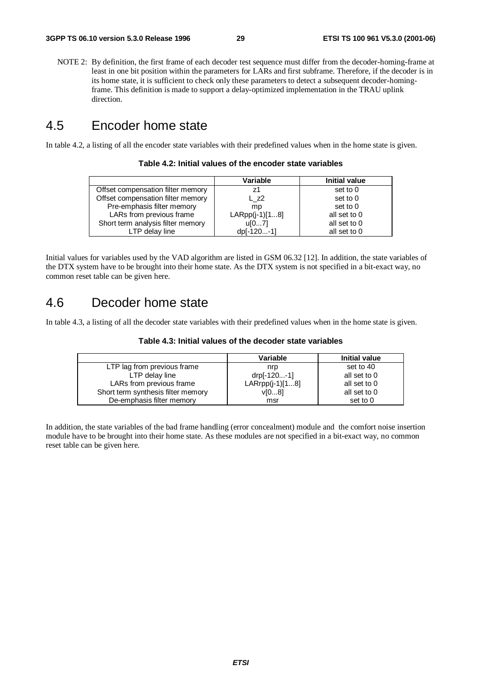NOTE 2: By definition, the first frame of each decoder test sequence must differ from the decoder-homing-frame at least in one bit position within the parameters for LARs and first subframe. Therefore, if the decoder is in its home state, it is sufficient to check only these parameters to detect a subsequent decoder-homingframe. This definition is made to support a delay-optimized implementation in the TRAU uplink direction.

## 4.5 Encoder home state

In table 4.2, a listing of all the encoder state variables with their predefined values when in the home state is given.

| Table 4.2: Initial values of the encoder state variables |
|----------------------------------------------------------|
|----------------------------------------------------------|

|                                   | Variable         | Initial value |
|-----------------------------------|------------------|---------------|
| Offset compensation filter memory | 71               | set to 0      |
| Offset compensation filter memory | L z2             | set to 0      |
| Pre-emphasis filter memory        | mp               | set to 0      |
| LARs from previous frame          | $LARP (j-1)[18]$ | all set to 0  |
| Short term analysis filter memory | u[07]            | all set to 0  |
| LTP delay line                    | dp[-120-1]       | all set to 0  |

Initial values for variables used by the VAD algorithm are listed in GSM 06.32 [12]. In addition, the state variables of the DTX system have to be brought into their home state. As the DTX system is not specified in a bit-exact way, no common reset table can be given here.

## 4.6 Decoder home state

In table 4.3, a listing of all the decoder state variables with their predefined values when in the home state is given.

| Table 4.3: Initial values of the decoder state variables |  |
|----------------------------------------------------------|--|
|----------------------------------------------------------|--|

|                                    | Variable          | <b>Initial value</b> |
|------------------------------------|-------------------|----------------------|
| LTP lag from previous frame        | nrp               | set to 40            |
| LTP delay line                     | drp[-120-1]       | all set to 0         |
| LARs from previous frame           | $LARrpp(i-1)[18]$ | all set to 0         |
| Short term synthesis filter memory | V[08]             | all set to 0         |
| De-emphasis filter memory          | msr               | set to 0             |

In addition, the state variables of the bad frame handling (error concealment) module and the comfort noise insertion module have to be brought into their home state. As these modules are not specified in a bit-exact way, no common reset table can be given here.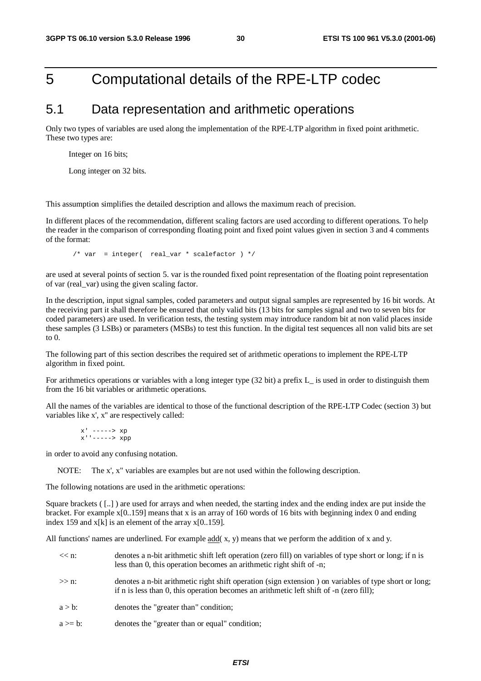## 5 Computational details of the RPE-LTP codec

## 5.1 Data representation and arithmetic operations

Only two types of variables are used along the implementation of the RPE-LTP algorithm in fixed point arithmetic. These two types are:

Integer on 16 bits;

Long integer on 32 bits.

This assumption simplifies the detailed description and allows the maximum reach of precision.

In different places of the recommendation, different scaling factors are used according to different operations. To help the reader in the comparison of corresponding floating point and fixed point values given in section 3 and 4 comments of the format:

/\* var = integer( real var \* scalefactor ) \*/

are used at several points of section 5. var is the rounded fixed point representation of the floating point representation of var (real\_var) using the given scaling factor.

In the description, input signal samples, coded parameters and output signal samples are represented by 16 bit words. At the receiving part it shall therefore be ensured that only valid bits (13 bits for samples signal and two to seven bits for coded parameters) are used. In verification tests, the testing system may introduce random bit at non valid places inside these samples (3 LSBs) or parameters (MSBs) to test this function. In the digital test sequences all non valid bits are set to 0.

The following part of this section describes the required set of arithmetic operations to implement the RPE-LTP algorithm in fixed point.

For arithmetics operations or variables with a long integer type (32 bit) a prefix L\_ is used in order to distinguish them from the 16 bit variables or arithmetic operations.

All the names of the variables are identical to those of the functional description of the RPE-LTP Codec (section 3) but variables like x', x'' are respectively called:

 $x'$  ----->  $xp$  $x'$ ''----->  $xpp$ 

in order to avoid any confusing notation.

NOTE: The x', x" variables are examples but are not used within the following description.

The following notations are used in the arithmetic operations:

Square brackets ( [..] ) are used for arrays and when needed, the starting index and the ending index are put inside the bracket. For example x[0..159] means that x is an array of 160 words of 16 bits with beginning index 0 and ending index 159 and  $x[k]$  is an element of the array  $x[0..159]$ .

All functions' names are underlined. For example add( $x$ ,  $y$ ) means that we perform the addition of x and y.

| $<< n$ : | denotes a n-bit arithmetic shift left operation (zero fill) on variables of type short or long; if n is |
|----------|---------------------------------------------------------------------------------------------------------|
|          | less than 0, this operation becomes an arithmetic right shift of -n;                                    |

- $\gg$  n: denotes a n-bit arithmetic right shift operation (sign extension ) on variables of type short or long; if n is less than 0, this operation becomes an arithmetic left shift of -n (zero fill);
- $a > b$ : denotes the "greater than" condition;
- $a \ge b$ : denotes the "greater than or equal" condition;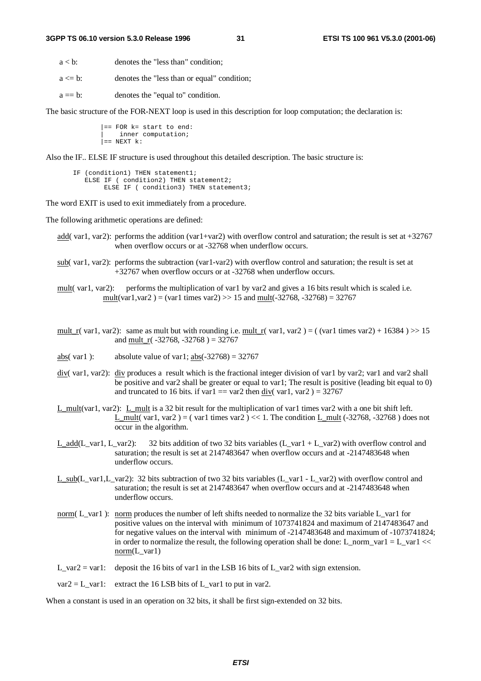$a < b$ : denotes the "less than" condition:

 $a \leq b$ : denotes the "less than or equal" condition;

 $a == b$ : denotes the "equal to" condition.

The basic structure of the FOR-NEXT loop is used in this description for loop computation; the declaration is:

 $==$  FOR  $k=$  start to end: inner computation;  $=$  NEXT  $k$ :

Also the IF.. ELSE IF structure is used throughout this detailed description. The basic structure is:

```
IF (condition1) THEN statement1;
   ELSE IF ( condition2) THEN statement2;
       ELSE IF ( condition3) THEN statement3;
```
The word EXIT is used to exit immediately from a procedure.

The following arithmetic operations are defined:

- add( var1, var2): performs the addition (var1+var2) with overflow control and saturation; the result is set at  $+32767$ when overflow occurs or at -32768 when underflow occurs.
- sub( var1, var2): performs the subtraction (var1-var2) with overflow control and saturation; the result is set at +32767 when overflow occurs or at -32768 when underflow occurs.

mult( var1, var2): performs the multiplication of var1 by var2 and gives a 16 bits result which is scaled i.e. mult(var1, var2) = (var1 times var2) >> 15 and mult(-32768, -32768) = 32767

- mult\_r( var1, var2): same as mult but with rounding i.e. mult\_r( var1, var2 ) = ( (var1 times var2) + 16384 ) >> 15 and mult\_r( $-32768$ ,  $-32768$ ) = 32767
- abs( var1 ): absolute value of var1;  $\frac{\text{abs}}{\text{abs}}(-32768) = 32767$
- div( var1, var2): div produces a result which is the fractional integer division of var1 by var2; var1 and var2 shall be positive and var2 shall be greater or equal to var1; The result is positive (leading bit equal to 0) and truncated to 16 bits. if var1 = var2 then div( var1, var2 ) =  $32767$
- L\_mult(var1, var2): L\_mult is a 32 bit result for the multiplication of var1 times var2 with a one bit shift left. L\_mult( var1, var2 ) = ( var1 times var2 ) << 1. The condition L\_mult  $(-32768, -32768)$  does not occur in the algorithm.
- L\_add(L\_var1, L\_var2): 32 bits addition of two 32 bits variables (L\_var1 + L\_var2) with overflow control and saturation; the result is set at 2147483647 when overflow occurs and at -2147483648 when underflow occurs.
- L\_sub(L\_var1,L\_var2): 32 bits subtraction of two 32 bits variables (L\_var1 L\_var2) with overflow control and saturation; the result is set at 2147483647 when overflow occurs and at -2147483648 when underflow occurs.
- norm( L\_var1): norm produces the number of left shifts needed to normalize the 32 bits variable L\_var1 for positive values on the interval with minimum of 1073741824 and maximum of 2147483647 and for negative values on the interval with minimum of -2147483648 and maximum of -1073741824; in order to normalize the result, the following operation shall be done: L\_norm\_var1 = L\_var1 <<  $norm(L\_var1)$
- L\_var2 = var1: deposit the 16 bits of var1 in the LSB 16 bits of L\_var2 with sign extension.
- $var2 = L_{var1}:$  extract the 16 LSB bits of L\_var1 to put in var2.

When a constant is used in an operation on 32 bits, it shall be first sign-extended on 32 bits.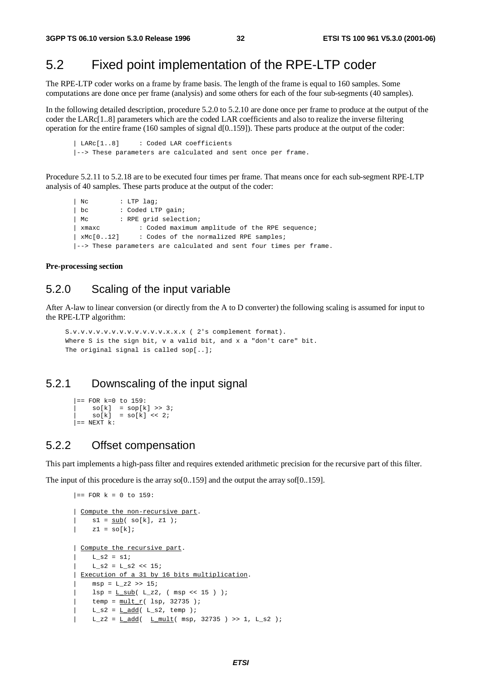## 5.2 Fixed point implementation of the RPE-LTP coder

The RPE-LTP coder works on a frame by frame basis. The length of the frame is equal to 160 samples. Some computations are done once per frame (analysis) and some others for each of the four sub-segments (40 samples).

In the following detailed description, procedure 5.2.0 to 5.2.10 are done once per frame to produce at the output of the coder the LARc[1..8] parameters which are the coded LAR coefficients and also to realize the inverse filtering operation for the entire frame (160 samples of signal d[0..159]). These parts produce at the output of the coder:

| LARc[1..8] : Coded LAR coefficients |--> These parameters are calculated and sent once per frame.

Procedure 5.2.11 to 5.2.18 are to be executed four times per frame. That means once for each sub-segment RPE-LTP analysis of 40 samples. These parts produce at the output of the coder:

```
| Nc : LTP lag;
| bc : Coded LTP gain;
| Mc : RPE grid selection;
| xmaxc : Coded maximum amplitude of the RPE sequence;
| xMc[0..12] : Codes of the normalized RPE samples;
|--> These parameters are calculated and sent four times per frame.
```
**Pre-processing section**

### 5.2.0 Scaling of the input variable

After A-law to linear conversion (or directly from the A to D converter) the following scaling is assumed for input to the RPE-LTP algorithm:

```
S.v.v.v.v.v.v.v.v.v.v.v.v.x.x.x ( 2's complement format).
Where S is the sign bit, v a valid bit, and x a "don't care" bit.
The original signal is called sop[..];
```
## 5.2.1 Downscaling of the input signal

```
|== FOR k=0 to 159:
     so[k] = sop[k] \gg 3;\text{so}[k] = \text{so}[k] << 2;
\vert == NEXT k:
```
### 5.2.2 Offset compensation

This part implements a high-pass filter and requires extended arithmetic precision for the recursive part of this filter.

The input of this procedure is the array so[0..159] and the output the array sof[0..159].

```
|== FOR k = 0 to 159:
| Compute the non-recursive part.
    sl = sub( so[k], z1 );
| z1 = so[k];
| Compute the recursive part.
    L s2 = s1;
    L_S2 = L_S2 \ll 15;Execution of a 31 by 16 bits multiplication.
    msp = L z2 \gg 15;lsp = L \text{ sub}(L_z2, (msp << 15 ) );
    temp = mult_r( lsp, 32735 );
   L_S2 = L_{\text{add}}( L_S2, \text{temp } );L_z^2 = L_d d/d ( L_m \text{mult} msp, 32735 ) >> 1, L_s^2 );
```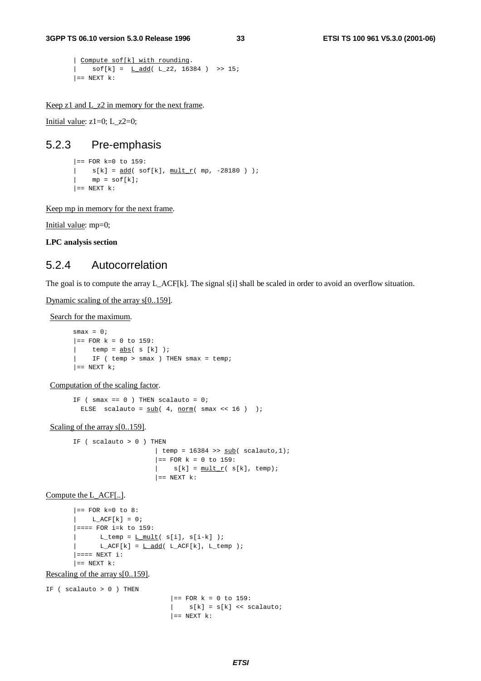```
| Compute sof[k] with rounding.
| \quad sof[k] = <u>L_add</u>( L_z2, 16384 ) >> 15;
| == NEXT k:
```
Keep z1 and L\_z2 in memory for the next frame.

Initial value:  $z1=0$ ; L\_z2=0;

#### 5.2.3 Pre-emphasis

```
|== FOR k=0 to 159:
| s[k] = add( soft[k], mult r(mp, -28180 ) );
\lvert mp = sof[k];
| == NEXT k:
```
Keep mp in memory for the next frame.

Initial value: mp=0;

**LPC analysis section**

### 5.2.4 Autocorrelation

The goal is to compute the array L\_ACF[k]. The signal s[i] shall be scaled in order to avoid an overflow situation.

Dynamic scaling of the array s[0..159].

Search for the maximum.

```
smax = 0;|= FOR k = 0 to 159:
| temp = \underline{abs} (s [k] );
| IF ( temp > smax ) THEN smax = temp;
| == NEXT k;
```
Computation of the scaling factor.

IF ( smax ==  $0$  ) THEN scalauto =  $0$ ; ELSE scalauto =  $\frac{\text{sub}}{4}$ , norm( smax << 16 ) );

#### Scaling of the array  $s[0..159]$ .

```
IF (scalauto > 0) THEN
                           | temp = 16384 >> \frac{\text{sub}}{\text{sub}} scalauto, 1);
                           | == FOR k = 0 to 159:
                           | s[k] = \frac{\text{mult}}{r}( s[k], temp);
                           | == NEXT k:
```
Compute the L\_ACF[..].

```
| == FOR k=0 to 8:
L_ACF[k] = 0;|=== FOR i=k to 159:
     L_t temp = L mult( s[i], s[i-k] );
     L_ACF[k] = L_{add}( L_ACF[k], L_temp );
|=== NEXT i:
| == NEXT k:
```
Rescaling of the array s[0..159].

IF ( $scalauto > 0$ ) THEN  $|==$  FOR  $k = 0$  to 159:  $|$  s[k] = s[k] << scalauto;  $| ==$  NEXT  $k$ :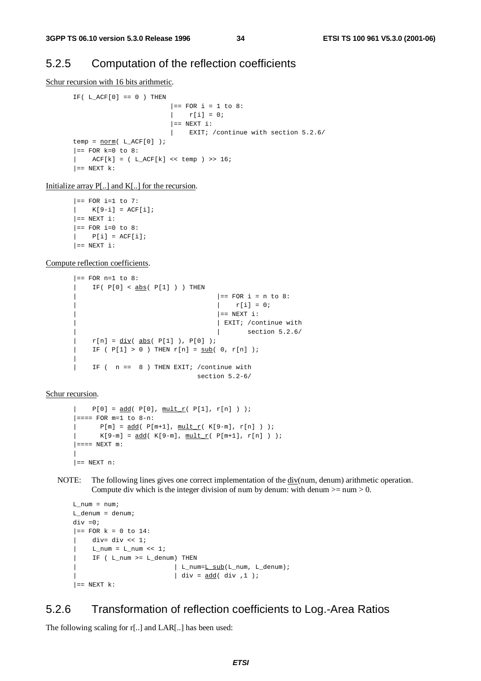### 5.2.5 Computation of the reflection coefficients

Schur recursion with 16 bits arithmetic.

```
IF( L_ACF[0] == 0 ) THEN|== FOR i = 1 to 8:
                         \vert r[i] = 0;
                         | == NEXT i:
                         | EXIT; /continue with section 5.2.6/
temp = norm(L_ACF[0]);
| == FOR k=0 to 8:
| ACF[k] = (L_ACF[k] << temp ) >> 16;
| == NEXT k:
```
Initialize array P[..] and K[..] for the recursion.

```
|== FOR i=1 to 7:
[K[9-i] = ACT[i];| == NEXT i:
| == FOR i=0 to 8:
| P[i] = ACF[i];| == NEXT i:
```
Compute reflection coefficients.

```
| == FOR n=1 to 8:
| IF( P[0] < abs( P[1] ) ) THEN
                                          | == FOR i = n to 8:
                                          \vert \vert r[i] = 0;
                                          | == NEXT i:
                                          | EXIT; / continue with
                                          | | section 5.2.6/
| r[n] = \underline{div}(\underline{abs}(\underline{P[1]}), \underline{P[0]});| IF ( P[1] > 0 ) THEN r[n] = sub(0, r[n]);
|
| IF ( n == 8 ) THEN EXIT; /continue with
                                    section 5.2-6/
```
Schur recursion.

```
| P[0] = \underline{add}(\ P[0], \underline{mult_r}(\ P[1], r[n]) );
|=== FOR m=1 to 8-n:
| P[m] = add(P[m+1], min \t[1, m]);
| K[9-m] = \underline{add} ( K[9-m], \underline{mult} r ( P[m+1], r[n]) );
| == == NEW m:
|
| == NEXT n:
```
NOTE: The following lines gives one correct implementation of the div(num, denum) arithmetic operation. Compute div which is the integer division of num by denum: with denum  $>=$  num  $>$  0.

```
L_num = num;
L_denum = denum;
div =0;
|== FOR k = 0 to 14:
    div= div \lt\lt 1;
     L_nnum = L_nnum \leq 1;
     IF ( L_num >= L_denum) THEN
                           | L_num=L_sub(L_num, L_denum);
                            | div = add( div , 1 );
| == NEXT k:
```
### 5.2.6 Transformation of reflection coefficients to Log.-Area Ratios

The following scaling for r[..] and LAR[..] has been used: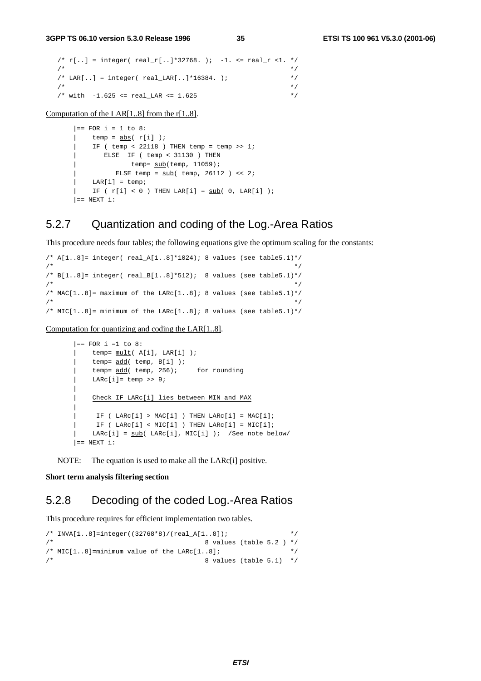```
/* r[...] = integer( real_r[...] * 32768. ) ; -1. <= real_r < 1. * /\frac{1}{\sqrt{2}} /*
/* LAR[..] = integer( real_LAR[..] * 16384. ); */*
\frac{1}{\sqrt{2}} /*
/* with -1.625 \le real LAR \le 1.625 */
```
Computation of the LAR[1..8] from the r[1..8].

```
| == FOR i = 1 to 8:
| temp = \frac{abs}{r[i]} );
| IF ( temp < 22118 ) THEN temp = temp >> 1;
     | ELSE IF ( temp < 31130 ) THEN
| temp= sub(temp, 11059);
| ELSE temp = sub( temp, 26112 ) << 2;
| LAR[i] = temp;
| IF ( r[i] < 0 ) THEN LAR[i] = sub( 0, LAR[i] );
| == NEXT i:
```
### 5.2.7 Quantization and coding of the Log.-Area Ratios

This procedure needs four tables; the following equations give the optimum scaling for the constants:

```
/* A[1..8]= integer( real_A[1..8]*1024); 8 values (see table5.1)*/
\frac{1}{\sqrt{2}} *
/* B[1..8]= integer( real_B[1..8]*512); 8 values (see table5.1)*/
\frac{1}{\sqrt{2}} , the set of the set of the set of the set of the set of the set of the set of the set of the set of the set of the set of the set of the set of the set of the set of the set of the set of the set of the set 
/* MAC[1..8]= maximum of the LARc[1..8]; 8 values (see table5.1)*/
\frac{1}{\sqrt{2}} , the set of the set of the set of the set of the set of the set of the set of the set of the set of the set of the set of the set of the set of the set of the set of the set of the set of the set of the set 
/* MIC[1..8]= minimum of the LARc[1..8]; 8 values (see table5.1)*/
```
Computation for quantizing and coding the LAR[1..8].

```
|== FOR i =1 to 8:
   temp= mult( A[i], LAR[i] );
    temp= add( temp, B[i] );
    temp = add( temp, 256); for rounding
    LARC[i] = temp \gg 9;|
    | Check IF LARc[i] lies between MIN and MAX
|
    IF ( LARC[i] > MAC[i] ) THER LARC[i] = MAC[i];IF ( LARC[i] < MIC[i] ) THEN LARC[i] = MIC[i];LARC[i] = sub(LARC[i], MIC[i]); /See note below/
| == NEXT i:
```
NOTE: The equation is used to make all the LARc[i] positive.

#### **Short term analysis filtering section**

### 5.2.8 Decoding of the coded Log.-Area Ratios

This procedure requires for efficient implementation two tables.

```
/* INVA[1..8]=integer((32768*8)/(real_A[1..8]); */
\frac{1}{8} values (table 5.2 ) */
/* MIC[1..8]=minimum value of the LARc[1..8]; */
\mathcal{V}^* <br> 8 values (table 5.1) \mathcal{V}
```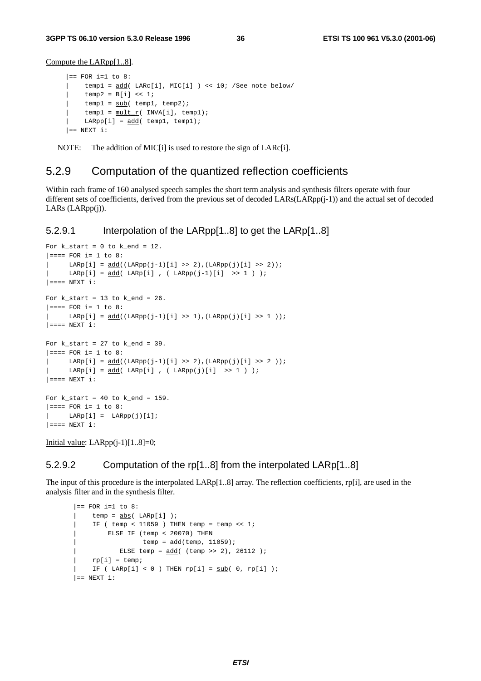Compute the LARpp[1..8].

```
| == FOR i=1 to 8:
    | temp1 = add( LARc[i], MIC[i] ) << 10; /See note below/
    temp2 = B[i] << 1;temp1 = sub(\text{temp1}, \text{temp2});temp1 = mult r( INVA[i], temp1);LARpp[i] = add(temp1, temp1);| == NEXT i:
```
NOTE: The addition of MIC<sup>[i]</sup> is used to restore the sign of LARc<sup>[i]</sup>.

### 5.2.9 Computation of the quantized reflection coefficients

Within each frame of 160 analysed speech samples the short term analysis and synthesis filters operate with four different sets of coefficients, derived from the previous set of decoded LARs(LARpp(j-1)) and the actual set of decoded LARs (LARpp(j)).

### 5.2.9.1 Interpolation of the LARpp[1..8] to get the LARp[1..8]

```
For k_{\text{start}} = 0 to k_{\text{end}} = 12.
|=== FOR i= 1 to 8:
       \text{LARP}[i] = \text{add}((\text{LARP}(j-1)[i] \>>> 2), (\text{LARP}(j)[i] \>>> 2));
| LARp[i] = \frac{\text{add}}{\text{map}}[i] , ( LARpp(j-1)[i] >> 1 ) );
| == == NEW T i:For k\_start = 13 to k\_end = 26.
|z== FOR i= 1 to 8:
|\text{LARP}[i] = \frac{add((\text{LARP}[j-1)][i] >> 1), (\text{LARP}[j][i] >> 1));
|=== NEXT i:
For k_start = 27 to k_end = 39.
|=== FOR i= 1 to 8:
      LARP[i] = add((LARP[i-1)[i] >> 2), (LARP[j][i] >> 2));
      \text{LARP}[i] = \text{add}( \text{LARP}[i] , (\text{LARP}(j)[i] >> 1 ) )| ==="pre"> <b>NEXT</b> i:For k\_start = 40 to k\_end = 159.
|=== FOR i= 1 to 8:
      \text{LARP}[i] = \text{LARP}(j)[i];| == = NEXT i:
```
Initial value:  $LARpp(i-1)[1..8]=0;$ 

### 5.2.9.2 Computation of the rp[1..8] from the interpolated LARp[1..8]

The input of this procedure is the interpolated LARp[1..8] array. The reflection coefficients, rp[i], are used in the analysis filter and in the synthesis filter.

```
| == FOR i=1 to 8:
    temp = abs( LARP[i]);
     IF ( temp < 11059 ) THEN temp = temp << 1;
        | ELSE IF (temp < 20070) THEN
                  temp = add(temp, 11059);ELSE temp = \frac{\text{add}}{\text{cod}} (temp >> 2), 26112 );
    rp[i] = temp;IF ( LARp[i] < 0 ) THEN rp[i] = sub( 0, rp[i] );
| == NEXT i:
```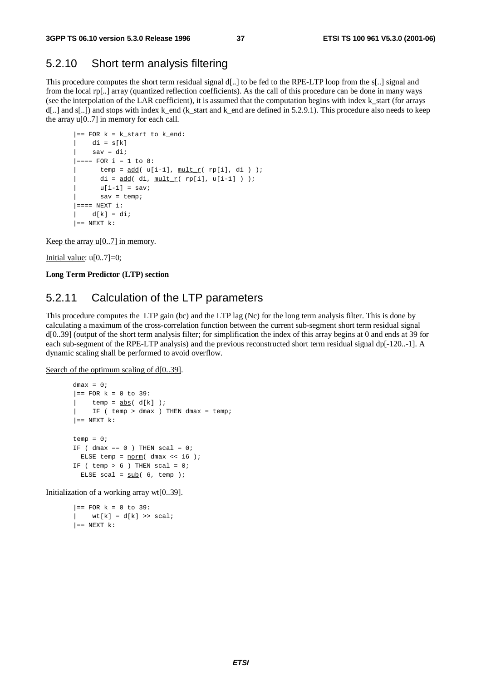### 5.2.10 Short term analysis filtering

This procedure computes the short term residual signal d[..] to be fed to the RPE-LTP loop from the s[..] signal and from the local rp[..] array (quantized reflection coefficients). As the call of this procedure can be done in many ways (see the interpolation of the LAR coefficient), it is assumed that the computation begins with index k\_start (for arrays d[..] and s[..]) and stops with index k\_end (k\_start and k\_end are defined in 5.2.9.1). This procedure also needs to keep the array  $u[0..7]$  in memory for each call.

```
| == FOR k = k_start to k_end:
  di = s[k]sav = di;|=== FOR i = 1 to 8:
     temp = add( u[i-1], minit_r( rp[i], di) );
      di = add( di, mult r( rp[i], u[i-1] ) );
      u[i-1] = sav;sav = temo;| == == NEXT i:
| d[k] = di;| == NEXT k:
```
Keep the array  $u[0..7]$  in memory.

Initial value:  $u[0..7]=0$ ;

**Long Term Predictor (LTP) section**

## 5.2.11 Calculation of the LTP parameters

This procedure computes the LTP gain (bc) and the LTP lag (Nc) for the long term analysis filter. This is done by calculating a maximum of the cross-correlation function between the current sub-segment short term residual signal d[0..39] (output of the short term analysis filter; for simplification the index of this array begins at 0 and ends at 39 for each sub-segment of the RPE-LTP analysis) and the previous reconstructed short term residual signal dp[-120..-1]. A dynamic scaling shall be performed to avoid overflow.

Search of the optimum scaling of d[0..39].

```
dmax = 0;
| == FOR k = 0 to 39:
| temp = \frac{abs}{d[k]} );
| IF ( temp > dmax ) THEN dmax = temp;
| == NEXT k:
temp = 0;IF ( dmax == 0 ) THEN scal = 0;
 ELSE temp = norm( dmax << 16 );
IF ( temp > 6 ) THEN scal = 0;
  ELSE scal = sub(6, temp);
```
Initialization of a working array wt[0..39].

```
|== FOR k = 0 to 39:
   wt[k] = d[k] \gg scal;| == NEXT k:
```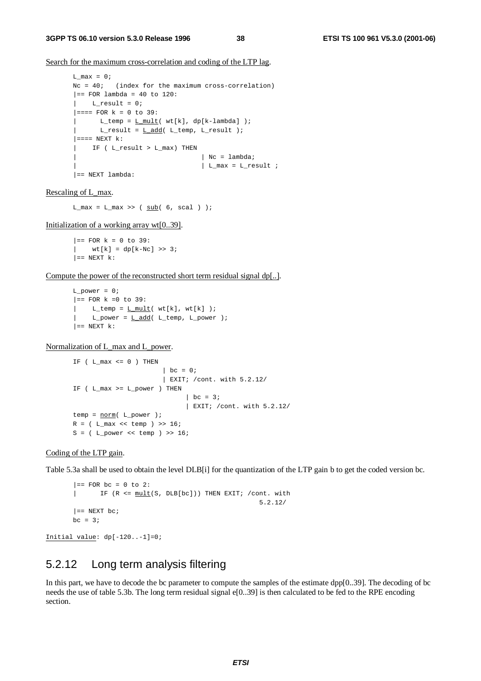Search for the maximum cross-correlation and coding of the LTP lag.

```
L_max = 0;Nc = 40; (index for the maximum cross-correlation)
|== FOR lambda = 40 to 120:
L_{result} = 0;|=== FOR k = 0 to 39:
      L_t = m p = L_m u l t (wt[k], dp[k-lambda]);
| L_result = L_{add}( L_ttemp, L_result );
| == = NEXT k:
| IF ( L_result > L_max) THEN
                                 | Nc = lambda;
                                 \vert L max = L result ;
| == NEXT lambda:
```
#### Rescaling of L\_max.

 $L_max = L_max \gg (sub(6, scal))$ ;

Initialization of a working array wt[0..39].

```
|== FOR k = 0 to 39:
| wt[k] = dp[k-Nc] \gg 3;| == NEXT k:
```
Compute the power of the reconstructed short term residual signal dp[..].

```
L power = 0;| == FOR k == 0 to 39:
     L_t = m p = L_m \text{mll}(\text{wt}[k], \text{wt}[k]);
| L_power = L_add( L_temp, L_power );
| == NEXT k:
```
Normalization of L\_max and L\_power.

```
IF (L_max \le 0) THEN
                     | bc = 0;
                      | EXIT; /cont. with 5.2.12/
IF ( L_max >= L_power ) THEN
                            | bc = 3;
                            | EXIT; /cont. with 5.2.12/
temp = norm( L-power );
R = ( L_max << temp ) >> 16;
S = (L_{power} << temp) >> 16;
```
#### Coding of the LTP gain.

Table 5.3a shall be used to obtain the level DLB[i] for the quantization of the LTP gain b to get the coded version bc.

```
|== FOR bc = 0 to 2:
| IF (R <= mult(S, DLB[bc])) THEN EXIT; /cont. with
                                               5.2.12/
| == NEXT bc;
bc = 3;
```
Initial value: dp[-120..-1]=0;

## 5.2.12 Long term analysis filtering

In this part, we have to decode the bc parameter to compute the samples of the estimate dpp[0..39]. The decoding of bc needs the use of table 5.3b. The long term residual signal e[0..39] is then calculated to be fed to the RPE encoding section.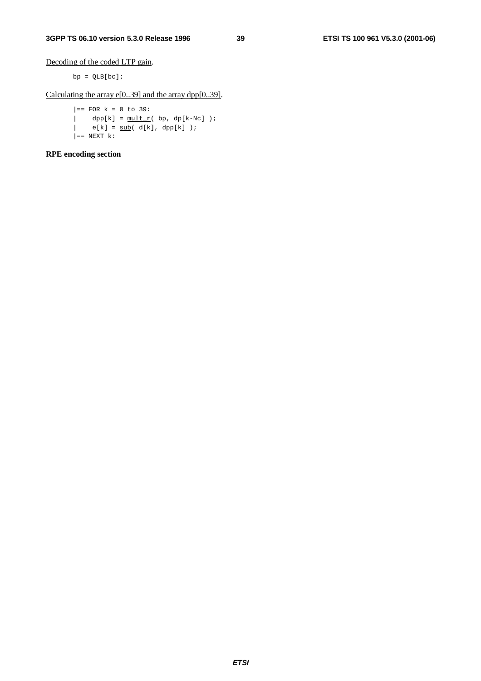Decoding of the coded LTP gain.

 $bp = QLB[bc];$ 

Calculating the array e[0..39] and the array dpp[0..39].

 $|=$  FOR  $k = 0$  to 39:  $\begin{array}{rcl} \mid & & \mathrm{dpp[k]} = \frac{\mathrm{mult}\ r}(\ \mathrm{bp},\ \mathrm{dp[k-NC]}\ )\ ; \end{array}$  $|\qquad \quad \texttt{e[k]} \; = \; \underline{\texttt{sub}}(\ d[k] \; , \; \texttt{dpp[k]} \; ) \; ;$  $| ==$  NEXT  $k$ :

**RPE encoding section**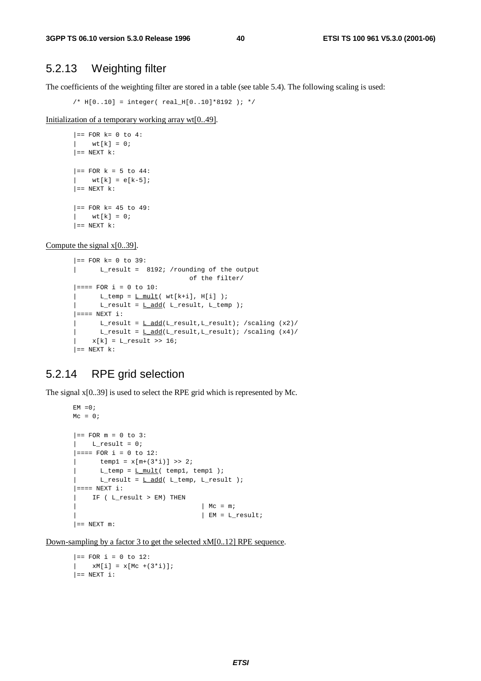## 5.2.13 Weighting filter

The coefficients of the weighting filter are stored in a table (see table 5.4). The following scaling is used:

/\* H[0..10] = integer( real\_H[0..10]\*8192 ); \*/

Initialization of a temporary working array wt[0..49].

```
| == FOR k= 0 to 4:
| wt[k] = 0;
| == NEXT k:
|= FOR k = 5 to 44:
   wt[k] = e[k-5];| == NEXT k:
| == FOR k = 45 to 49:
|\text{wt}[k] = 0;| == NEXT k:
```
Compute the signal x[0..39].

```
|== FOR k= 0 to 39:
| L_result = 8192; /rounding of the output
                           of the filter/
|=== FOR i = 0 to 10:
L_t = L_m = L_m \text{milt}(\text{wt}[k+i], H[i]);
      L_rresult = L_ddd( L_rresult, L_ttemp );
| == = NEW + 1:
| L_rresult = L_d d(L_r)result, L_rresult); /scaling (x2)/
      L_rresult = L_ddd(L_r)result,L_rresult); /scaling (x4)/
    x[k] = L result >> 16;
| == NEXT k:
```
## 5.2.14 RPE grid selection

The signal x[0..39] is used to select the RPE grid which is represented by Mc.

```
EM = 0;Mc = 0;| == FOR m = 0 to 3:
   L_{result} = 0;|=== FOR i = 0 to 12:
      temp1 = x[m+(3 * i)] >> 2;L_ttemp = L mult( temp1, temp1 );
| L_rresult = L_{add}( L_ttemp, L_rresult );
| == = NEWT i:
    IF ( L_result > EM) THEN
                                 | Mc = m;
                                 | EM = L_result;
| == NEXT m:
```
Down-sampling by a factor 3 to get the selected xM[0..12] RPE sequence.

```
|== FOR i = 0 to 12:
| xM[i] = x[Mc +(3*i)];
| == NEXT i:
```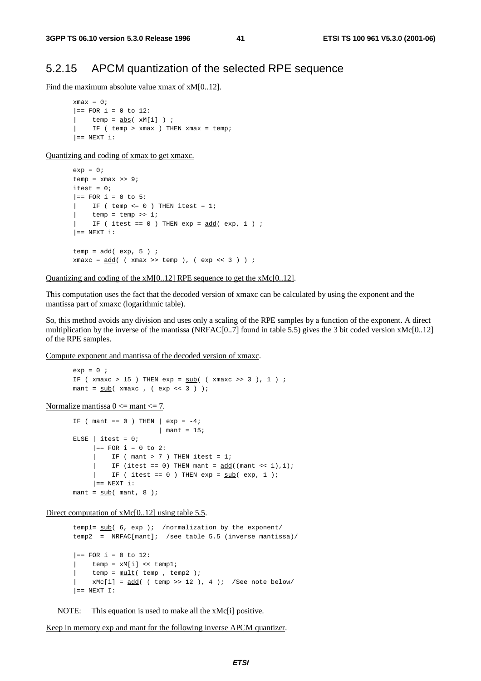### 5.2.15 APCM quantization of the selected RPE sequence

Find the maximum absolute value xmax of xM[0..12].

 $x$ max = 0;  $|==$  FOR i = 0 to 12:  $temp = abs(xM[i])$  ; | IF ( temp > xmax ) THEN xmax = temp;  $| ==$  NEXT i:

Quantizing and coding of xmax to get xmaxc.

```
exp = 0;temp = xmax >> 9;itest = 0;
|== FOR i = 0 to 5:
   IF ( temp \leq 0 ) THEN itest = 1;
   temp = temp >> 1;| IF ( itest == 0 ) THEN exp = add( exp, 1 ) ;
| == NEXT i:
temp = add( exp, 5 ) ;
xmaxc = add( (xmax >> temp), (exp << 3));
```
Quantizing and coding of the xM[0..12] RPE sequence to get the xMc[0..12].

This computation uses the fact that the decoded version of xmaxc can be calculated by using the exponent and the mantissa part of xmaxc (logarithmic table).

So, this method avoids any division and uses only a scaling of the RPE samples by a function of the exponent. A direct multiplication by the inverse of the mantissa (NRFAC[0..7] found in table 5.5) gives the 3 bit coded version xMc[0..12] of the RPE samples.

Compute exponent and mantissa of the decoded version of xmaxc.

```
exp = 0 ;
IF (xmaxc > 15) THEN exp = sub( (xmaxc >> 3), 1);
mant = \frac{\text{sub}}{\text{maxc}}, ( \frac{\text{exp}(-3)}{\text{min}(-3)} );
```
Normalize mantissa  $0 \le$  mant $\le$  7.

```
IF ( mant == 0 ) THEN \vert exp = -4;
                      | mant = 15;
ELSE | itest = 0;|== FOR i = 0 to 2:
     | IF ( mant > 7 ) THEN itest = 1;
        IF (itest == 0) THEN mant = add((\text{mant} < 1), 1);| IF ( itest == 0 ) THEN exp = sub( exp, 1 );
    | == NEXT i:
mant = sub( mant, 8 );
```
Direct computation of xMc[0..12] using table 5.5.

```
templ= sub( 6, exp ); /normalization by the exponent/
temp2 = NRFAC[mant]; /see table 5.5 (inverse mantissa)/
|= FOR i = 0 to 12:
  temp = xM[i] << temp1;temp = mult( temp , temp 2 );
| xMc[i] = add( ( temp >> 12 ), 4 ); /See note below/
| == NEXT I:
```
NOTE: This equation is used to make all the xMc[i] positive.

Keep in memory exp and mant for the following inverse APCM quantizer.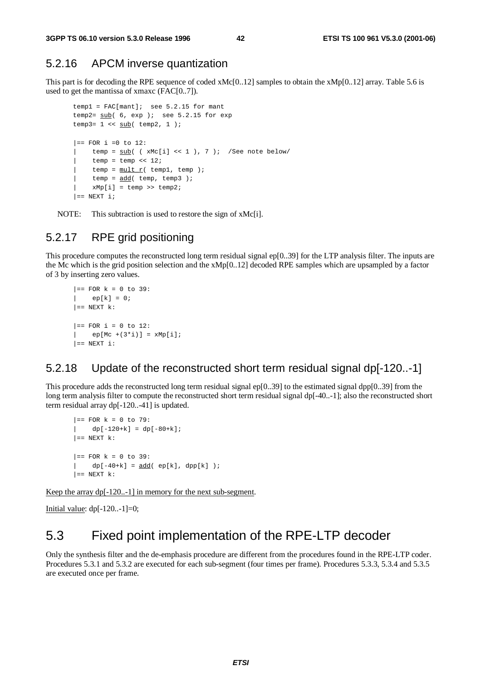### 5.2.16 APCM inverse quantization

This part is for decoding the RPE sequence of coded xMc[0..12] samples to obtain the xMp[0..12] array. Table 5.6 is used to get the mantissa of xmaxc (FAC[0..7]).

```
temp1 = FAC[mant]; see 5.2.15 for mant
temp2=sub( 6, exp ); see 5.2.15 for exp
temp3= 1 \lt\lt \underline{\text{sub}}( \text{temp2}, 1);
|== FOR i =0 to 12:
    temp = sub( ( xMc[i] << 1 ), 7 ); /See note below/
     temp = temp \ll 12;
     temp = mult_r( temp1, temp);temp = add(temp, temp3);
    xMp[i] = temp \gg temp2;| == NEXT i;
```
NOTE: This subtraction is used to restore the sign of xMc[i].

## 5.2.17 RPE grid positioning

This procedure computes the reconstructed long term residual signal ep[0..39] for the LTP analysis filter. The inputs are the Mc which is the grid position selection and the  $xMp[0..12]$  decoded RPE samples which are upsampled by a factor of 3 by inserting zero values.

```
|== FOR k = 0 to 39:
| ep[k] = 0;
| == NEXT k:
| == FOR i = 0 to 12:
   ep[Mc + (3*i)] = xMp[i];|_{\equiv} NEXT i:
```
### 5.2.18 Update of the reconstructed short term residual signal dp[-120..-1]

This procedure adds the reconstructed long term residual signal ep[0..39] to the estimated signal dpp[0..39] from the long term analysis filter to compute the reconstructed short term residual signal dp[-40..-1]; also the reconstructed short term residual array dp[-120..-41] is updated.

```
| == FOR k = 0 to 79:
| dp[-120+k] = dp[-80+k];| == NEXT k:
|== FOR k = 0 to 39:
\left| \right| dp[-40+k] = <u>add</u>( ep[k], dpp[k] );
| == NEXT k:
```
Keep the array dp[-120..-1] in memory for the next sub-segment.

Initial value:  $dp[-120...1]=0;$ 

## 5.3 Fixed point implementation of the RPE-LTP decoder

Only the synthesis filter and the de-emphasis procedure are different from the procedures found in the RPE-LTP coder. Procedures 5.3.1 and 5.3.2 are executed for each sub-segment (four times per frame). Procedures 5.3.3, 5.3.4 and 5.3.5 are executed once per frame.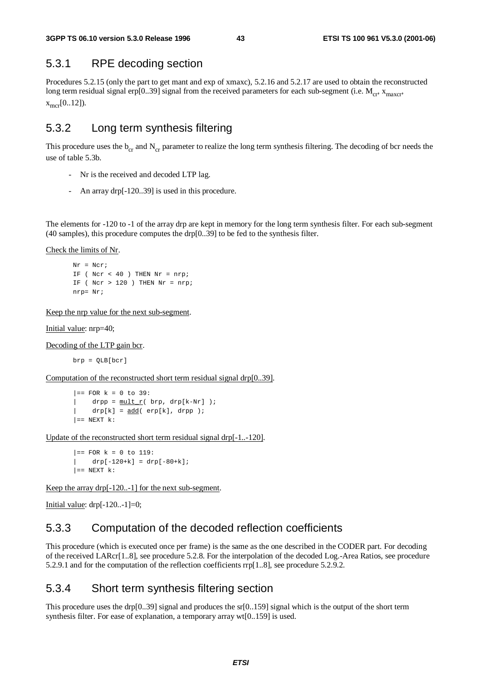## 5.3.1 RPE decoding section

Procedures 5.2.15 (only the part to get mant and exp of xmaxc), 5.2.16 and 5.2.17 are used to obtain the reconstructed long term residual signal erp[0..39] signal from the received parameters for each sub-segment (i.e.  $M_{cr}$ ,  $x_{maxcr}$ ,  $x_{\text{mer}}[0..12]$ ).

## 5.3.2 Long term synthesis filtering

This procedure uses the  $b_{cr}$  and  $N_{cr}$  parameter to realize the long term synthesis filtering. The decoding of bcr needs the use of table 5.3b.

- Nr is the received and decoded LTP lag.
- An array drp[-120..39] is used in this procedure.

The elements for -120 to -1 of the array drp are kept in memory for the long term synthesis filter. For each sub-segment (40 samples), this procedure computes the drp[0..39] to be fed to the synthesis filter.

Check the limits of Nr.

Nr = Ncr; IF (  $Ncr < 40$  ) THEN  $Nr = nrp$ ; IF (  $Ncr > 120$  ) THEN  $Nr = nrp$ ; nrp= Nr;

Keep the nrp value for the next sub-segment.

Initial value: nrp=40;

Decoding of the LTP gain bcr.

brp = QLB[bcr]

Computation of the reconstructed short term residual signal drp[0..39].

```
|== FOR k = 0 to 39:
| drpp = \text{mult}_r( brp, drp[k-Nr] );
| d_{\text{rp}[k]} = \underline{add}(\text{erp}[k], \text{drop});
| == NEXT k:
```
Update of the reconstructed short term residual signal drp[-1..-120].

|== FOR k = 0 to 119:  $drp[-120+k] = drp[-80+k];$  $| ==$  NEXT  $k$ :

Keep the array drp[-120..-1] for the next sub-segment.

Initial value:  $drp[-120...-1]=0;$ 

### 5.3.3 Computation of the decoded reflection coefficients

This procedure (which is executed once per frame) is the same as the one described in the CODER part. For decoding of the received LARcr[1..8], see procedure 5.2.8. For the interpolation of the decoded Log.-Area Ratios, see procedure 5.2.9.1 and for the computation of the reflection coefficients rrp[1..8], see procedure 5.2.9.2.

## 5.3.4 Short term synthesis filtering section

This procedure uses the drp[0..39] signal and produces the  $sr[0..159]$  signal which is the output of the short term synthesis filter. For ease of explanation, a temporary array wt[0..159] is used.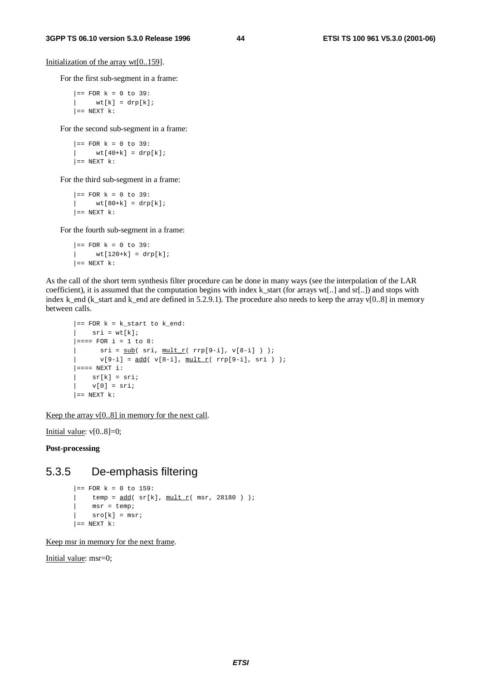Initialization of the array wt[0..159].

For the first sub-segment in a frame:

 $|==$  FOR  $k = 0$  to 39:  $|$  wt[k] = drp[k];  $| ==$  NEXT  $k$ :

For the second sub-segment in a frame:

 $| ==$  FOR  $k = 0$  to 39:  $|$  wt[40+k] = drp[k];  $| ==$  NEXT  $k$ :

For the third sub-segment in a frame:

 $|==$  FOR  $k = 0$  to 39:  $|$  wt[80+k] = drp[k];  $| ==$  NEXT  $k$ :

For the fourth sub-segment in a frame:

 $|==$  FOR  $k = 0$  to 39:  $wt[120+k] = drp[k];$  $| ==$  NEXT  $k$ :

As the call of the short term synthesis filter procedure can be done in many ways (see the interpolation of the LAR coefficient), it is assumed that the computation begins with index k start (for arrays wt[..] and sr[..]) and stops with index k\_end (k\_start and k\_end are defined in 5.2.9.1). The procedure also needs to keep the array v[0..8] in memory between calls.

```
|== FOR k = k_start to k_end:
\vert sri = wt[k];
| == = FOR i = 1 to 8:
| \text{sri} = \text{sub}(\text{sri}, \text{mult } \text{r}(\text{rrp}[9-i], \text{v}[8-i]) ) );
       v[9-i] = add(v[8-i], min \t[ r(rp[9-i], sri ) );
| == == NEWT i:|\text{sr}[k] = \text{sr}i;| v[0] = sri;| == NEXT k:
```
Keep the array  $v[0..8]$  in memory for the next call.

Initial value:  $v[0..8]=0$ ;

**Post-processing**

## 5.3.5 De-emphasis filtering

```
|== FOR k = 0 to 159:
| temp = \frac{\text{add}}{\text{sr[k]}}, \frac{\text{mult}_r}{\text{mult}_r} msr, 28180 ) );
| msr = temp;
| sro[k] = msr;
| == NEXT k:
```
Keep msr in memory for the next frame.

Initial value: msr=0;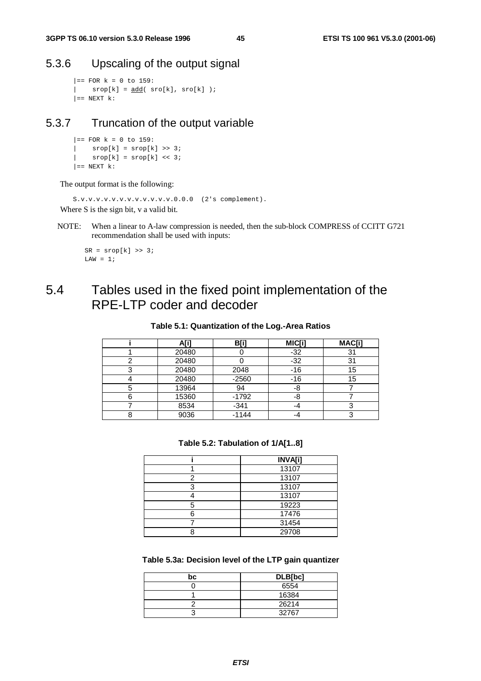## 5.3.6 Upscaling of the output signal

```
|== FOR k = 0 to 159:
   srop[k] = add(sro[k], sro[k]);
| == NEXT k:
```
## 5.3.7 Truncation of the output variable

```
|= FOR k = 0 to 159:
| srop[k] = srop[k] >> 3;
| \text{srop}[k] = \text{srop}[k] << 3;| == NEXT k:
```
The output format is the following:

```
S.v.v.v.v.v.v.v.v.v.v.v.v.0.0.0 (2's complement).
Where S is the sign bit, v a valid bit.
```
NOTE: When a linear to A-law compression is needed, then the sub-block COMPRESS of CCITT G721 recommendation shall be used with inputs:

```
SR = srop[k] \gg 3;LAW = 1;
```
## 5.4 Tables used in the fixed point implementation of the RPE-LTP coder and decoder

#### **Table 5.1: Quantization of the Log.-Area Ratios**

| A[i]  | B[i]    | MIC[i] | MAC[i] |
|-------|---------|--------|--------|
| 20480 |         | $-32$  |        |
| 20480 |         | $-32$  | 31     |
| 20480 | 2048    | $-16$  | 15     |
| 20480 | $-2560$ | $-16$  | 15     |
| 13964 | 94      | -8     |        |
| 15360 | $-1792$ | -8     |        |
| 8534  | $-341$  | -4     |        |
| 9036  | $-1144$ |        |        |

#### **Table 5.2: Tabulation of 1/A[1..8]**

|   | <b>INVA[i]</b> |
|---|----------------|
|   | 13107          |
| っ | 13107          |
| っ | 13107          |
|   | 13107          |
| 5 | 19223          |
|   | 17476          |
|   | 31454          |
|   | 29708          |

#### **Table 5.3a: Decision level of the LTP gain quantizer**

| bc | DLB[bc] |
|----|---------|
|    | 6554    |
|    | 16384   |
|    | 26214   |
|    | 32767   |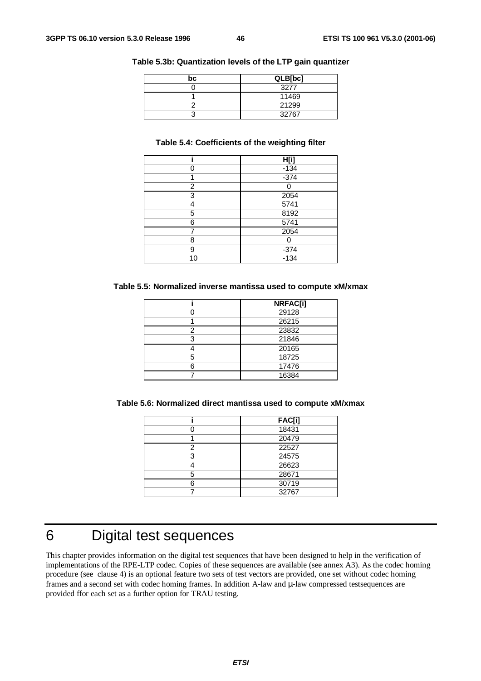| bc | QLB[bc] |
|----|---------|
|    | 3277    |
|    | 11469   |
|    | 21299   |
|    | 32767   |

#### **Table 5.3b: Quantization levels of the LTP gain quantizer**

#### **Table 5.4: Coefficients of the weighting filter**

|    | H[i]             |
|----|------------------|
|    | $-134$           |
| ◢  | $-374$           |
| 2  |                  |
| 3  | 2054             |
|    | 5741             |
| 5  | 8192             |
| 6  | 5741             |
|    | 2054             |
| 8  |                  |
| 9  | $-374$<br>$-134$ |
| 10 |                  |

#### **Table 5.5: Normalized inverse mantissa used to compute xM/xmax**

|   | <b>NRFAC[i]</b> |
|---|-----------------|
|   | 29128           |
|   | 26215           |
| っ | 23832           |
| 3 | 21846           |
|   | 20165           |
| 5 | 18725           |
| ค | 17476           |
|   | 16384           |

**Table 5.6: Normalized direct mantissa used to compute xM/xmax**

|   | <b>FAC[i]</b> |
|---|---------------|
|   | 18431         |
|   | 20479         |
| 2 | 22527         |
| 3 | 24575         |
|   | 26623         |
|   | 28671         |
|   | 30719         |
|   | 32767         |

## 6 Digital test sequences

This chapter provides information on the digital test sequences that have been designed to help in the verification of implementations of the RPE-LTP codec. Copies of these sequences are available (see annex A3). As the codec homing procedure (see clause 4) is an optional feature two sets of test vectors are provided, one set without codec homing frames and a second set with codec homing frames. In addition A-law and µ-law compressed testsequences are provided ffor each set as a further option for TRAU testing.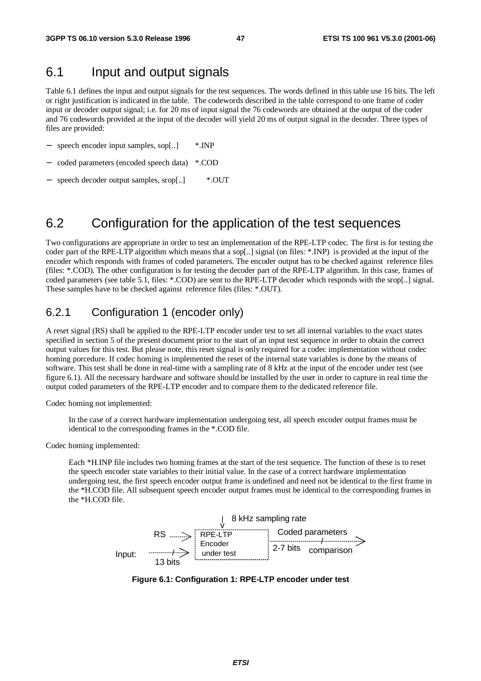## 6.1 Input and output signals

Table 6.1 defines the input and output signals for the test sequences. The words defined in this table use 16 bits. The left or right justification is indicated in the table. The codewords described in the table correspond to one frame of coder input or decoder output signal; i.e. for 20 ms of input signal the 76 codewords are obtained at the output of the coder and 76 codewords provided at the input of the decoder will yield 20 ms of output signal in the decoder. Three types of files are provided:

- − speech encoder input samples, sop[..] \*.INP
- − coded parameters (encoded speech data) \*.COD
- − speech decoder output samples, srop[..] \*.OUT

## 6.2 Configuration for the application of the test sequences

Two configurations are appropriate in order to test an implementation of the RPE-LTP codec. The first is for testing the coder part of the RPE-LTP algorithm which means that a sop[..] signal (on files: \*.INP) is provided at the input of the encoder which responds with frames of coded parameters. The encoder output has to be checked against reference files (files: \*.COD). The other configuration is for testing the decoder part of the RPE-LTP algorithm. In this case, frames of coded parameters (see table 5.1, files: \*.COD) are sent to the RPE-LTP decoder which responds with the srop[..] signal. These samples have to be checked against reference files (files: \*.OUT).

### 6.2.1 Configuration 1 (encoder only)

A reset signal (RS) shall be applied to the RPE-LTP encoder under test to set all internal variables to the exact states specified in section 5 of the present document prior to the start of an input test sequence in order to obtain the correct output values for this test. But please note, this reset signal is only required for a codec implementation without codec homing porcedure. If codec homing is implemented the reset of the internal state variables is done by the means of software. This test shall be done in real-time with a sampling rate of 8 kHz at the input of the encoder under test (see figure 6.1). All the necessary hardware and software should be installed by the user in order to capture in real time the output coded parameters of the RPE-LTP encoder and to compare them to the dedicated reference file.

Codec homing not implemented:

In the case of a correct hardware implementation undergoing test, all speech encoder output frames must be identical to the corresponding frames in the \*.COD file.

Codec homing implemented:

Each \*H.INP file includes two homing frames at the start of the test sequence. The function of these is to reset the speech encoder state variables to their initial value. In the case of a correct hardware implementation undergoing test, the first speech encoder output frame is undefined and need not be identical to the first frame in the \*H.COD file. All subsequent speech encoder output frames must be identical to the corresponding frames in the \*H.COD file.



**Figure 6.1: Configuration 1: RPE-LTP encoder under test**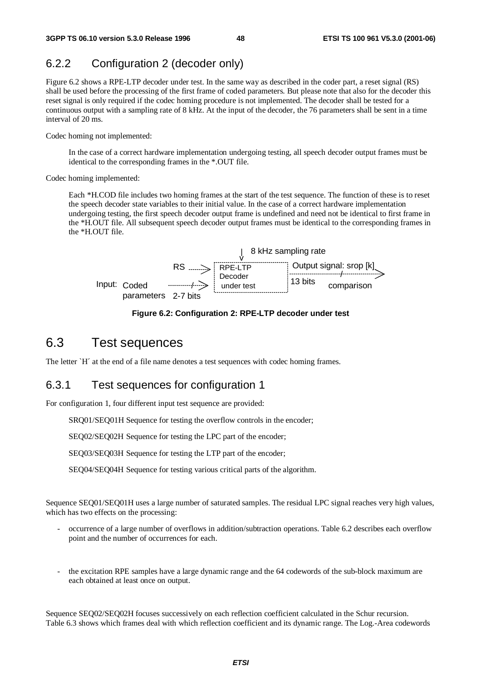## 6.2.2 Configuration 2 (decoder only)

Figure 6.2 shows a RPE-LTP decoder under test. In the same way as described in the coder part, a reset signal (RS) shall be used before the processing of the first frame of coded parameters. But please note that also for the decoder this reset signal is only required if the codec homing procedure is not implemented. The decoder shall be tested for a continuous output with a sampling rate of 8 kHz. At the input of the decoder, the 76 parameters shall be sent in a time interval of 20 ms.

Codec homing not implemented:

In the case of a correct hardware implementation undergoing testing, all speech decoder output frames must be identical to the corresponding frames in the \*.OUT file.

Codec homing implemented:

Each \*H.COD file includes two homing frames at the start of the test sequence. The function of these is to reset the speech decoder state variables to their initial value. In the case of a correct hardware implementation undergoing testing, the first speech decoder output frame is undefined and need not be identical to first frame in the \*H.OUT file. All subsequent speech decoder output frames must be identical to the corresponding frames in the \*H.OUT file.



**Figure 6.2: Configuration 2: RPE-LTP decoder under test**

## 6.3 Test sequences

The letter `H´ at the end of a file name denotes a test sequences with codec homing frames.

## 6.3.1 Test sequences for configuration 1

For configuration 1, four different input test sequence are provided:

SRQ01/SEQ01H Sequence for testing the overflow controls in the encoder;

SEQ02/SEQ02H Sequence for testing the LPC part of the encoder;

SEQ03/SEQ03H Sequence for testing the LTP part of the encoder;

SEQ04/SEQ04H Sequence for testing various critical parts of the algorithm.

Sequence SEQ01/SEQ01H uses a large number of saturated samples. The residual LPC signal reaches very high values, which has two effects on the processing:

- occurrence of a large number of overflows in addition/subtraction operations. Table 6.2 describes each overflow point and the number of occurrences for each.
- the excitation RPE samples have a large dynamic range and the 64 codewords of the sub-block maximum are each obtained at least once on output.

Sequence SEQ02/SEQ02H focuses successively on each reflection coefficient calculated in the Schur recursion. Table 6.3 shows which frames deal with which reflection coefficient and its dynamic range. The Log.-Area codewords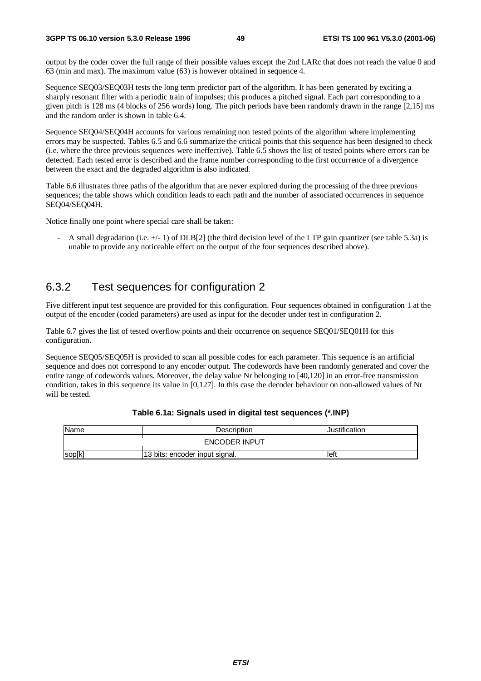output by the coder cover the full range of their possible values except the 2nd LARc that does not reach the value 0 and 63 (min and max). The maximum value (63) is however obtained in sequence 4.

Sequence SEQ03/SEQ03H tests the long term predictor part of the algorithm. It has been generated by exciting a sharply resonant filter with a periodic train of impulses; this produces a pitched signal. Each part corresponding to a given pitch is 128 ms (4 blocks of 256 words) long. The pitch periods have been randomly drawn in the range [2,15] ms and the random order is shown in table 6.4.

Sequence SEQ04/SEQ04H accounts for various remaining non tested points of the algorithm where implementing errors may be suspected. Tables 6.5 and 6.6 summarize the critical points that this sequence has been designed to check (i.e. where the three previous sequences were ineffective). Table 6.5 shows the list of tested points where errors can be detected. Each tested error is described and the frame number corresponding to the first occurrence of a divergence between the exact and the degraded algorithm is also indicated.

Table 6.6 illustrates three paths of the algorithm that are never explored during the processing of the three previous sequences; the table shows which condition leads to each path and the number of associated occurrences in sequence SEQ04/SEQ04H.

Notice finally one point where special care shall be taken:

A small degradation (i.e.  $+/-$  1) of DLB[2] (the third decision level of the LTP gain quantizer (see table 5.3a) is unable to provide any noticeable effect on the output of the four sequences described above).

## 6.3.2 Test sequences for configuration 2

Five different input test sequence are provided for this configuration. Four sequences obtained in configuration 1 at the output of the encoder (coded parameters) are used as input for the decoder under test in configuration 2.

Table 6.7 gives the list of tested overflow points and their occurrence on sequence SEQ01/SEQ01H for this configuration.

Sequence SEQ05/SEQ05H is provided to scan all possible codes for each parameter. This sequence is an artificial sequence and does not correspond to any encoder output. The codewords have been randomly generated and cover the entire range of codewords values. Moreover, the delay value Nr belonging to [40,120] in an error-free transmission condition, takes in this sequence its value in [0,127]. In this case the decoder behaviour on non-allowed values of Nr will be tested.

| Name                 | Description                    | Justification |
|----------------------|--------------------------------|---------------|
| <b>ENCODER INPUT</b> |                                |               |
| sop[k]               | 13 bits: encoder input signal. | lleft         |

#### **Table 6.1a: Signals used in digital test sequences (\*.INP)**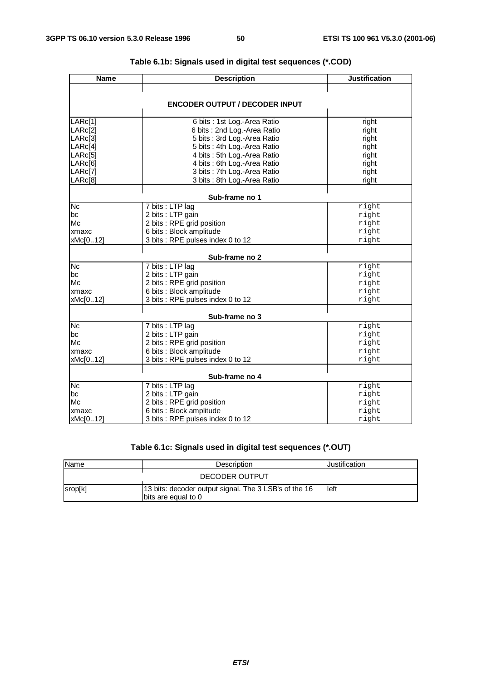| <b>Name</b> | <b>Description</b>                    | <b>Justification</b> |
|-------------|---------------------------------------|----------------------|
|             |                                       |                      |
|             | <b>ENCODER OUTPUT / DECODER INPUT</b> |                      |
|             |                                       |                      |
| LARc[1]     | 6 bits : 1st Log.-Area Ratio          | right                |
| LARc[2]     | 6 bits: 2nd Log.-Area Ratio           | right                |
| LARc[3]     | 5 bits : 3rd Log.-Area Ratio          | right                |
| LARc[4]     | 5 bits: 4th Log.-Area Ratio           | right                |
| LARc[5]     | 4 bits : 5th Log.-Area Ratio          | right                |
| LARc[6]     | 4 bits : 6th Log.-Area Ratio          | right                |
| LARc[7]     | 3 bits: 7th Log.-Area Ratio           | right                |
| LARc[8]     | 3 bits : 8th Log.-Area Ratio          | right                |
|             | Sub-frame no 1                        |                      |
| <b>Nc</b>   | 7 bits : LTP lag                      | right                |
| bc          | 2 bits : LTP gain                     | right                |
| Mc          | 2 bits : RPE grid position            | right                |
| xmaxc       | 6 bits : Block amplitude              | right                |
| xMc[012]    | 3 bits : RPE pulses index 0 to 12     | right                |
|             | Sub-frame no 2                        |                      |
| <b>Nc</b>   | 7 bits : LTP lag                      | right                |
| bc          | 2 bits : LTP gain                     | right                |
| Mc          | 2 bits : RPE grid position            | right                |
| xmaxc       | 6 bits : Block amplitude              | right                |
| xMc[012]    | 3 bits : RPE pulses index 0 to 12     | right                |
|             |                                       |                      |
|             | Sub-frame no 3                        |                      |
| <b>Nc</b>   | 7 bits : LTP lag                      | right                |
| bc          | 2 bits : LTP gain                     | right                |
| Mc          | 2 bits : RPE grid position            | right                |
| xmaxc       | 6 bits : Block amplitude              | right                |
| xMc[012]    | 3 bits : RPE pulses index 0 to 12     | right                |
|             | Sub-frame no 4                        |                      |
| <b>Nc</b>   | 7 bits : LTP lag                      | right                |
| bc          | 2 bits : LTP gain                     | right                |
| Mc          | 2 bits : RPE grid position            | right                |
| xmaxc       | 6 bits : Block amplitude              | right                |
| xMc[012]    | 3 bits : RPE pulses index 0 to 12     | right                |

## **Table 6.1b: Signals used in digital test sequences (\*.COD)**

### **Table 6.1c: Signals used in digital test sequences (\*.OUT)**

| Name    | Description                                                                  | Justification |
|---------|------------------------------------------------------------------------------|---------------|
|         | DECODER OUTPUT                                                               |               |
| srop[k] | 13 bits: decoder output signal. The 3 LSB's of the 16<br>bits are equal to 0 | left          |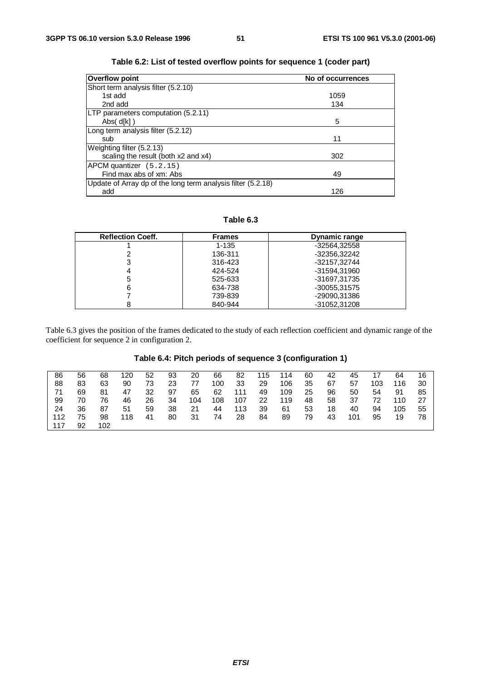| <b>Overflow point</b>                                        | No of occurrences |
|--------------------------------------------------------------|-------------------|
| Short term analysis filter (5.2.10)                          |                   |
| 1st add                                                      | 1059              |
| 2nd add                                                      | 134               |
| LTP parameters computation (5.2.11)                          |                   |
| Abs( $d[k]$ )                                                | 5                 |
| Long term analysis filter (5.2.12)                           |                   |
| sub                                                          | 11                |
| Weighting filter (5.2.13)                                    |                   |
| scaling the result (both x2 and x4)                          | 302               |
| APCM quantizer (5.2.15)                                      |                   |
| Find max abs of xm: Abs                                      | 49                |
| Update of Array dp of the long term analysis filter (5.2.18) |                   |
| add                                                          | 126               |

| Table 6.2: List of tested overflow points for sequence 1 (coder part) |  |  |  |
|-----------------------------------------------------------------------|--|--|--|
|-----------------------------------------------------------------------|--|--|--|

### **Table 6.3**

| <b>Reflection Coeff.</b> | <b>Frames</b> | <b>Dynamic range</b> |
|--------------------------|---------------|----------------------|
|                          | $1 - 135$     | -32564.32558         |
|                          | 136-311       | -32356,32242         |
| 3                        | 316-423       | -32157.32744         |
| 4                        | 424-524       | -31594,31960         |
| 5                        | 525-633       | -31697.31735         |
| 6                        | 634-738       | -30055,31575         |
|                          | 739-839       | -29090.31386         |
|                          | 840-944       | -31052.31208         |

Table 6.3 gives the position of the frames dedicated to the study of each reflection coefficient and dynamic range of the coefficient for sequence 2 in configuration 2.

### **Table 6.4: Pitch periods of sequence 3 (configuration 1)**

| 86  | 56 | 68  | 120 | 52 | 93 | 20  | 66  | 82  | 115 | 114 | 60 | 42 | 45  |     | 64  | 16 |
|-----|----|-----|-----|----|----|-----|-----|-----|-----|-----|----|----|-----|-----|-----|----|
| 88  | 83 | 63  | 90  | 73 | 23 | 77  | 100 | 33  | 29  | 106 | 35 | 67 | 57  | 103 | 116 | 30 |
| 71  | 69 | 81  | 47  | 32 | 97 | 65  | 62  | 111 | 49  | 109 | 25 | 96 | 50  | 54  | 91  | 85 |
| 99  | 70 | 76  | 46  | 26 | 34 | 104 | 108 | 107 | 22  | 119 | 48 | 58 | 37  | 72  | 110 | 27 |
| 24  | 36 | 87  | 51  | 59 | 38 | 21  | 44  | 113 | 39  | 61  | 53 | 18 | 40  | 94  | 105 | 55 |
| 112 | 75 | 98  | 118 | 41 | 80 | 31  | 74  | 28  | 84  | 89  | 79 | 43 | 101 | 95  | 19  | 78 |
| 117 | 92 | 102 |     |    |    |     |     |     |     |     |    |    |     |     |     |    |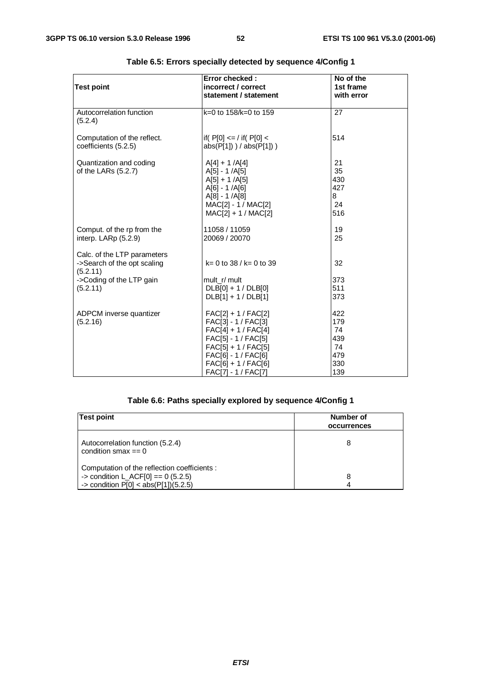| <b>Test point</b>                                                                                              | Error checked:<br>incorrect / correct<br>statement / statement                                                                                                                               | No of the<br>1st frame<br>with error               |
|----------------------------------------------------------------------------------------------------------------|----------------------------------------------------------------------------------------------------------------------------------------------------------------------------------------------|----------------------------------------------------|
| Autocorrelation function<br>(5.2.4)                                                                            | $k=0$ to 158/k=0 to 159                                                                                                                                                                      | 27                                                 |
| Computation of the reflect.<br>coefficients (5.2.5)                                                            | $ $ if( P[0] <= / if( P[0] <<br>$abs(P[1])$ ) / $abs(P[1])$ )                                                                                                                                | 514                                                |
| Quantization and coding<br>of the LARs $(5.2.7)$                                                               | $A[4] + 1 /A[4]$<br>$A[5] - 1 / A[5]$<br>$A[5] + 1 / A[5]$<br>$A[6] - 1 / A[6]$<br>$A[8] - 1 / A[8]$<br>MAC[2] - 1 / MAC[2]<br>$MAC[2] + 1 / MAC[2]$                                         | 21<br>35<br>430<br>427<br>8<br>24<br>516           |
| Comput. of the rp from the<br>interp. LARp (5.2.9)                                                             | 11058 / 11059<br>20069 / 20070                                                                                                                                                               | 19<br>25                                           |
| Calc. of the LTP parameters<br>->Search of the opt scaling<br>(5.2.11)<br>->Coding of the LTP gain<br>(5.2.11) | $k = 0$ to 38 / $k = 0$ to 39<br>mult r/ mult<br>$DLB[0]+1/DLB[0]$<br>$DLB[1] + 1/DLB[1]$                                                                                                    | 32<br>373<br>511<br>373                            |
| ADPCM inverse quantizer<br>(5.2.16)                                                                            | $FAC[2] + 1 / FAC[2]$<br>FAC[3] - 1 / FAC[3]<br>$FAC[4] + 1 / FAC[4]$<br>FAC[5] - 1 / FAC[5]<br>$FAC[5] + 1 / FAC[5]$<br>FAC[6] - 1 / FAC[6]<br>$FAC[6] + 1 / FAC[6]$<br>FAC[7] - 1 / FAC[7] | 422<br>179<br>74<br>439<br>74<br>479<br>330<br>139 |

### **Table 6.5: Errors specially detected by sequence 4/Config 1**

### **Table 6.6: Paths specially explored by sequence 4/Config 1**

| <b>Test point</b>                                                                                                              | Number of<br>occurrences |
|--------------------------------------------------------------------------------------------------------------------------------|--------------------------|
| Autocorrelation function (5.2.4)<br>condition smax $== 0$                                                                      | 8                        |
| Computation of the reflection coefficients :<br>-> condition L_ACF[0] == $0$ (5.2.5)<br>-> condition $P[0] < abs(P[1])(5.2.5)$ | 8                        |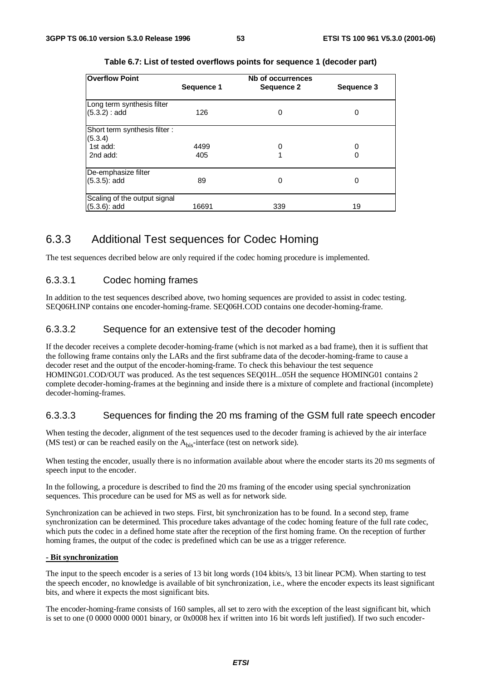| <b>Overflow Point</b>        |            | Nb of occurrences |            |
|------------------------------|------------|-------------------|------------|
|                              | Sequence 1 | Sequence 2        | Sequence 3 |
| Long term synthesis filter   |            |                   |            |
| (5.3.2) : add                | 126        | 0                 | 0          |
| Short term synthesis filter: |            |                   |            |
| (5.3.4)                      |            |                   |            |
| 1st add:                     | 4499       | 0                 | 0          |
| 2nd add:                     | 405        |                   | 0          |
| De-emphasize filter          |            |                   |            |
| $(5.3.5)$ : add              | 89         | Ω                 | 0          |
|                              |            |                   |            |
| Scaling of the output signal |            |                   |            |
| $(5.3.6)$ : add              | 16691      | 339               | 19         |

**Table 6.7: List of tested overflows points for sequence 1 (decoder part)**

## 6.3.3 Additional Test sequences for Codec Homing

The test sequences decribed below are only required if the codec homing procedure is implemented.

### 6.3.3.1 Codec homing frames

In addition to the test sequences described above, two homing sequences are provided to assist in codec testing. SEQ06H.INP contains one encoder-homing-frame. SEQ06H.COD contains one decoder-homing-frame.

#### 6.3.3.2 Sequence for an extensive test of the decoder homing

If the decoder receives a complete decoder-homing-frame (which is not marked as a bad frame), then it is suffient that the following frame contains only the LARs and the first subframe data of the decoder-homing-frame to cause a decoder reset and the output of the encoder-homing-frame. To check this behaviour the test sequence HOMING01.COD/OUT was produced. As the test sequences SEQ01H...05H the sequence HOMING01 contains 2 complete decoder-homing-frames at the beginning and inside there is a mixture of complete and fractional (incomplete) decoder-homing-frames.

### 6.3.3.3 Sequences for finding the 20 ms framing of the GSM full rate speech encoder

When testing the decoder, alignment of the test sequences used to the decoder framing is achieved by the air interface (MS test) or can be reached easily on the  $A_{\text{bis}}$ -interface (test on network side).

When testing the encoder, usually there is no information available about where the encoder starts its 20 ms segments of speech input to the encoder.

In the following, a procedure is described to find the 20 ms framing of the encoder using special synchronization sequences. This procedure can be used for MS as well as for network side.

Synchronization can be achieved in two steps. First, bit synchronization has to be found. In a second step, frame synchronization can be determined. This procedure takes advantage of the codec homing feature of the full rate codec, which puts the codec in a defined home state after the reception of the first homing frame. On the reception of further homing frames, the output of the codec is predefined which can be use as a trigger reference.

#### **- Bit synchronization**

The input to the speech encoder is a series of 13 bit long words (104 kbits/s, 13 bit linear PCM). When starting to test the speech encoder, no knowledge is available of bit synchronization, i.e., where the encoder expects its least significant bits, and where it expects the most significant bits.

The encoder-homing-frame consists of 160 samples, all set to zero with the exception of the least significant bit, which is set to one (0 0000 0000 0001 binary, or 0x0008 hex if written into 16 bit words left justified). If two such encoder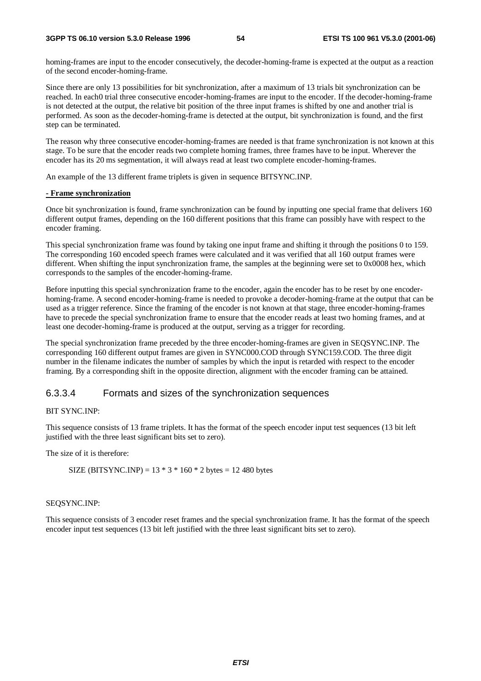homing-frames are input to the encoder consecutively, the decoder-homing-frame is expected at the output as a reaction of the second encoder-homing-frame.

Since there are only 13 possibilities for bit synchronization, after a maximum of 13 trials bit synchronization can be reached. In each0 trial three consecutive encoder-homing-frames are input to the encoder. If the decoder-homing-frame is not detected at the output, the relative bit position of the three input frames is shifted by one and another trial is performed. As soon as the decoder-homing-frame is detected at the output, bit synchronization is found, and the first step can be terminated.

The reason why three consecutive encoder-homing-frames are needed is that frame synchronization is not known at this stage. To be sure that the encoder reads two complete homing frames, three frames have to be input. Wherever the encoder has its 20 ms segmentation, it will always read at least two complete encoder-homing-frames.

An example of the 13 different frame triplets is given in sequence BITSYNC.INP.

#### **- Frame synchronization**

Once bit synchronization is found, frame synchronization can be found by inputting one special frame that delivers 160 different output frames, depending on the 160 different positions that this frame can possibly have with respect to the encoder framing.

This special synchronization frame was found by taking one input frame and shifting it through the positions 0 to 159. The corresponding 160 encoded speech frames were calculated and it was verified that all 160 output frames were different. When shifting the input synchronization frame, the samples at the beginning were set to 0x0008 hex, which corresponds to the samples of the encoder-homing-frame.

Before inputting this special synchronization frame to the encoder, again the encoder has to be reset by one encoderhoming-frame. A second encoder-homing-frame is needed to provoke a decoder-homing-frame at the output that can be used as a trigger reference. Since the framing of the encoder is not known at that stage, three encoder-homing-frames have to precede the special synchronization frame to ensure that the encoder reads at least two homing frames, and at least one decoder-homing-frame is produced at the output, serving as a trigger for recording.

The special synchronization frame preceded by the three encoder-homing-frames are given in SEQSYNC.INP. The corresponding 160 different output frames are given in SYNC000.COD through SYNC159.COD. The three digit number in the filename indicates the number of samples by which the input is retarded with respect to the encoder framing. By a corresponding shift in the opposite direction, alignment with the encoder framing can be attained.

#### 6.3.3.4 Formats and sizes of the synchronization sequences

#### BIT SYNC.INP:

This sequence consists of 13 frame triplets. It has the format of the speech encoder input test sequences (13 bit left justified with the three least significant bits set to zero).

The size of it is therefore:

SIZE (BITSYNC.INP) =  $13 * 3 * 160 * 2$  bytes = 12 480 bytes

#### SEQSYNC.INP:

This sequence consists of 3 encoder reset frames and the special synchronization frame. It has the format of the speech encoder input test sequences (13 bit left justified with the three least significant bits set to zero).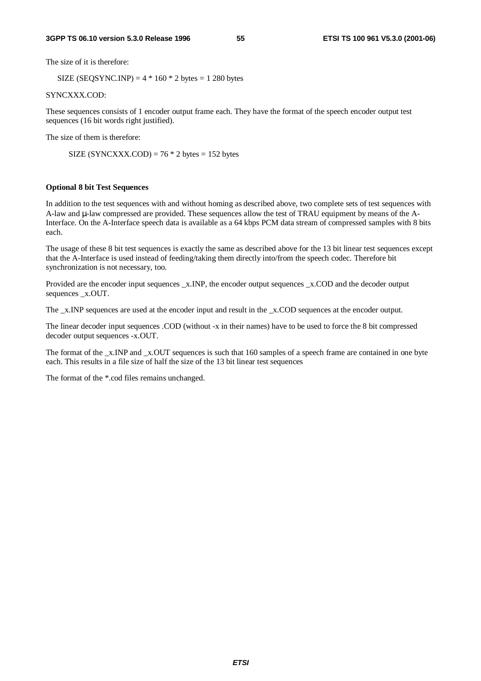The size of it is therefore:

SIZE (SEQSYNC.INP) =  $4 * 160 * 2$  bytes = 1 280 bytes

SYNCXXX.COD:

These sequences consists of 1 encoder output frame each. They have the format of the speech encoder output test sequences (16 bit words right justified).

The size of them is therefore:

SIZE (SYNCXXX.COD) =  $76 * 2$  bytes = 152 bytes

#### **Optional 8 bit Test Sequences**

In addition to the test sequences with and without homing as described above, two complete sets of test sequences with A-law and µ-law compressed are provided. These sequences allow the test of TRAU equipment by means of the A-Interface. On the A-Interface speech data is available as a 64 kbps PCM data stream of compressed samples with 8 bits each.

The usage of these 8 bit test sequences is exactly the same as described above for the 13 bit linear test sequences except that the A-Interface is used instead of feeding/taking them directly into/from the speech codec. Therefore bit synchronization is not necessary, too.

Provided are the encoder input sequences \_x.INP, the encoder output sequences \_x.COD and the decoder output sequences \_x.OUT.

The  $x$ . INP sequences are used at the encoder input and result in the  $x$ . COD sequences at the encoder output.

The linear decoder input sequences .COD (without -x in their names) have to be used to force the 8 bit compressed decoder output sequences -x.OUT.

The format of the \_x.INP and \_x.OUT sequences is such that 160 samples of a speech frame are contained in one byte each. This results in a file size of half the size of the 13 bit linear test sequences

The format of the \*.cod files remains unchanged.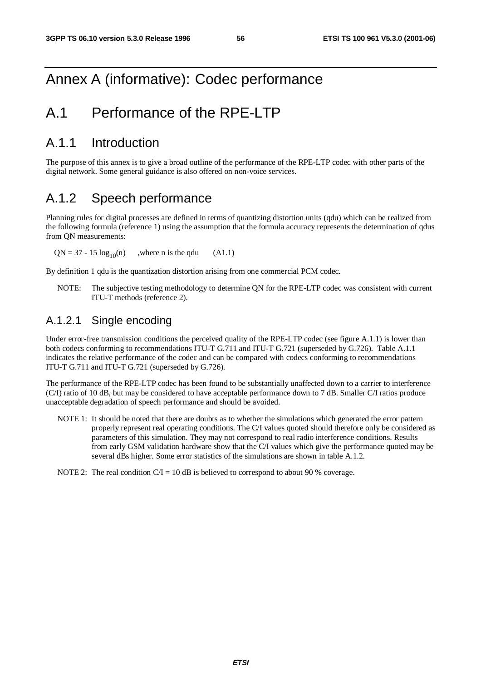## Annex A (informative): Codec performance

## A.1 Performance of the RPE-LTP

## A.1.1 Introduction

The purpose of this annex is to give a broad outline of the performance of the RPE-LTP codec with other parts of the digital network. Some general guidance is also offered on non-voice services.

## A.1.2 Speech performance

Planning rules for digital processes are defined in terms of quantizing distortion units (qdu) which can be realized from the following formula (reference 1) using the assumption that the formula accuracy represents the determination of qdus from QN measurements:

 $QN = 37 - 15 \log_{10}(n)$ , where n is the gdu (A1.1)

By definition 1 qdu is the quantization distortion arising from one commercial PCM codec.

NOTE: The subjective testing methodology to determine QN for the RPE-LTP codec was consistent with current ITU-T methods (reference 2).

## A.1.2.1 Single encoding

Under error-free transmission conditions the perceived quality of the RPE-LTP codec (see figure A.1.1) is lower than both codecs conforming to recommendations ITU-T G.711 and ITU-T G.721 (superseded by G.726). Table A.1.1 indicates the relative performance of the codec and can be compared with codecs conforming to recommendations ITU-T G.711 and ITU-T G.721 (superseded by G.726).

The performance of the RPE-LTP codec has been found to be substantially unaffected down to a carrier to interference (C/I) ratio of 10 dB, but may be considered to have acceptable performance down to 7 dB. Smaller C/I ratios produce unacceptable degradation of speech performance and should be avoided.

NOTE 1: It should be noted that there are doubts as to whether the simulations which generated the error pattern properly represent real operating conditions. The C/I values quoted should therefore only be considered as parameters of this simulation. They may not correspond to real radio interference conditions. Results from early GSM validation hardware show that the C/I values which give the performance quoted may be several dBs higher. Some error statistics of the simulations are shown in table A.1.2.

NOTE 2: The real condition  $C/I = 10$  dB is believed to correspond to about 90 % coverage.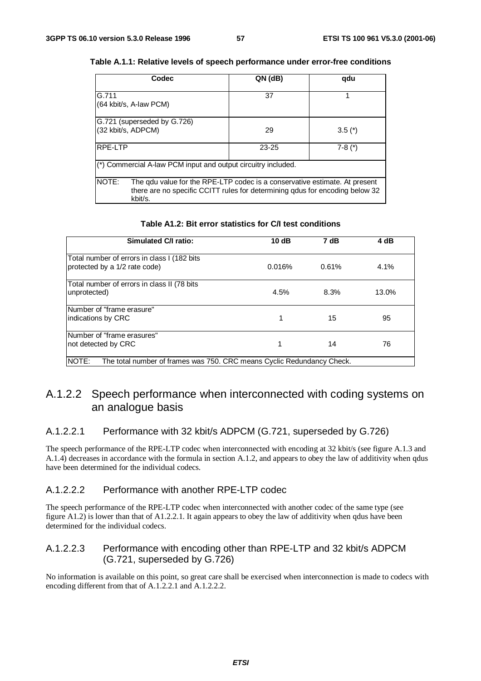| Codec                                                                                                                                                                          | QN (dB)   | qdu      |  |  |
|--------------------------------------------------------------------------------------------------------------------------------------------------------------------------------|-----------|----------|--|--|
| G.711<br>(64 kbit/s, A-law PCM)                                                                                                                                                | 37        |          |  |  |
| G.721 (superseded by G.726)<br>(32 kbit/s, ADPCM)                                                                                                                              | 29        | $3.5(*)$ |  |  |
| <b>RPE-LTP</b>                                                                                                                                                                 | $23 - 25$ | $7-8(*)$ |  |  |
| (*) Commercial A-law PCM input and output circuitry included.                                                                                                                  |           |          |  |  |
| NOTE:<br>The qdu value for the RPE-LTP codec is a conservative estimate. At present<br>there are no specific CCITT rules for determining gdus for encoding below 32<br>kbit/s. |           |          |  |  |

#### **Table A.1.1: Relative levels of speech performance under error-free conditions**

| Simulated C/I ratio:                                                            | 10dB   | 7 dB  | 4 dB  |
|---------------------------------------------------------------------------------|--------|-------|-------|
| Total number of errors in class I (182 bits<br>protected by a 1/2 rate code)    | 0.016% | 0.61% | 4.1%  |
| Total number of errors in class II (78 bits<br>unprotected)                     | 4.5%   | 8.3%  | 13.0% |
| Number of "frame erasure"<br>indications by CRC                                 | 1      | 15    | 95    |
| Number of "frame erasures"<br>Inot detected by CRC                              |        | 14    | 76    |
| NOTE:<br>The total number of frames was 750. CRC means Cyclic Redundancy Check. |        |       |       |

#### **Table A1.2: Bit error statistics for C/I test conditions**

## A.1.2.2 Speech performance when interconnected with coding systems on an analogue basis

### A.1.2.2.1 Performance with 32 kbit/s ADPCM (G.721, superseded by G.726)

The speech performance of the RPE-LTP codec when interconnected with encoding at 32 kbit/s (see figure A.1.3 and A.1.4) decreases in accordance with the formula in section A.1.2, and appears to obey the law of additivity when qdus have been determined for the individual codecs.

#### A.1.2.2.2 Performance with another RPE-LTP codec

The speech performance of the RPE-LTP codec when interconnected with another codec of the same type (see figure A1.2) is lower than that of A1.2.2.1. It again appears to obey the law of additivity when qdus have been determined for the individual codecs.

### A.1.2.2.3 Performance with encoding other than RPE-LTP and 32 kbit/s ADPCM (G.721, superseded by G.726)

No information is available on this point, so great care shall be exercised when interconnection is made to codecs with encoding different from that of A.1.2.2.1 and A.1.2.2.2.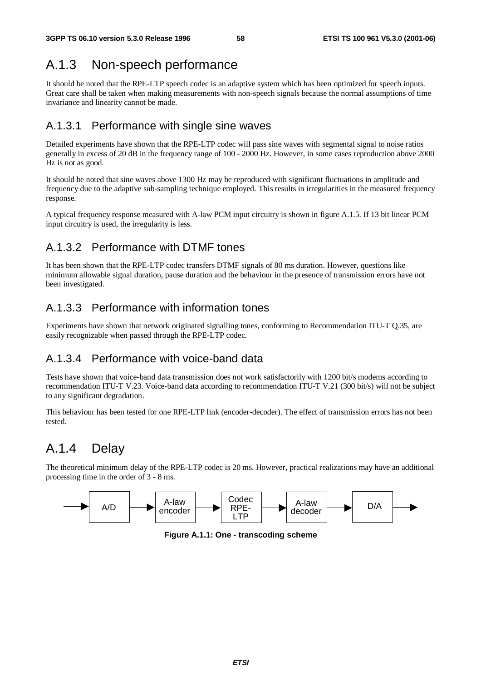## A.1.3 Non-speech performance

It should be noted that the RPE-LTP speech codec is an adaptive system which has been optimized for speech inputs. Great care shall be taken when making measurements with non-speech signals because the normal assumptions of time invariance and linearity cannot be made.

## A.1.3.1 Performance with single sine waves

Detailed experiments have shown that the RPE-LTP codec will pass sine waves with segmental signal to noise ratios generally in excess of 20 dB in the frequency range of 100 - 2000 Hz. However, in some cases reproduction above 2000 Hz is not as good.

It should be noted that sine waves above 1300 Hz may be reproduced with significant fluctuations in amplitude and frequency due to the adaptive sub-sampling technique employed. This results in irregularities in the measured frequency response.

A typical frequency response measured with A-law PCM input circuitry is shown in figure A.1.5. If 13 bit linear PCM input circuitry is used, the irregularity is less.

## A.1.3.2 Performance with DTMF tones

It has been shown that the RPE-LTP codec transfers DTMF signals of 80 ms duration. However, questions like minimum allowable signal duration, pause duration and the behaviour in the presence of transmission errors have not been investigated.

## A.1.3.3 Performance with information tones

Experiments have shown that network originated signalling tones, conforming to Recommendation ITU-T Q.35, are easily recognizable when passed through the RPE-LTP codec.

## A.1.3.4 Performance with voice-band data

Tests have shown that voice-band data transmission does not work satisfactorily with 1200 bit/s modems according to recommendation ITU-T V.23. Voice-band data according to recommendation ITU-T V.21 (300 bit/s) will not be subject to any significant degradation.

This behaviour has been tested for one RPE-LTP link (encoder-decoder). The effect of transmission errors has not been tested.

## A.1.4 Delay

The theoretical minimum delay of the RPE-LTP codec is 20 ms. However, practical realizations may have an additional processing time in the order of 3 - 8 ms.



**Figure A.1.1: One - transcoding scheme**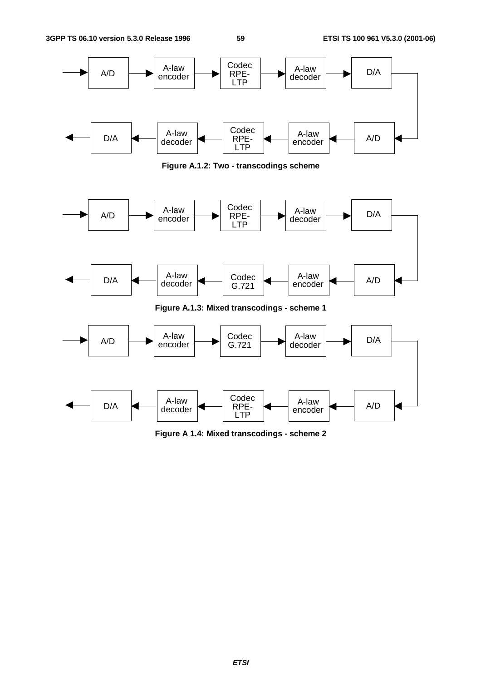

**Figure A.1.2: Two - transcodings scheme**



**Figure A 1.4: Mixed transcodings - scheme 2**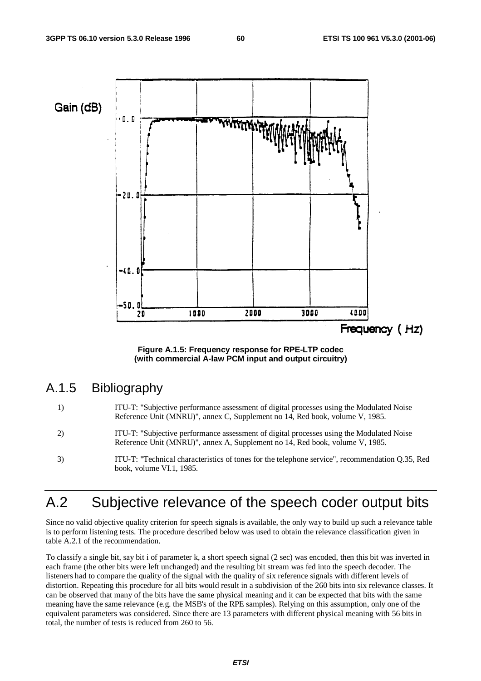

**Figure A.1.5: Frequency response for RPE-LTP codec (with commercial A-law PCM input and output circuitry)**

## A.1.5 Bibliography

- 1) ITU-T: "Subjective performance assessment of digital processes using the Modulated Noise Reference Unit (MNRU)", annex C, Supplement no 14, Red book, volume V, 1985.
- 2) ITU-T: "Subjective performance assessment of digital processes using the Modulated Noise Reference Unit (MNRU)", annex A, Supplement no 14, Red book, volume V, 1985.
- 3) ITU-T: "Technical characteristics of tones for the telephone service", recommendation Q.35, Red book, volume VI.1, 1985.

## A.2 Subjective relevance of the speech coder output bits

Since no valid objective quality criterion for speech signals is available, the only way to build up such a relevance table is to perform listening tests. The procedure described below was used to obtain the relevance classification given in table A.2.1 of the recommendation.

To classify a single bit, say bit i of parameter k, a short speech signal (2 sec) was encoded, then this bit was inverted in each frame (the other bits were left unchanged) and the resulting bit stream was fed into the speech decoder. The listeners had to compare the quality of the signal with the quality of six reference signals with different levels of distortion. Repeating this procedure for all bits would result in a subdivision of the 260 bits into six relevance classes. It can be observed that many of the bits have the same physical meaning and it can be expected that bits with the same meaning have the same relevance (e.g. the MSB's of the RPE samples). Relying on this assumption, only one of the equivalent parameters was considered. Since there are 13 parameters with different physical meaning with 56 bits in total, the number of tests is reduced from 260 to 56.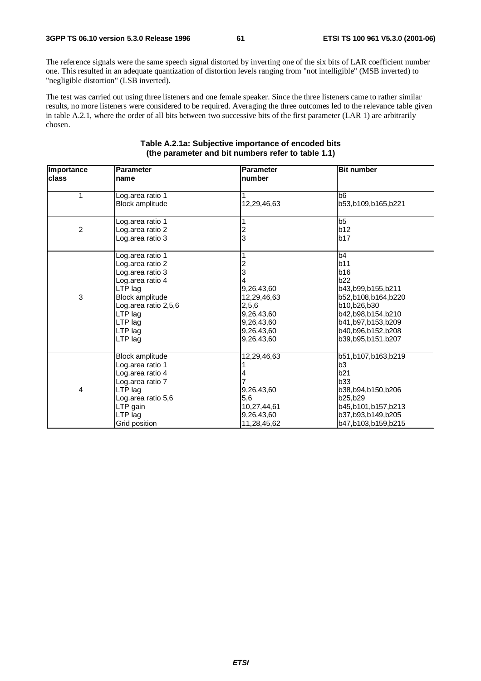The reference signals were the same speech signal distorted by inverting one of the six bits of LAR coefficient number one. This resulted in an adequate quantization of distortion levels ranging from "not intelligible" (MSB inverted) to "negligible distortion" (LSB inverted).

The test was carried out using three listeners and one female speaker. Since the three listeners came to rather similar results, no more listeners were considered to be required. Averaging the three outcomes led to the relevance table given in table A.2.1, where the order of all bits between two successive bits of the first parameter (LAR 1) are arbitrarily chosen.

| Importance<br>class | <b>Parameter</b><br>name                                                                                                                                                       | <b>Parameter</b><br>number                                                                           | <b>Bit number</b>                                                                                                                                                            |
|---------------------|--------------------------------------------------------------------------------------------------------------------------------------------------------------------------------|------------------------------------------------------------------------------------------------------|------------------------------------------------------------------------------------------------------------------------------------------------------------------------------|
| 1                   | Log.area ratio 1<br><b>Block amplitude</b>                                                                                                                                     | 12,29,46,63                                                                                          | b <sub>6</sub><br>b53,b109,b165,b221                                                                                                                                         |
| $\overline{c}$      | Log.area ratio 1<br>Log.area ratio 2<br>Log.area ratio 3                                                                                                                       | $\overline{c}$<br>3                                                                                  | b5<br>b12<br>b17                                                                                                                                                             |
| 3                   | Log.area ratio 1<br>Log.area ratio 2<br>Log.area ratio 3<br>Log.area ratio 4<br>LTP lag<br>Block amplitude<br>Log.area ratio 2,5,6<br>LTP lag<br>LTP lag<br>LTP lag<br>LTP lag | 2<br>3<br>9,26,43,60<br>12,29,46,63<br>2,5,6<br>9,26,43,60<br>9,26,43,60<br>9,26,43,60<br>9,26,43,60 | b4<br>b11<br><b>b16</b><br>b22<br>b43,b99,b155,b211<br>b52,b108,b164,b220<br>b10,b26,b30<br>b42,b98,b154,b210<br>b41,b97,b153,b209<br>b40,b96,b152,b208<br>b39,b95,b151,b207 |
| 4                   | Block amplitude<br>Log.area ratio 1<br>Log.area ratio 4<br>Log.area ratio 7<br>LTP lag<br>Log.area ratio 5,6<br>LTP gain<br>LTP lag<br>Grid position                           | 12,29,46,63<br>9,26,43,60<br>5,6<br>10,27,44,61<br>9,26,43,60<br>11,28,45,62                         | b51,b107,b163,b219<br>b3<br>b21<br><b>b33</b><br>b38,b94,b150,b206<br>b25,b29<br>b45,b101,b157,b213<br>b37,b93,b149,b205<br>b47,b103,b159,b215                               |

#### **Table A.2.1a: Subjective importance of encoded bits (the parameter and bit numbers refer to table 1.1)**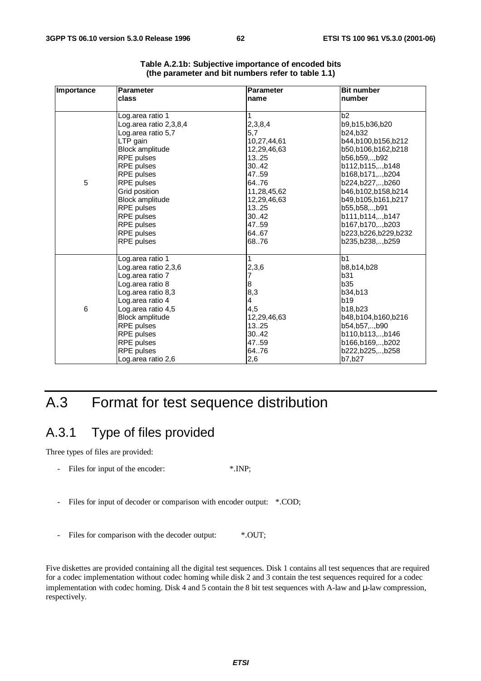| <b>Importance</b> | <b>Parameter</b>                                                                                                                                                                                                                                                                                            | <b>Parameter</b>                                                                                                                                         | <b>Bit number</b>                                                                                                                                                                                                                                                                                |
|-------------------|-------------------------------------------------------------------------------------------------------------------------------------------------------------------------------------------------------------------------------------------------------------------------------------------------------------|----------------------------------------------------------------------------------------------------------------------------------------------------------|--------------------------------------------------------------------------------------------------------------------------------------------------------------------------------------------------------------------------------------------------------------------------------------------------|
|                   | class                                                                                                                                                                                                                                                                                                       | name                                                                                                                                                     | <b>Inumber</b>                                                                                                                                                                                                                                                                                   |
| 5                 | Log.area ratio 1<br>Log.area ratio 2,3,8,4<br>Log.area ratio 5,7<br>LTP gain<br><b>Block amplitude</b><br>RPE pulses<br><b>RPE</b> pulses<br>RPE pulses<br><b>RPE</b> pulses<br>Grid position<br><b>Block amplitude</b><br><b>RPE</b> pulses<br>RPE pulses<br>RPE pulses<br><b>RPE</b> pulses<br>RPE pulses | 2,3,8,4<br>5,7<br>10,27,44,61<br>12,29,46,63<br>1325<br>30.42<br>47.59<br>6476<br>11,28,45,62<br>12,29,46,63<br>1325<br>30.42<br>47.59<br>64.67<br>68.76 | b2<br>b9.b15.b36.b20<br>b24,b32<br>b44,b100,b156,b212<br>b50,b106,b162,b218<br>b56,b59,,b92<br>b112,b115,,b148<br>b168,b171,,b204<br>b224,b227,,b260<br>b46,b102,b158,b214<br>b49,b105,b161,b217<br>b55,b58,,b91<br>b111,b114,,b147<br>b167,b170,,b203<br>b223,b226,b229,b232<br>b235,b238,,b259 |
| 6                 | Log.area ratio 1<br>Log.area ratio 2,3,6<br>Log.area ratio 7<br>Log.area ratio 8<br>Log.area ratio 8,3<br>Log.area ratio 4<br>Log.area ratio 4,5<br>Block amplitude<br><b>RPE</b> pulses<br>RPE pulses<br>RPE pulses<br><b>RPE</b> pulses<br>Log.area ratio 2,6                                             | 2,3,6<br>7<br>$\bf8$<br>8,3<br>4<br>4,5<br>12,29,46,63<br>1325<br>30.42<br>47.59<br>64.76<br>2,6                                                         | b <sub>1</sub><br>b8,b14,b28<br>b31<br>b35<br>b34,b13<br>b19<br>b18,b23<br>b48,b104,b160,b216<br>b54,b57,,b90<br>b110,b113,,b146<br>b166,b169,,b202<br>b222,b225,,b258<br>b7,b27                                                                                                                 |

| Table A.2.1b: Subjective importance of encoded bits |  |
|-----------------------------------------------------|--|
| (the parameter and bit numbers refer to table 1.1)  |  |

## A.3 Format for test sequence distribution

## A.3.1 Type of files provided

Three types of files are provided:

- Files for input of the encoder: \*.INP;
- Files for input of decoder or comparison with encoder output: \*.COD;
- Files for comparison with the decoder output: \*. OUT;

Five diskettes are provided containing all the digital test sequences. Disk 1 contains all test sequences that are required for a codec implementation without codec homing while disk 2 and 3 contain the test sequences required for a codec implementation with codec homing. Disk 4 and 5 contain the 8 bit test sequences with A-law and  $\mu$ -law compression, respectively.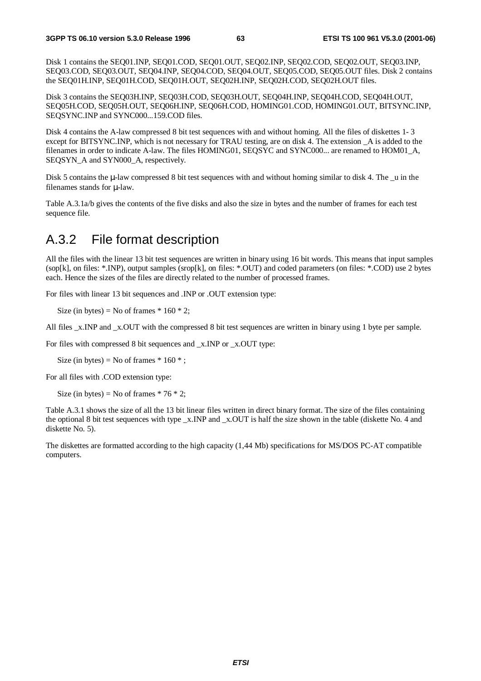Disk 1 contains the SEQ01.INP, SEQ01.COD, SEQ01.OUT, SEQ02.INP, SEQ02.COD, SEQ02.OUT, SEQ03.INP, SEQ03.COD, SEQ03.OUT, SEQ04.INP, SEQ04.COD, SEQ04.OUT, SEQ05.COD, SEQ05.OUT files. Disk 2 contains the SEQ01H.INP, SEQ01H.COD, SEQ01H.OUT, SEQ02H.INP, SEQ02H.COD, SEQ02H.OUT files.

Disk 3 contains the SEQ03H.INP, SEQ03H.COD, SEQ03H.OUT, SEQ04H.INP, SEQ04H.COD, SEQ04H.OUT, SEQ05H.COD, SEQ05H.OUT, SEQ06H.INP, SEQ06H.COD, HOMING01.COD, HOMING01.OUT, BITSYNC.INP, SEQSYNC.INP and SYNC000...159.COD files.

Disk 4 contains the A-law compressed 8 bit test sequences with and without homing. All the files of diskettes 1- 3 except for BITSYNC.INP, which is not necessary for TRAU testing, are on disk 4. The extension \_A is added to the filenames in order to indicate A-law. The files HOMING01, SEOSYC and SYNC000... are renamed to HOM01 A, SEQSYN A and SYN000 A, respectively.

Disk 5 contains the u-law compressed 8 bit test sequences with and without homing similar to disk 4. The u in the filenames stands for µ-law.

Table A.3.1a/b gives the contents of the five disks and also the size in bytes and the number of frames for each test sequence file.

## A.3.2 File format description

All the files with the linear 13 bit test sequences are written in binary using 16 bit words. This means that input samples (sop[k], on files: \*.INP), output samples (srop[k], on files: \*.OUT) and coded parameters (on files: \*.COD) use 2 bytes each. Hence the sizes of the files are directly related to the number of processed frames.

For files with linear 13 bit sequences and .INP or .OUT extension type:

Size (in bytes) = No of frames  $* 160 * 2$ ;

All files x.INP and x.OUT with the compressed 8 bit test sequences are written in binary using 1 byte per sample.

For files with compressed 8 bit sequences and \_x.INP or \_x.OUT type:

Size (in bytes) = No of frames  $* 160 *$ ;

For all files with .COD extension type:

Size (in bytes) = No of frames  $* 76 * 2$ ;

Table A.3.1 shows the size of all the 13 bit linear files written in direct binary format. The size of the files containing the optional 8 bit test sequences with type \_x.INP and \_x.OUT is half the size shown in the table (diskette No. 4 and diskette No. 5).

The diskettes are formatted according to the high capacity (1,44 Mb) specifications for MS/DOS PC-AT compatible computers.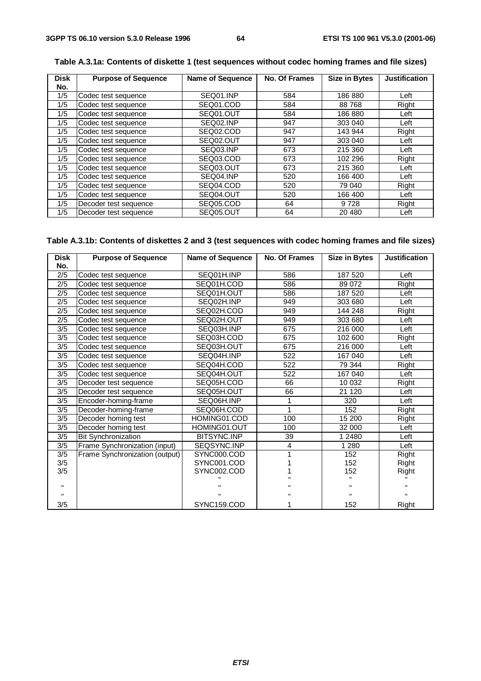| <b>Disk</b> | <b>Purpose of Sequence</b> | <b>Name of Sequence</b> | <b>No. Of Frames</b> | <b>Size in Bytes</b> | <b>Justification</b> |
|-------------|----------------------------|-------------------------|----------------------|----------------------|----------------------|
| No.         |                            |                         |                      |                      |                      |
| 1/5         | Codec test sequence        | SEQ01.INP               | 584                  | 186 880              | Left                 |
| 1/5         | Codec test sequence        | SEQ01.COD               | 584                  | 88768                | Right                |
| 1/5         | Codec test sequence        | SEQ01.OUT               | 584                  | 186 880              | Left                 |
| 1/5         | Codec test sequence        | SEQ02.INP               | 947                  | 303 040              | Left                 |
| 1/5         | Codec test sequence        | SEQ02.COD               | 947                  | 143 944              | Right                |
| 1/5         | Codec test sequence        | SEQ02.OUT               | 947                  | 303 040              | Left                 |
| 1/5         | Codec test sequence        | SEQ03.INP               | 673                  | 215 360              | Left                 |
| 1/5         | Codec test sequence        | SEQ03.COD               | 673                  | 102 296              | Right                |
| 1/5         | Codec test sequence        | SEQ03.OUT               | 673                  | 215 360              | Left                 |
| 1/5         | Codec test sequence        | SEQ04.INP               | 520                  | 166 400              | Left                 |
| 1/5         | Codec test sequence        | SEQ04.COD               | 520                  | 79 040               | Right                |
| 1/5         | Codec test sequence        | SEQ04.OUT               | 520                  | 166 400              | Left                 |
| 1/5         | Decoder test sequence      | SEQ05.COD               | 64                   | 9728                 | Right                |
| 1/5         | Decoder test sequence      | SEQ05.OUT               | 64                   | 20 480               | Left                 |

#### **Table A.3.1a: Contents of diskette 1 (test sequences without codec homing frames and file sizes)**

### **Table A.3.1b: Contents of diskettes 2 and 3 (test sequences with codec homing frames and file sizes)**

| <b>Disk</b><br>No. | <b>Purpose of Sequence</b>     | <b>Name of Sequence</b> | No. Of Frames  | <b>Size in Bytes</b> | <b>Justification</b> |  |
|--------------------|--------------------------------|-------------------------|----------------|----------------------|----------------------|--|
| 2/5                | Codec test sequence            | SEQ01H.INP              | 586            | 187 520              | Left                 |  |
| 2/5                | Codec test sequence            | SEQ01H.COD              | 586            | 89 0 72              | Right                |  |
| 2/5                | Codec test sequence            | SEQ01H.OUT              | 586            | 187 520              | Left                 |  |
| 2/5                | Codec test sequence            | SEQ02H.INP              | 949            | 303 680              | Left                 |  |
| 2/5                | Codec test sequence            | SEQ02H.COD              | 949            | 144 248              | Right                |  |
| 2/5                | Codec test sequence            | SEQ02H.OUT              | 949            | 303 680              | Left                 |  |
| 3/5                | Codec test sequence            | SEQ03H.INP              | 675            | 216 000              | Left                 |  |
| 3/5                | Codec test sequence            | SEQ03H.COD              | 675            | 102 600              | Right                |  |
| 3/5                | Codec test sequence            | SEQ03H.OUT              | 675            | 216 000              | Left                 |  |
| 3/5                | Codec test sequence            | SEQ04H.INP              | 522            | 167 040              | Left                 |  |
| 3/5                | Codec test sequence            | SEQ04H.COD              | 522            | 79 344               | Right                |  |
| 3/5                | Codec test sequence            | SEQ04H.OUT              | 522            | 167 040              | Left                 |  |
| 3/5                | Decoder test sequence          | SEQ05H.COD              | 66             | 10 032               | Right                |  |
| 3/5                | Decoder test sequence          | SEQ05H.OUT              | 66             | 21 1 20              | Left                 |  |
| 3/5                | Encoder-homing-frame           | SEQ06H.INP              | 1              | 320                  | Left                 |  |
| 3/5                | Decoder-homing-frame           | SEQ06H.COD              | 1              | 152                  | Right                |  |
| 3/5                | Decoder homing test            | HOMING01.COD            | 100            | 15 200               | Right                |  |
| 3/5                | Decoder homing test            | HOMING01.OUT            | 100            | 32 000               | Left                 |  |
| 3/5                | <b>Bit Synchronization</b>     | BITSYNC.INP             | 39             | 1 2480               | Left                 |  |
| 3/5                | Frame Synchronization (input)  | SEQSYNC.INP             | $\overline{4}$ | 1 2 8 0              | Left                 |  |
| 3/5                | Frame Synchronization (output) | SYNC000.COD             |                | 152                  | Right                |  |
| 3/5                |                                | SYNC001.COD             |                | 152                  | Right                |  |
| 3/5                |                                | SYNC002.COD             |                | 152                  | Right                |  |
|                    |                                |                         |                |                      |                      |  |
| Ħ                  |                                |                         |                |                      |                      |  |
|                    |                                |                         |                |                      |                      |  |
| 3/5                |                                | SYNC159.COD             |                | 152                  | Right                |  |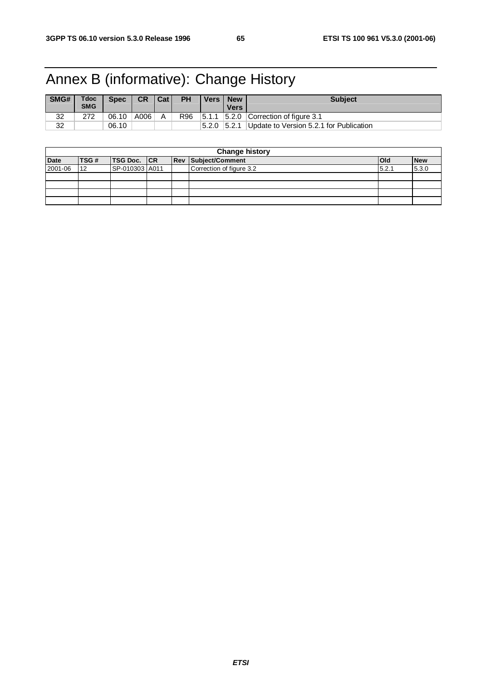## Annex B (informative): Change History

| SMG# | Tdoc<br><b>SMG</b> | <b>Spec</b> | <b>CR</b> | Cat | <b>PH</b> | <b>Vers</b> | <b>New</b><br>Vers | <b>Subject</b>                          |
|------|--------------------|-------------|-----------|-----|-----------|-------------|--------------------|-----------------------------------------|
| 32   | 272                | 06.10       | A006      | Α   | R96       | 5.1.1       |                    | $ 5.2.0 $ Correction of figure 3.1      |
| 32   |                    | 06.10       |           |     |           | 5.2.0       | 5.2.1              | Update to Version 5.2.1 for Publication |

| <b>Change history</b> |      |                    |  |  |                            |            |            |
|-----------------------|------|--------------------|--|--|----------------------------|------------|------------|
| <b>Date</b>           | TSG# | <b>TSG Doc.</b> CR |  |  | <b>Rev Subject/Comment</b> | <b>Old</b> | <b>New</b> |
| 2001-06               | 12   | SP-010303 A011     |  |  | Correction of figure 3.2   | 5.2.1      | 5.3.0      |
|                       |      |                    |  |  |                            |            |            |
|                       |      |                    |  |  |                            |            |            |
|                       |      |                    |  |  |                            |            |            |
|                       |      |                    |  |  |                            |            |            |